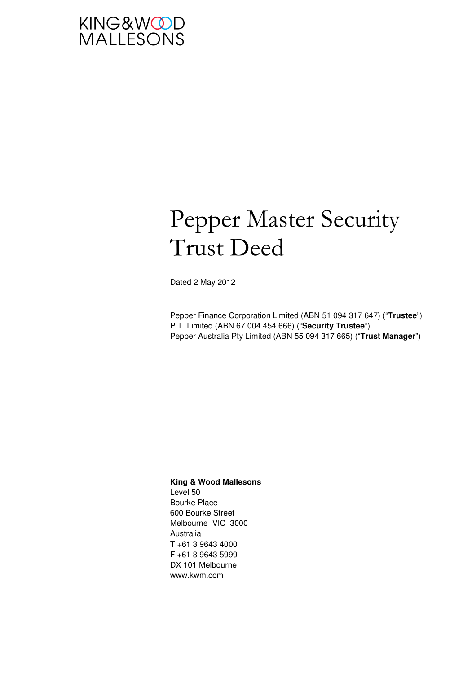

# Pepper Master Security Trust Deed

Dated 2 May 2012

Pepper Finance Corporation Limited (ABN 51 094 317 647) ("**Trustee**") P.T. Limited (ABN 67 004 454 666) ("**Security Trustee**") Pepper Australia Pty Limited (ABN 55 094 317 665) ("**Trust Manager**")

#### **King & Wood Mallesons**  Level 50

Bourke Place 600 Bourke Street Melbourne VIC 3000 Australia T +61 3 9643 4000 F +61 3 9643 5999 DX 101 Melbourne www.kwm.com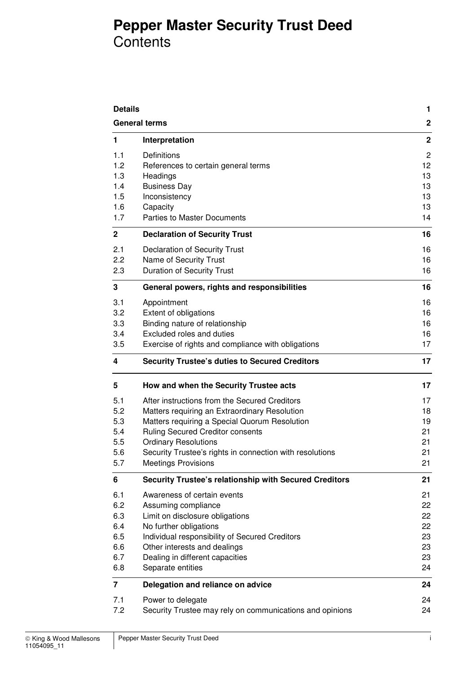## **Pepper Master Security Trust Deed Contents**

| <b>Details</b> |                                                                               | $\mathbf{1}$     |  |
|----------------|-------------------------------------------------------------------------------|------------------|--|
|                | <b>General terms</b>                                                          | $\boldsymbol{2}$ |  |
| 1              | Interpretation                                                                | $\boldsymbol{2}$ |  |
| 1.1            | Definitions                                                                   | $\overline{c}$   |  |
| 1.2            | References to certain general terms                                           | 12               |  |
| 1.3            | Headings                                                                      | 13               |  |
| 1.4            | <b>Business Day</b>                                                           | 13               |  |
| 1.5            | Inconsistency                                                                 | 13               |  |
| 1.6            | Capacity                                                                      | 13               |  |
| 1.7            | <b>Parties to Master Documents</b>                                            | 14               |  |
| $\mathbf 2$    | <b>Declaration of Security Trust</b>                                          | 16               |  |
| 2.1            | <b>Declaration of Security Trust</b>                                          | 16               |  |
| 2.2            | Name of Security Trust                                                        | 16               |  |
| 2.3            | <b>Duration of Security Trust</b>                                             | 16               |  |
| 3              | General powers, rights and responsibilities                                   | 16               |  |
| 3.1            | Appointment                                                                   | 16               |  |
| 3.2            | Extent of obligations                                                         | 16               |  |
| 3.3            | Binding nature of relationship                                                | 16               |  |
| 3.4            | Excluded roles and duties                                                     | 16               |  |
| 3.5            | Exercise of rights and compliance with obligations                            | 17               |  |
| 4              | <b>Security Trustee's duties to Secured Creditors</b>                         |                  |  |
| 5              | How and when the Security Trustee acts                                        | 17               |  |
| 5.1            | After instructions from the Secured Creditors                                 | 17               |  |
| 5.2            | Matters requiring an Extraordinary Resolution                                 | 18               |  |
| 5.3            | Matters requiring a Special Quorum Resolution                                 | 19               |  |
| 5.4            | <b>Ruling Secured Creditor consents</b>                                       | 21               |  |
| 5.5            | <b>Ordinary Resolutions</b>                                                   | 21               |  |
| 5.6            | Security Trustee's rights in connection with resolutions                      | 21               |  |
| 5.7            | <b>Meetings Provisions</b>                                                    | 21               |  |
| 6              | <b>Security Trustee's relationship with Secured Creditors</b>                 | 21               |  |
| 6.1            | Awareness of certain events                                                   | 21               |  |
| 6.2            | Assuming compliance                                                           | 22               |  |
| 6.3            | Limit on disclosure obligations                                               | 22               |  |
| 6.4            | No further obligations                                                        | 22               |  |
| 6.5            | Individual responsibility of Secured Creditors                                | 23               |  |
| 6.6            | Other interests and dealings                                                  | 23               |  |
| 6.7<br>6.8     | Dealing in different capacities<br>Separate entities                          | 23<br>24         |  |
| $\overline{7}$ | Delegation and reliance on advice                                             | 24               |  |
| 7.1            |                                                                               |                  |  |
| 7.2            | Power to delegate<br>Security Trustee may rely on communications and opinions | 24<br>24         |  |
|                |                                                                               |                  |  |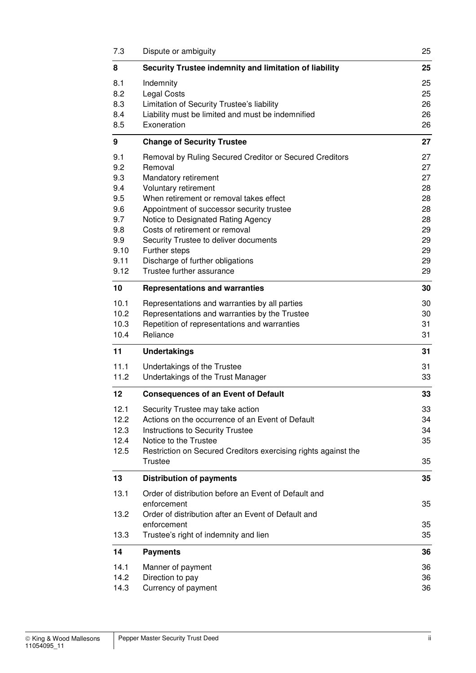| 7.3                                                                                 | Dispute or ambiguity                                                                                                                                                                                                                                                                                                                                                                                          |                                                                      |  |
|-------------------------------------------------------------------------------------|---------------------------------------------------------------------------------------------------------------------------------------------------------------------------------------------------------------------------------------------------------------------------------------------------------------------------------------------------------------------------------------------------------------|----------------------------------------------------------------------|--|
| 8                                                                                   | Security Trustee indemnity and limitation of liability                                                                                                                                                                                                                                                                                                                                                        |                                                                      |  |
| 8.1<br>8.2<br>8.3<br>8.4<br>8.5                                                     | Indemnity<br><b>Legal Costs</b><br>Limitation of Security Trustee's liability<br>Liability must be limited and must be indemnified<br>Exoneration                                                                                                                                                                                                                                                             | 25<br>25<br>26<br>26<br>26                                           |  |
| 9                                                                                   | <b>Change of Security Trustee</b>                                                                                                                                                                                                                                                                                                                                                                             | 27                                                                   |  |
| 9.1<br>9.2<br>9.3<br>9.4<br>9.5<br>9.6<br>9.7<br>9.8<br>9.9<br>9.10<br>9.11<br>9.12 | Removal by Ruling Secured Creditor or Secured Creditors<br>Removal<br>Mandatory retirement<br>Voluntary retirement<br>When retirement or removal takes effect<br>Appointment of successor security trustee<br>Notice to Designated Rating Agency<br>Costs of retirement or removal<br>Security Trustee to deliver documents<br>Further steps<br>Discharge of further obligations<br>Trustee further assurance | 27<br>27<br>27<br>28<br>28<br>28<br>28<br>29<br>29<br>29<br>29<br>29 |  |
| 10                                                                                  | <b>Representations and warranties</b>                                                                                                                                                                                                                                                                                                                                                                         |                                                                      |  |
| 10.1<br>10.2<br>10.3<br>10.4                                                        | Representations and warranties by all parties<br>Representations and warranties by the Trustee<br>Repetition of representations and warranties<br>Reliance                                                                                                                                                                                                                                                    | 30<br>30<br>31<br>31                                                 |  |
| 11                                                                                  | <b>Undertakings</b>                                                                                                                                                                                                                                                                                                                                                                                           | 31                                                                   |  |
| 11.1<br>11.2                                                                        | Undertakings of the Trustee<br>Undertakings of the Trust Manager                                                                                                                                                                                                                                                                                                                                              | 31<br>33                                                             |  |
| 12                                                                                  | <b>Consequences of an Event of Default</b>                                                                                                                                                                                                                                                                                                                                                                    | 33                                                                   |  |
| 12.1<br>12.2<br>12.3<br>12.4<br>12.5                                                | Security Trustee may take action<br>Actions on the occurrence of an Event of Default<br>Instructions to Security Trustee<br>Notice to the Trustee<br>Restriction on Secured Creditors exercising rights against the<br><b>Trustee</b>                                                                                                                                                                         | 33<br>34<br>34<br>35<br>35                                           |  |
| 13                                                                                  | <b>Distribution of payments</b>                                                                                                                                                                                                                                                                                                                                                                               | 35                                                                   |  |
| 13.1<br>13.2<br>13.3                                                                | Order of distribution before an Event of Default and<br>enforcement<br>Order of distribution after an Event of Default and<br>enforcement<br>Trustee's right of indemnity and lien                                                                                                                                                                                                                            |                                                                      |  |
| 14                                                                                  | <b>Payments</b>                                                                                                                                                                                                                                                                                                                                                                                               | 36                                                                   |  |
| 14.1<br>14.2<br>14.3                                                                | Manner of payment<br>Direction to pay<br>Currency of payment                                                                                                                                                                                                                                                                                                                                                  | 36<br>36<br>36                                                       |  |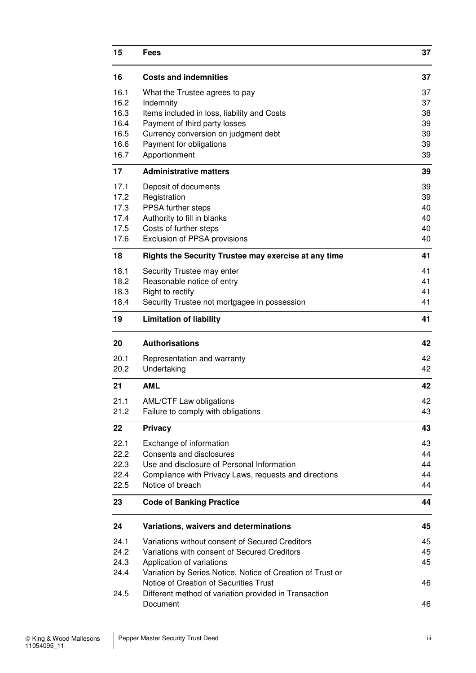| 15<br><b>Fees</b> |                                                                           | 37       |  |
|-------------------|---------------------------------------------------------------------------|----------|--|
| 16                | <b>Costs and indemnities</b>                                              | 37       |  |
| 16.1              | What the Trustee agrees to pay                                            | 37       |  |
| 16.2              | Indemnity                                                                 | 37       |  |
| 16.3              | Items included in loss, liability and Costs                               | 38<br>39 |  |
| 16.4<br>16.5      | Payment of third party losses<br>Currency conversion on judgment debt     | 39       |  |
| 16.6              | Payment for obligations                                                   | 39       |  |
| 16.7              | Apportionment                                                             | 39       |  |
| 17                | <b>Administrative matters</b>                                             | 39       |  |
| 17.1              | Deposit of documents                                                      | 39       |  |
| 17.2              | Registration                                                              | 39       |  |
| 17.3              | PPSA further steps                                                        | 40       |  |
| 17.4              | Authority to fill in blanks                                               | 40       |  |
| 17.5              | Costs of further steps                                                    | 40       |  |
| 17.6              | Exclusion of PPSA provisions                                              | 40       |  |
| 18                | Rights the Security Trustee may exercise at any time                      | 41       |  |
| 18.1              | Security Trustee may enter<br>Reasonable notice of entry                  | 41       |  |
| 18.2<br>18.3      | Right to rectify                                                          | 41<br>41 |  |
| 18.4              | Security Trustee not mortgagee in possession                              | 41       |  |
| 19                | <b>Limitation of liability</b>                                            | 41       |  |
|                   |                                                                           |          |  |
| 20                | <b>Authorisations</b>                                                     | 42       |  |
| 20.1              | Representation and warranty                                               | 42       |  |
| 20.2              | Undertaking                                                               | 42       |  |
| 21                | <b>AML</b>                                                                | 42       |  |
| 21.1              | <b>AML/CTF Law obligations</b>                                            | 42       |  |
| 21.2              | Failure to comply with obligations                                        | 43       |  |
| 22                | <b>Privacy</b>                                                            | 43       |  |
| 22.1              | Exchange of information                                                   | 43       |  |
| 22.2              | Consents and disclosures                                                  | 44       |  |
| 22.3              | Use and disclosure of Personal Information                                | 44       |  |
| 22.4<br>22.5      | Compliance with Privacy Laws, requests and directions<br>Notice of breach | 44<br>44 |  |
| 23                | <b>Code of Banking Practice</b>                                           | 44       |  |
| 24                | Variations, waivers and determinations                                    | 45       |  |
| 24.1              | Variations without consent of Secured Creditors                           | 45       |  |
| 24.2              | Variations with consent of Secured Creditors                              | 45       |  |
| 24.3              | Application of variations                                                 | 45       |  |
| 24.4              | Variation by Series Notice, Notice of Creation of Trust or                |          |  |
|                   | Notice of Creation of Securities Trust                                    | 46       |  |
| 24.5              | Different method of variation provided in Transaction                     |          |  |
|                   | Document                                                                  | 46       |  |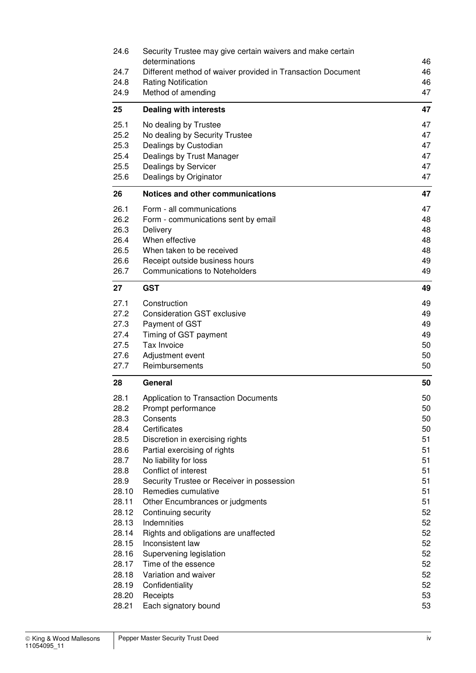| 24.6           | Security Trustee may give certain waivers and make certain  |          |
|----------------|-------------------------------------------------------------|----------|
|                | determinations                                              | 46       |
| 24.7           | Different method of waiver provided in Transaction Document | 46       |
| 24.8           | <b>Rating Notification</b>                                  | 46       |
| 24.9           | Method of amending                                          | 47       |
| 25             | <b>Dealing with interests</b>                               | 47       |
| 25.1           | No dealing by Trustee                                       | 47       |
| 25.2           | No dealing by Security Trustee                              | 47       |
| 25.3           | Dealings by Custodian                                       | 47       |
| 25.4<br>25.5   | Dealings by Trust Manager                                   | 47<br>47 |
| 25.6           | Dealings by Servicer<br>Dealings by Originator              | 47       |
|                |                                                             |          |
| 26             | Notices and other communications                            | 47       |
| 26.1           | Form - all communications                                   | 47       |
| 26.2<br>26.3   | Form - communications sent by email<br>Delivery             | 48<br>48 |
| 26.4           | When effective                                              | 48       |
| 26.5           | When taken to be received                                   | 48       |
| 26.6           | Receipt outside business hours                              | 49       |
| 26.7           | <b>Communications to Noteholders</b>                        | 49       |
| 27             | <b>GST</b>                                                  | 49       |
| 27.1           | Construction                                                | 49       |
| 27.2           | <b>Consideration GST exclusive</b>                          | 49       |
| 27.3           | Payment of GST                                              | 49       |
| 27.4           | Timing of GST payment                                       | 49       |
| 27.5           | Tax Invoice                                                 | 50       |
| 27.6           | Adjustment event                                            | 50       |
| 27.7           | Reimbursements                                              | 50       |
| 28             | General                                                     | 50       |
| 28.1           | Application to Transaction Documents                        | 50       |
| 28.2           | Prompt performance                                          | 50       |
| 28.3           | Consents                                                    | 50       |
| 28.4           | Certificates<br>Discretion in exercising rights             | 50<br>51 |
| 28.5<br>28.6   | Partial exercising of rights                                | 51       |
| 28.7           | No liability for loss                                       | 51       |
| 28.8           | Conflict of interest                                        | 51       |
| 28.9           | Security Trustee or Receiver in possession                  | 51       |
| 28.10          | Remedies cumulative                                         | 51       |
| 28.11          | Other Encumbrances or judgments                             | 51       |
| 28.12          | Continuing security                                         | 52       |
| 28.13          | Indemnities                                                 | 52       |
| 28.14          | Rights and obligations are unaffected                       | 52       |
| 28.15          | Inconsistent law                                            | 52       |
| 28.16          | Supervening legislation                                     | 52       |
| 28.17<br>28.18 | Time of the essence<br>Variation and waiver                 | 52<br>52 |
| 28.19          | Confidentiality                                             | 52       |
|                |                                                             |          |
|                |                                                             |          |
| 28.20<br>28.21 | Receipts<br>Each signatory bound                            | 53<br>53 |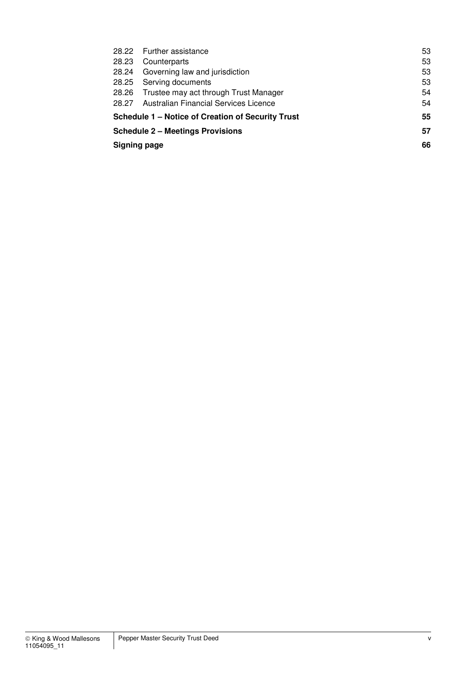|                                                         | 28.22 Further assistance                    |    |
|---------------------------------------------------------|---------------------------------------------|----|
| 28.23                                                   | Counterparts                                |    |
| 28.24                                                   | Governing law and jurisdiction              |    |
| 28.25                                                   | Serving documents                           |    |
|                                                         | 28.26 Trustee may act through Trust Manager | 54 |
| 28.27                                                   | Australian Financial Services Licence       |    |
| 55<br>Schedule 1 – Notice of Creation of Security Trust |                                             |    |
|                                                         | <b>Schedule 2 – Meetings Provisions</b>     | 57 |
| <b>Signing page</b>                                     |                                             | 66 |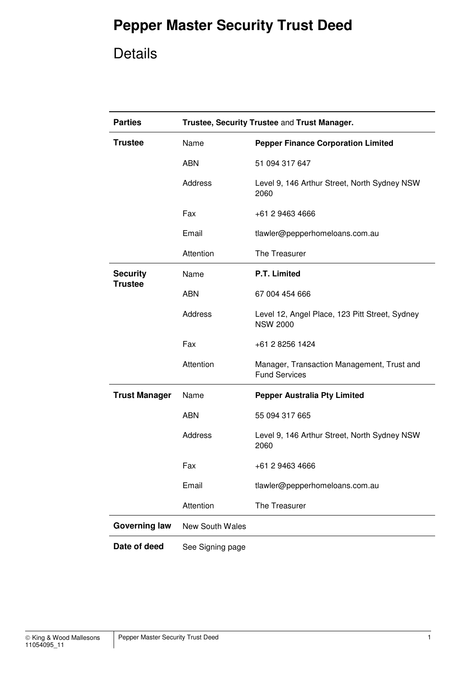## **Pepper Master Security Trust Deed**

## Details

| <b>Parties</b>       | Trustee, Security Trustee and Trust Manager. |                                                                    |
|----------------------|----------------------------------------------|--------------------------------------------------------------------|
| <b>Trustee</b>       | Name                                         | <b>Pepper Finance Corporation Limited</b>                          |
|                      | <b>ABN</b>                                   | 51 094 317 647                                                     |
|                      | Address                                      | Level 9, 146 Arthur Street, North Sydney NSW<br>2060               |
|                      | Fax                                          | +61 2 9463 4666                                                    |
|                      | Email                                        | tlawler@pepperhomeloans.com.au                                     |
|                      | Attention                                    | The Treasurer                                                      |
| <b>Security</b>      | Name                                         | P.T. Limited                                                       |
| <b>Trustee</b>       | <b>ABN</b>                                   | 67 004 454 666                                                     |
|                      | <b>Address</b>                               | Level 12, Angel Place, 123 Pitt Street, Sydney<br><b>NSW 2000</b>  |
|                      | Fax                                          | +61 2 8256 1424                                                    |
|                      | Attention                                    | Manager, Transaction Management, Trust and<br><b>Fund Services</b> |
| <b>Trust Manager</b> | Name                                         | <b>Pepper Australia Pty Limited</b>                                |
|                      | <b>ABN</b>                                   | 55 094 317 665                                                     |
|                      | <b>Address</b>                               | Level 9, 146 Arthur Street, North Sydney NSW<br>2060               |
|                      | Fax                                          | +61 2 9463 4666                                                    |
|                      | Email                                        | tlawler@pepperhomeloans.com.au                                     |
|                      | Attention                                    | The Treasurer                                                      |
| <b>Governing law</b> | <b>New South Wales</b>                       |                                                                    |
| Date of deed         | See Signing page                             |                                                                    |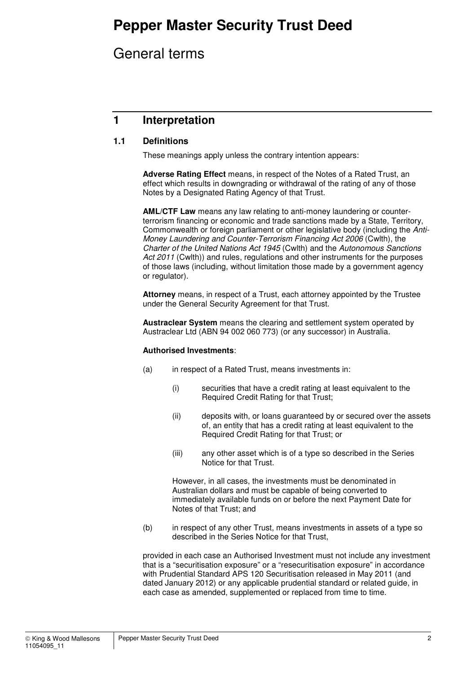## **Pepper Master Security Trust Deed**

## General terms

## **1 Interpretation**

### **1.1 Definitions**

These meanings apply unless the contrary intention appears:

**Adverse Rating Effect** means, in respect of the Notes of a Rated Trust, an effect which results in downgrading or withdrawal of the rating of any of those Notes by a Designated Rating Agency of that Trust.

**AML/CTF Law** means any law relating to anti-money laundering or counterterrorism financing or economic and trade sanctions made by a State, Territory, Commonwealth or foreign parliament or other legislative body (including the Anti-Money Laundering and Counter-Terrorism Financing Act 2006 (Cwlth), the Charter of the United Nations Act 1945 (Cwlth) and the Autonomous Sanctions Act 2011 (Cwlth)) and rules, regulations and other instruments for the purposes of those laws (including, without limitation those made by a government agency or regulator).

**Attorney** means, in respect of a Trust, each attorney appointed by the Trustee under the General Security Agreement for that Trust.

**Austraclear System** means the clearing and settlement system operated by Austraclear Ltd (ABN 94 002 060 773) (or any successor) in Australia.

#### **Authorised Investments**:

- (a) in respect of a Rated Trust, means investments in:
	- (i) securities that have a credit rating at least equivalent to the Required Credit Rating for that Trust;
	- (ii) deposits with, or loans guaranteed by or secured over the assets of, an entity that has a credit rating at least equivalent to the Required Credit Rating for that Trust; or
	- (iii) any other asset which is of a type so described in the Series Notice for that Trust.

However, in all cases, the investments must be denominated in Australian dollars and must be capable of being converted to immediately available funds on or before the next Payment Date for Notes of that Trust; and

(b) in respect of any other Trust, means investments in assets of a type so described in the Series Notice for that Trust,

provided in each case an Authorised Investment must not include any investment that is a "securitisation exposure" or a "resecuritisation exposure" in accordance with Prudential Standard APS 120 Securitisation released in May 2011 (and dated January 2012) or any applicable prudential standard or related guide, in each case as amended, supplemented or replaced from time to time.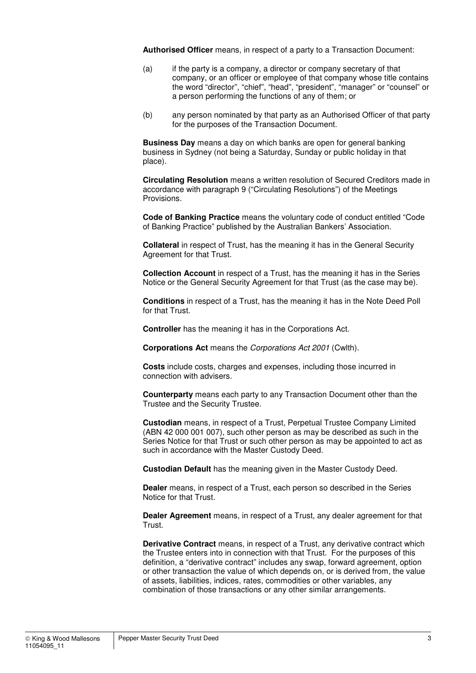**Authorised Officer** means, in respect of a party to a Transaction Document:

- (a) if the party is a company, a director or company secretary of that company, or an officer or employee of that company whose title contains the word "director", "chief", "head", "president", "manager" or "counsel" or a person performing the functions of any of them; or
- (b) any person nominated by that party as an Authorised Officer of that party for the purposes of the Transaction Document.

**Business Day** means a day on which banks are open for general banking business in Sydney (not being a Saturday, Sunday or public holiday in that place).

**Circulating Resolution** means a written resolution of Secured Creditors made in accordance with paragraph 9 ("Circulating Resolutions") of the Meetings Provisions.

**Code of Banking Practice** means the voluntary code of conduct entitled "Code of Banking Practice" published by the Australian Bankers' Association.

**Collateral** in respect of Trust, has the meaning it has in the General Security Agreement for that Trust.

**Collection Account** in respect of a Trust, has the meaning it has in the Series Notice or the General Security Agreement for that Trust (as the case may be).

**Conditions** in respect of a Trust, has the meaning it has in the Note Deed Poll for that Trust.

**Controller** has the meaning it has in the Corporations Act.

**Corporations Act** means the Corporations Act 2001 (Cwlth).

**Costs** include costs, charges and expenses, including those incurred in connection with advisers.

**Counterparty** means each party to any Transaction Document other than the Trustee and the Security Trustee.

**Custodian** means, in respect of a Trust, Perpetual Trustee Company Limited (ABN 42 000 001 007), such other person as may be described as such in the Series Notice for that Trust or such other person as may be appointed to act as such in accordance with the Master Custody Deed.

**Custodian Default** has the meaning given in the Master Custody Deed.

**Dealer** means, in respect of a Trust, each person so described in the Series Notice for that Trust.

**Dealer Agreement** means, in respect of a Trust, any dealer agreement for that Trust.

**Derivative Contract** means, in respect of a Trust, any derivative contract which the Trustee enters into in connection with that Trust. For the purposes of this definition, a "derivative contract" includes any swap, forward agreement, option or other transaction the value of which depends on, or is derived from, the value of assets, liabilities, indices, rates, commodities or other variables, any combination of those transactions or any other similar arrangements.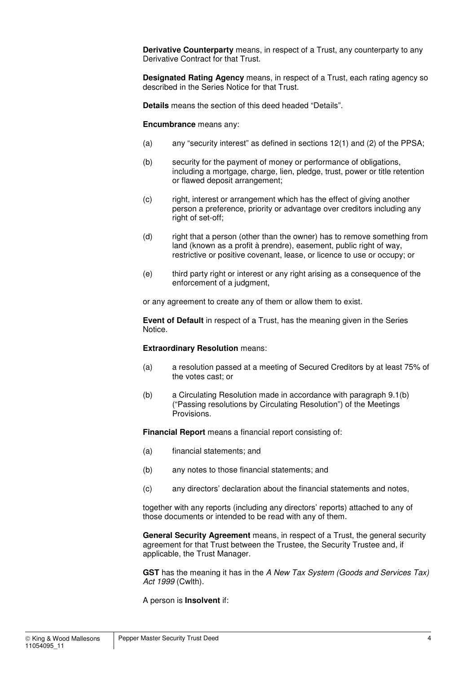**Derivative Counterparty** means, in respect of a Trust, any counterparty to any Derivative Contract for that Trust.

**Designated Rating Agency** means, in respect of a Trust, each rating agency so described in the Series Notice for that Trust.

**Details** means the section of this deed headed "Details".

#### **Encumbrance** means any:

- (a) any "security interest" as defined in sections 12(1) and (2) of the PPSA;
- (b) security for the payment of money or performance of obligations, including a mortgage, charge, lien, pledge, trust, power or title retention or flawed deposit arrangement;
- (c) right, interest or arrangement which has the effect of giving another person a preference, priority or advantage over creditors including any right of set-off;
- (d) right that a person (other than the owner) has to remove something from land (known as a profit à prendre), easement, public right of way, restrictive or positive covenant, lease, or licence to use or occupy; or
- (e) third party right or interest or any right arising as a consequence of the enforcement of a judgment,

or any agreement to create any of them or allow them to exist.

**Event of Default** in respect of a Trust, has the meaning given in the Series Notice.

#### **Extraordinary Resolution** means:

- (a) a resolution passed at a meeting of Secured Creditors by at least 75% of the votes cast; or
- (b) a Circulating Resolution made in accordance with paragraph 9.1(b) ("Passing resolutions by Circulating Resolution") of the Meetings Provisions.

**Financial Report** means a financial report consisting of:

- (a) financial statements; and
- (b) any notes to those financial statements; and
- (c) any directors' declaration about the financial statements and notes,

together with any reports (including any directors' reports) attached to any of those documents or intended to be read with any of them.

**General Security Agreement** means, in respect of a Trust, the general security agreement for that Trust between the Trustee, the Security Trustee and, if applicable, the Trust Manager.

**GST** has the meaning it has in the A New Tax System (Goods and Services Tax) Act 1999 (Cwlth).

A person is **Insolvent** if: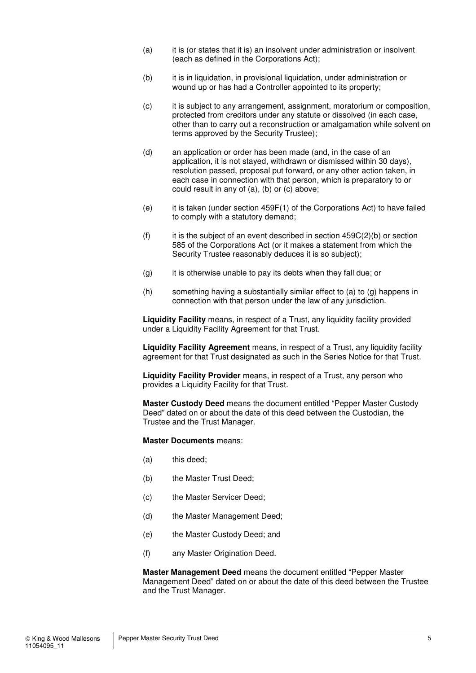- (a) it is (or states that it is) an insolvent under administration or insolvent (each as defined in the Corporations Act);
- (b) it is in liquidation, in provisional liquidation, under administration or wound up or has had a Controller appointed to its property;
- (c) it is subject to any arrangement, assignment, moratorium or composition, protected from creditors under any statute or dissolved (in each case, other than to carry out a reconstruction or amalgamation while solvent on terms approved by the Security Trustee);
- (d) an application or order has been made (and, in the case of an application, it is not stayed, withdrawn or dismissed within 30 days), resolution passed, proposal put forward, or any other action taken, in each case in connection with that person, which is preparatory to or could result in any of (a), (b) or (c) above;
- (e) it is taken (under section 459F(1) of the Corporations Act) to have failed to comply with a statutory demand;
- $(f)$  it is the subject of an event described in section 459C(2)(b) or section 585 of the Corporations Act (or it makes a statement from which the Security Trustee reasonably deduces it is so subject);
- $(q)$  it is otherwise unable to pay its debts when they fall due; or
- (h) something having a substantially similar effect to (a) to (g) happens in connection with that person under the law of any jurisdiction.

**Liquidity Facility** means, in respect of a Trust, any liquidity facility provided under a Liquidity Facility Agreement for that Trust.

**Liquidity Facility Agreement** means, in respect of a Trust, any liquidity facility agreement for that Trust designated as such in the Series Notice for that Trust.

**Liquidity Facility Provider** means, in respect of a Trust, any person who provides a Liquidity Facility for that Trust.

**Master Custody Deed** means the document entitled "Pepper Master Custody Deed" dated on or about the date of this deed between the Custodian, the Trustee and the Trust Manager.

**Master Documents** means:

- (a) this deed;
- (b) the Master Trust Deed;
- (c) the Master Servicer Deed;
- (d) the Master Management Deed;
- (e) the Master Custody Deed; and
- (f) any Master Origination Deed.

**Master Management Deed** means the document entitled "Pepper Master Management Deed" dated on or about the date of this deed between the Trustee and the Trust Manager.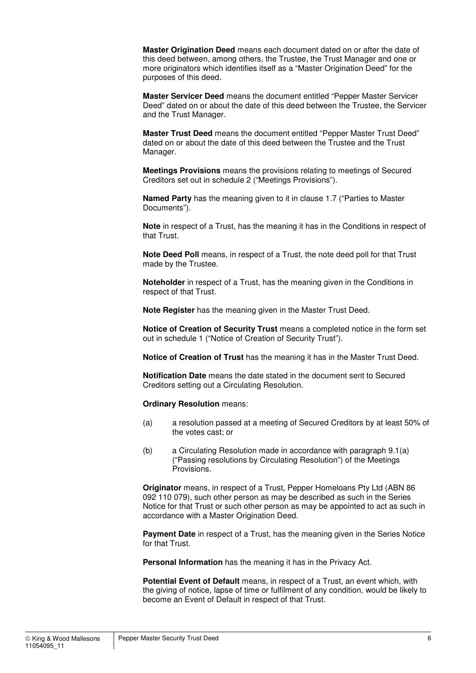**Master Origination Deed** means each document dated on or after the date of this deed between, among others, the Trustee, the Trust Manager and one or more originators which identifies itself as a "Master Origination Deed" for the purposes of this deed.

**Master Servicer Deed** means the document entitled "Pepper Master Servicer Deed" dated on or about the date of this deed between the Trustee, the Servicer and the Trust Manager.

**Master Trust Deed** means the document entitled "Pepper Master Trust Deed" dated on or about the date of this deed between the Trustee and the Trust Manager.

**Meetings Provisions** means the provisions relating to meetings of Secured Creditors set out in schedule 2 ("Meetings Provisions").

**Named Party** has the meaning given to it in clause 1.7 ("Parties to Master Documents").

**Note** in respect of a Trust, has the meaning it has in the Conditions in respect of that Trust.

**Note Deed Poll** means, in respect of a Trust, the note deed poll for that Trust made by the Trustee.

**Noteholder** in respect of a Trust, has the meaning given in the Conditions in respect of that Trust.

**Note Register** has the meaning given in the Master Trust Deed.

**Notice of Creation of Security Trust** means a completed notice in the form set out in schedule 1 ("Notice of Creation of Security Trust").

**Notice of Creation of Trust** has the meaning it has in the Master Trust Deed.

**Notification Date** means the date stated in the document sent to Secured Creditors setting out a Circulating Resolution.

**Ordinary Resolution** means:

- (a) a resolution passed at a meeting of Secured Creditors by at least 50% of the votes cast; or
- (b) a Circulating Resolution made in accordance with paragraph 9.1(a) ("Passing resolutions by Circulating Resolution") of the Meetings Provisions.

**Originator** means, in respect of a Trust, Pepper Homeloans Pty Ltd (ABN 86 092 110 079), such other person as may be described as such in the Series Notice for that Trust or such other person as may be appointed to act as such in accordance with a Master Origination Deed.

**Payment Date** in respect of a Trust, has the meaning given in the Series Notice for that Trust.

**Personal Information** has the meaning it has in the Privacy Act.

**Potential Event of Default** means, in respect of a Trust, an event which, with the giving of notice, lapse of time or fulfilment of any condition, would be likely to become an Event of Default in respect of that Trust.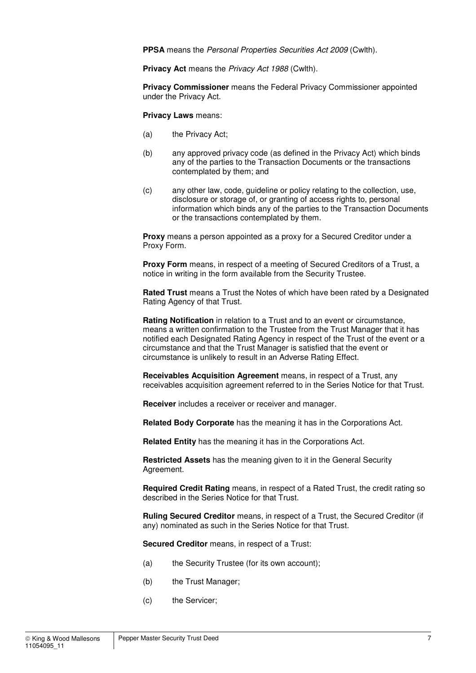**PPSA** means the Personal Properties Securities Act 2009 (Cwlth).

**Privacy Act** means the Privacy Act 1988 (Cwlth).

**Privacy Commissioner** means the Federal Privacy Commissioner appointed under the Privacy Act.

**Privacy Laws** means:

- (a) the Privacy Act;
- (b) any approved privacy code (as defined in the Privacy Act) which binds any of the parties to the Transaction Documents or the transactions contemplated by them; and
- (c) any other law, code, guideline or policy relating to the collection, use, disclosure or storage of, or granting of access rights to, personal information which binds any of the parties to the Transaction Documents or the transactions contemplated by them.

**Proxy** means a person appointed as a proxy for a Secured Creditor under a Proxy Form.

**Proxy Form** means, in respect of a meeting of Secured Creditors of a Trust, a notice in writing in the form available from the Security Trustee.

**Rated Trust** means a Trust the Notes of which have been rated by a Designated Rating Agency of that Trust.

**Rating Notification** in relation to a Trust and to an event or circumstance, means a written confirmation to the Trustee from the Trust Manager that it has notified each Designated Rating Agency in respect of the Trust of the event or a circumstance and that the Trust Manager is satisfied that the event or circumstance is unlikely to result in an Adverse Rating Effect.

**Receivables Acquisition Agreement** means, in respect of a Trust, any receivables acquisition agreement referred to in the Series Notice for that Trust.

**Receiver** includes a receiver or receiver and manager.

**Related Body Corporate** has the meaning it has in the Corporations Act.

**Related Entity** has the meaning it has in the Corporations Act.

**Restricted Assets** has the meaning given to it in the General Security Agreement.

**Required Credit Rating** means, in respect of a Rated Trust, the credit rating so described in the Series Notice for that Trust.

**Ruling Secured Creditor** means, in respect of a Trust, the Secured Creditor (if any) nominated as such in the Series Notice for that Trust.

**Secured Creditor** means, in respect of a Trust:

- (a) the Security Trustee (for its own account);
- (b) the Trust Manager;
- (c) the Servicer;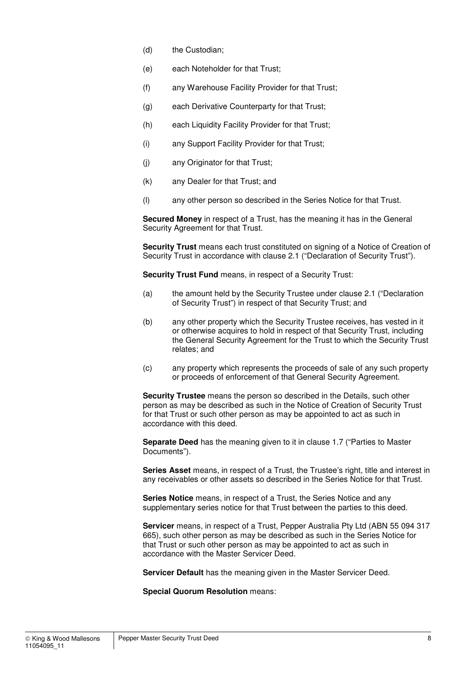- (d) the Custodian;
- (e) each Noteholder for that Trust;
- (f) any Warehouse Facility Provider for that Trust;
- (g) each Derivative Counterparty for that Trust;
- (h) each Liquidity Facility Provider for that Trust;
- (i) any Support Facility Provider for that Trust;
- (j) any Originator for that Trust;
- (k) any Dealer for that Trust; and
- (l) any other person so described in the Series Notice for that Trust.

**Secured Money** in respect of a Trust, has the meaning it has in the General Security Agreement for that Trust.

**Security Trust** means each trust constituted on signing of a Notice of Creation of Security Trust in accordance with clause 2.1 ("Declaration of Security Trust").

**Security Trust Fund** means, in respect of a Security Trust:

- (a) the amount held by the Security Trustee under clause 2.1 ("Declaration of Security Trust") in respect of that Security Trust; and
- (b) any other property which the Security Trustee receives, has vested in it or otherwise acquires to hold in respect of that Security Trust, including the General Security Agreement for the Trust to which the Security Trust relates; and
- (c) any property which represents the proceeds of sale of any such property or proceeds of enforcement of that General Security Agreement.

**Security Trustee** means the person so described in the Details, such other person as may be described as such in the Notice of Creation of Security Trust for that Trust or such other person as may be appointed to act as such in accordance with this deed.

**Separate Deed** has the meaning given to it in clause 1.7 ("Parties to Master Documents").

**Series Asset** means, in respect of a Trust, the Trustee's right, title and interest in any receivables or other assets so described in the Series Notice for that Trust.

**Series Notice** means, in respect of a Trust, the Series Notice and any supplementary series notice for that Trust between the parties to this deed.

**Servicer** means, in respect of a Trust, Pepper Australia Pty Ltd (ABN 55 094 317 665), such other person as may be described as such in the Series Notice for that Trust or such other person as may be appointed to act as such in accordance with the Master Servicer Deed.

**Servicer Default** has the meaning given in the Master Servicer Deed.

**Special Quorum Resolution** means: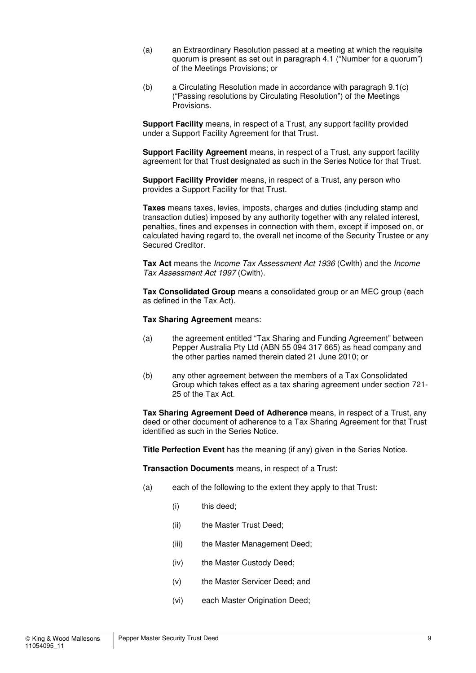- (a) an Extraordinary Resolution passed at a meeting at which the requisite quorum is present as set out in paragraph 4.1 ("Number for a quorum") of the Meetings Provisions; or
- (b) a Circulating Resolution made in accordance with paragraph 9.1(c) ("Passing resolutions by Circulating Resolution") of the Meetings Provisions.

**Support Facility** means, in respect of a Trust, any support facility provided under a Support Facility Agreement for that Trust.

**Support Facility Agreement** means, in respect of a Trust, any support facility agreement for that Trust designated as such in the Series Notice for that Trust.

**Support Facility Provider** means, in respect of a Trust, any person who provides a Support Facility for that Trust.

**Taxes** means taxes, levies, imposts, charges and duties (including stamp and transaction duties) imposed by any authority together with any related interest, penalties, fines and expenses in connection with them, except if imposed on, or calculated having regard to, the overall net income of the Security Trustee or any Secured Creditor.

**Tax Act** means the Income Tax Assessment Act 1936 (Cwlth) and the Income Tax Assessment Act 1997 (Cwlth).

**Tax Consolidated Group** means a consolidated group or an MEC group (each as defined in the Tax Act).

**Tax Sharing Agreement** means:

- (a) the agreement entitled "Tax Sharing and Funding Agreement" between Pepper Australia Pty Ltd (ABN 55 094 317 665) as head company and the other parties named therein dated 21 June 2010; or
- (b) any other agreement between the members of a Tax Consolidated Group which takes effect as a tax sharing agreement under section 721- 25 of the Tax Act.

**Tax Sharing Agreement Deed of Adherence** means, in respect of a Trust, any deed or other document of adherence to a Tax Sharing Agreement for that Trust identified as such in the Series Notice.

**Title Perfection Event** has the meaning (if any) given in the Series Notice.

**Transaction Documents** means, in respect of a Trust:

- (a) each of the following to the extent they apply to that Trust:
	- (i) this deed;
	- (ii) the Master Trust Deed;
	- (iii) the Master Management Deed;
	- (iv) the Master Custody Deed;
	- (v) the Master Servicer Deed; and
	- (vi) each Master Origination Deed;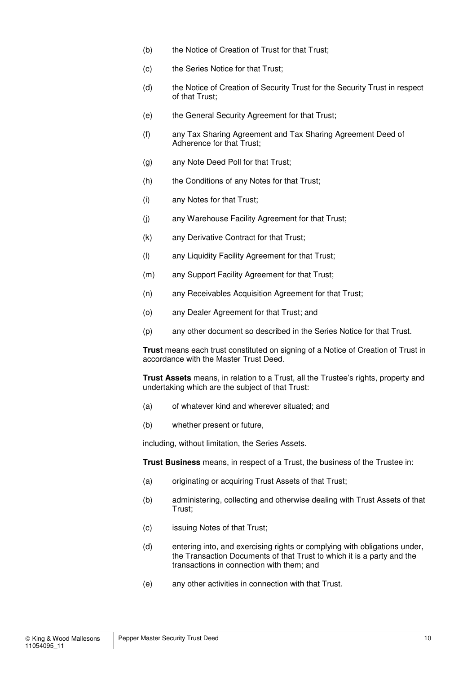- (b) the Notice of Creation of Trust for that Trust;
- (c) the Series Notice for that Trust;
- (d) the Notice of Creation of Security Trust for the Security Trust in respect of that Trust;
- (e) the General Security Agreement for that Trust;
- (f) any Tax Sharing Agreement and Tax Sharing Agreement Deed of Adherence for that Trust;
- (g) any Note Deed Poll for that Trust;
- (h) the Conditions of any Notes for that Trust;
- (i) any Notes for that Trust;
- (j) any Warehouse Facility Agreement for that Trust;
- (k) any Derivative Contract for that Trust;
- (l) any Liquidity Facility Agreement for that Trust;
- (m) any Support Facility Agreement for that Trust;
- (n) any Receivables Acquisition Agreement for that Trust;
- (o) any Dealer Agreement for that Trust; and
- (p) any other document so described in the Series Notice for that Trust.

**Trust** means each trust constituted on signing of a Notice of Creation of Trust in accordance with the Master Trust Deed.

**Trust Assets** means, in relation to a Trust, all the Trustee's rights, property and undertaking which are the subject of that Trust:

- (a) of whatever kind and wherever situated; and
- (b) whether present or future,

including, without limitation, the Series Assets.

**Trust Business** means, in respect of a Trust, the business of the Trustee in:

- (a) originating or acquiring Trust Assets of that Trust;
- (b) administering, collecting and otherwise dealing with Trust Assets of that Trust;
- (c) issuing Notes of that Trust;
- (d) entering into, and exercising rights or complying with obligations under, the Transaction Documents of that Trust to which it is a party and the transactions in connection with them; and
- (e) any other activities in connection with that Trust.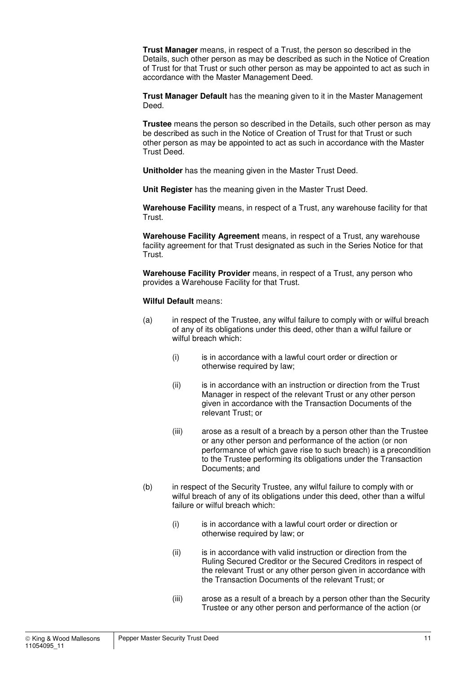**Trust Manager** means, in respect of a Trust, the person so described in the Details, such other person as may be described as such in the Notice of Creation of Trust for that Trust or such other person as may be appointed to act as such in accordance with the Master Management Deed.

**Trust Manager Default** has the meaning given to it in the Master Management Deed.

**Trustee** means the person so described in the Details, such other person as may be described as such in the Notice of Creation of Trust for that Trust or such other person as may be appointed to act as such in accordance with the Master Trust Deed.

**Unitholder** has the meaning given in the Master Trust Deed.

**Unit Register** has the meaning given in the Master Trust Deed.

**Warehouse Facility** means, in respect of a Trust, any warehouse facility for that Trust.

**Warehouse Facility Agreement** means, in respect of a Trust, any warehouse facility agreement for that Trust designated as such in the Series Notice for that Trust.

**Warehouse Facility Provider** means, in respect of a Trust, any person who provides a Warehouse Facility for that Trust.

#### **Wilful Default** means:

- (a) in respect of the Trustee, any wilful failure to comply with or wilful breach of any of its obligations under this deed, other than a wilful failure or wilful breach which:
	- (i) is in accordance with a lawful court order or direction or otherwise required by law;
	- (ii) is in accordance with an instruction or direction from the Trust Manager in respect of the relevant Trust or any other person given in accordance with the Transaction Documents of the relevant Trust; or
	- (iii) arose as a result of a breach by a person other than the Trustee or any other person and performance of the action (or non performance of which gave rise to such breach) is a precondition to the Trustee performing its obligations under the Transaction Documents; and
- (b) in respect of the Security Trustee, any wilful failure to comply with or wilful breach of any of its obligations under this deed, other than a wilful failure or wilful breach which:
	- (i) is in accordance with a lawful court order or direction or otherwise required by law; or
	- (ii) is in accordance with valid instruction or direction from the Ruling Secured Creditor or the Secured Creditors in respect of the relevant Trust or any other person given in accordance with the Transaction Documents of the relevant Trust; or
	- (iii) arose as a result of a breach by a person other than the Security Trustee or any other person and performance of the action (or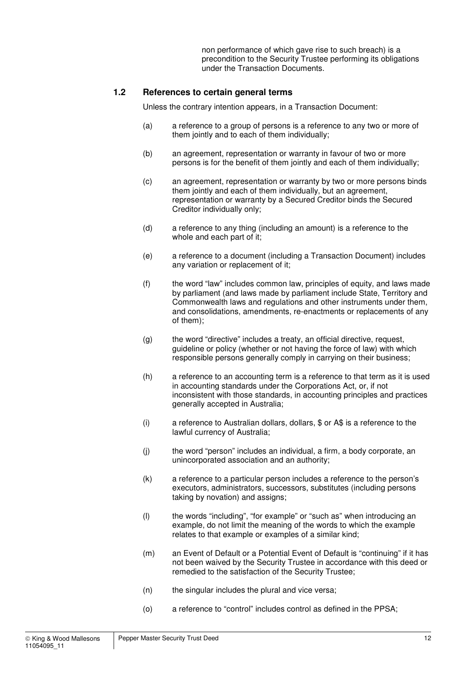non performance of which gave rise to such breach) is a precondition to the Security Trustee performing its obligations under the Transaction Documents.

#### **1.2 References to certain general terms**

Unless the contrary intention appears, in a Transaction Document:

- (a) a reference to a group of persons is a reference to any two or more of them jointly and to each of them individually;
- (b) an agreement, representation or warranty in favour of two or more persons is for the benefit of them jointly and each of them individually;
- (c) an agreement, representation or warranty by two or more persons binds them jointly and each of them individually, but an agreement, representation or warranty by a Secured Creditor binds the Secured Creditor individually only;
- (d) a reference to any thing (including an amount) is a reference to the whole and each part of it;
- (e) a reference to a document (including a Transaction Document) includes any variation or replacement of it;
- (f) the word "law" includes common law, principles of equity, and laws made by parliament (and laws made by parliament include State, Territory and Commonwealth laws and regulations and other instruments under them, and consolidations, amendments, re-enactments or replacements of any of them);
- (g) the word "directive" includes a treaty, an official directive, request, guideline or policy (whether or not having the force of law) with which responsible persons generally comply in carrying on their business;
- (h) a reference to an accounting term is a reference to that term as it is used in accounting standards under the Corporations Act, or, if not inconsistent with those standards, in accounting principles and practices generally accepted in Australia;
- (i) a reference to Australian dollars, dollars, \$ or A\$ is a reference to the lawful currency of Australia;
- (j) the word "person" includes an individual, a firm, a body corporate, an unincorporated association and an authority;
- (k) a reference to a particular person includes a reference to the person's executors, administrators, successors, substitutes (including persons taking by novation) and assigns;
- (l) the words "including", "for example" or "such as" when introducing an example, do not limit the meaning of the words to which the example relates to that example or examples of a similar kind;
- (m) an Event of Default or a Potential Event of Default is "continuing" if it has not been waived by the Security Trustee in accordance with this deed or remedied to the satisfaction of the Security Trustee;
- (n) the singular includes the plural and vice versa;
- (o) a reference to "control" includes control as defined in the PPSA;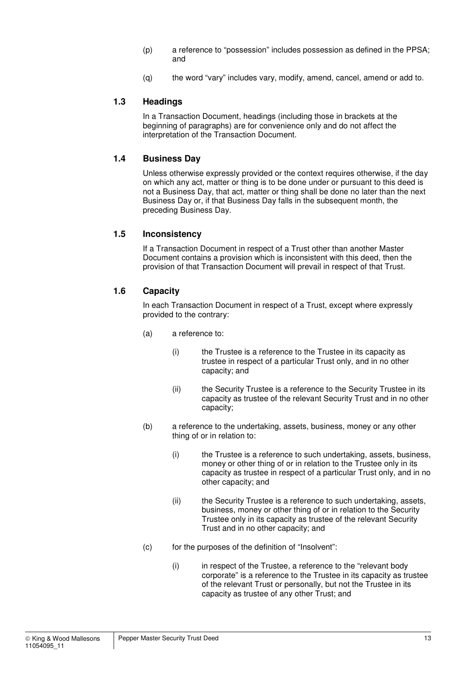- (p) a reference to "possession" includes possession as defined in the PPSA; and
- (q) the word "vary" includes vary, modify, amend, cancel, amend or add to.

#### **1.3 Headings**

In a Transaction Document, headings (including those in brackets at the beginning of paragraphs) are for convenience only and do not affect the interpretation of the Transaction Document.

#### **1.4 Business Day**

Unless otherwise expressly provided or the context requires otherwise, if the day on which any act, matter or thing is to be done under or pursuant to this deed is not a Business Day, that act, matter or thing shall be done no later than the next Business Day or, if that Business Day falls in the subsequent month, the preceding Business Day.

#### **1.5 Inconsistency**

If a Transaction Document in respect of a Trust other than another Master Document contains a provision which is inconsistent with this deed, then the provision of that Transaction Document will prevail in respect of that Trust.

#### **1.6 Capacity**

In each Transaction Document in respect of a Trust, except where expressly provided to the contrary:

- (a) a reference to:
	- (i) the Trustee is a reference to the Trustee in its capacity as trustee in respect of a particular Trust only, and in no other capacity; and
	- (ii) the Security Trustee is a reference to the Security Trustee in its capacity as trustee of the relevant Security Trust and in no other capacity;
- (b) a reference to the undertaking, assets, business, money or any other thing of or in relation to:
	- (i) the Trustee is a reference to such undertaking, assets, business, money or other thing of or in relation to the Trustee only in its capacity as trustee in respect of a particular Trust only, and in no other capacity; and
	- (ii) the Security Trustee is a reference to such undertaking, assets, business, money or other thing of or in relation to the Security Trustee only in its capacity as trustee of the relevant Security Trust and in no other capacity; and
- (c) for the purposes of the definition of "Insolvent":
	- (i) in respect of the Trustee, a reference to the "relevant body corporate" is a reference to the Trustee in its capacity as trustee of the relevant Trust or personally, but not the Trustee in its capacity as trustee of any other Trust; and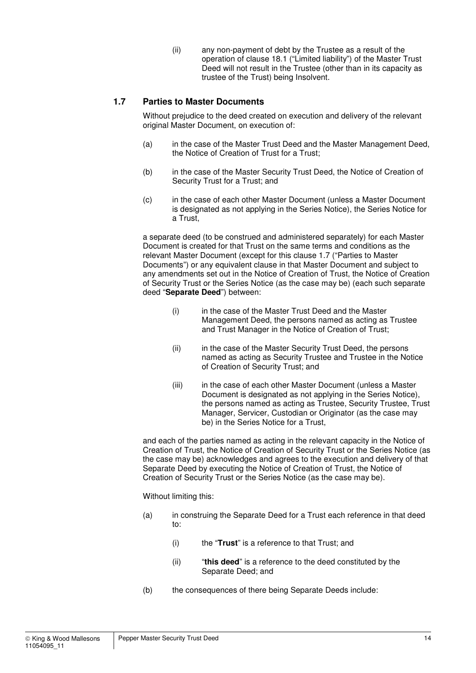(ii) any non-payment of debt by the Trustee as a result of the operation of clause 18.1 ("Limited liability") of the Master Trust Deed will not result in the Trustee (other than in its capacity as trustee of the Trust) being Insolvent.

## **1.7 Parties to Master Documents**

Without prejudice to the deed created on execution and delivery of the relevant original Master Document, on execution of:

- (a) in the case of the Master Trust Deed and the Master Management Deed, the Notice of Creation of Trust for a Trust;
- (b) in the case of the Master Security Trust Deed, the Notice of Creation of Security Trust for a Trust; and
- (c) in the case of each other Master Document (unless a Master Document is designated as not applying in the Series Notice), the Series Notice for a Trust,

a separate deed (to be construed and administered separately) for each Master Document is created for that Trust on the same terms and conditions as the relevant Master Document (except for this clause 1.7 ("Parties to Master Documents") or any equivalent clause in that Master Document and subject to any amendments set out in the Notice of Creation of Trust, the Notice of Creation of Security Trust or the Series Notice (as the case may be) (each such separate deed "**Separate Deed**") between:

- (i) in the case of the Master Trust Deed and the Master Management Deed, the persons named as acting as Trustee and Trust Manager in the Notice of Creation of Trust;
- (ii) in the case of the Master Security Trust Deed, the persons named as acting as Security Trustee and Trustee in the Notice of Creation of Security Trust; and
- (iii) in the case of each other Master Document (unless a Master Document is designated as not applying in the Series Notice), the persons named as acting as Trustee, Security Trustee, Trust Manager, Servicer, Custodian or Originator (as the case may be) in the Series Notice for a Trust,

and each of the parties named as acting in the relevant capacity in the Notice of Creation of Trust, the Notice of Creation of Security Trust or the Series Notice (as the case may be) acknowledges and agrees to the execution and delivery of that Separate Deed by executing the Notice of Creation of Trust, the Notice of Creation of Security Trust or the Series Notice (as the case may be).

Without limiting this:

- (a) in construing the Separate Deed for a Trust each reference in that deed to:
	- (i) the "**Trust**" is a reference to that Trust; and
	- (ii) "**this deed**" is a reference to the deed constituted by the Separate Deed; and
- (b) the consequences of there being Separate Deeds include: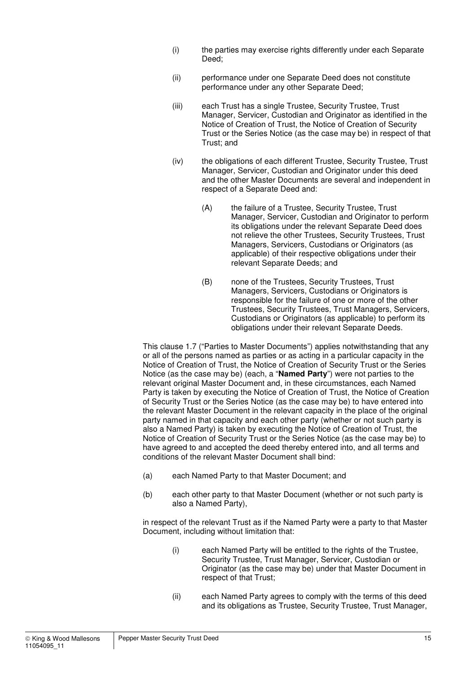- (i) the parties may exercise rights differently under each Separate Deed;
- (ii) performance under one Separate Deed does not constitute performance under any other Separate Deed;
- (iii) each Trust has a single Trustee, Security Trustee, Trust Manager, Servicer, Custodian and Originator as identified in the Notice of Creation of Trust, the Notice of Creation of Security Trust or the Series Notice (as the case may be) in respect of that Trust; and
- (iv) the obligations of each different Trustee, Security Trustee, Trust Manager, Servicer, Custodian and Originator under this deed and the other Master Documents are several and independent in respect of a Separate Deed and:
	- (A) the failure of a Trustee, Security Trustee, Trust Manager, Servicer, Custodian and Originator to perform its obligations under the relevant Separate Deed does not relieve the other Trustees, Security Trustees, Trust Managers, Servicers, Custodians or Originators (as applicable) of their respective obligations under their relevant Separate Deeds; and
	- (B) none of the Trustees, Security Trustees, Trust Managers, Servicers, Custodians or Originators is responsible for the failure of one or more of the other Trustees, Security Trustees, Trust Managers, Servicers, Custodians or Originators (as applicable) to perform its obligations under their relevant Separate Deeds.

This clause 1.7 ("Parties to Master Documents") applies notwithstanding that any or all of the persons named as parties or as acting in a particular capacity in the Notice of Creation of Trust, the Notice of Creation of Security Trust or the Series Notice (as the case may be) (each, a "**Named Party**") were not parties to the relevant original Master Document and, in these circumstances, each Named Party is taken by executing the Notice of Creation of Trust, the Notice of Creation of Security Trust or the Series Notice (as the case may be) to have entered into the relevant Master Document in the relevant capacity in the place of the original party named in that capacity and each other party (whether or not such party is also a Named Party) is taken by executing the Notice of Creation of Trust, the Notice of Creation of Security Trust or the Series Notice (as the case may be) to have agreed to and accepted the deed thereby entered into, and all terms and conditions of the relevant Master Document shall bind:

- (a) each Named Party to that Master Document; and
- (b) each other party to that Master Document (whether or not such party is also a Named Party),

in respect of the relevant Trust as if the Named Party were a party to that Master Document, including without limitation that:

- (i) each Named Party will be entitled to the rights of the Trustee, Security Trustee, Trust Manager, Servicer, Custodian or Originator (as the case may be) under that Master Document in respect of that Trust;
- (ii) each Named Party agrees to comply with the terms of this deed and its obligations as Trustee, Security Trustee, Trust Manager,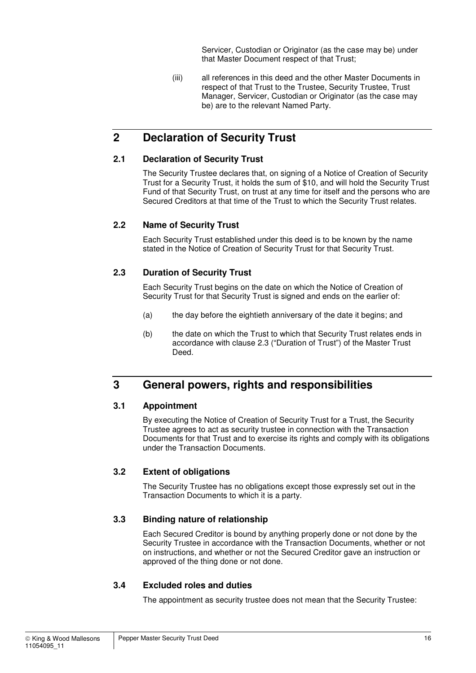Servicer, Custodian or Originator (as the case may be) under that Master Document respect of that Trust;

(iii) all references in this deed and the other Master Documents in respect of that Trust to the Trustee, Security Trustee, Trust Manager, Servicer, Custodian or Originator (as the case may be) are to the relevant Named Party.

## **2 Declaration of Security Trust**

## **2.1 Declaration of Security Trust**

The Security Trustee declares that, on signing of a Notice of Creation of Security Trust for a Security Trust, it holds the sum of \$10, and will hold the Security Trust Fund of that Security Trust, on trust at any time for itself and the persons who are Secured Creditors at that time of the Trust to which the Security Trust relates.

## **2.2 Name of Security Trust**

Each Security Trust established under this deed is to be known by the name stated in the Notice of Creation of Security Trust for that Security Trust.

## **2.3 Duration of Security Trust**

Each Security Trust begins on the date on which the Notice of Creation of Security Trust for that Security Trust is signed and ends on the earlier of:

- (a) the day before the eightieth anniversary of the date it begins; and
- (b) the date on which the Trust to which that Security Trust relates ends in accordance with clause 2.3 ("Duration of Trust") of the Master Trust Deed.

## **3 General powers, rights and responsibilities**

## **3.1 Appointment**

By executing the Notice of Creation of Security Trust for a Trust, the Security Trustee agrees to act as security trustee in connection with the Transaction Documents for that Trust and to exercise its rights and comply with its obligations under the Transaction Documents.

## **3.2 Extent of obligations**

The Security Trustee has no obligations except those expressly set out in the Transaction Documents to which it is a party.

## **3.3 Binding nature of relationship**

Each Secured Creditor is bound by anything properly done or not done by the Security Trustee in accordance with the Transaction Documents, whether or not on instructions, and whether or not the Secured Creditor gave an instruction or approved of the thing done or not done.

## **3.4 Excluded roles and duties**

The appointment as security trustee does not mean that the Security Trustee: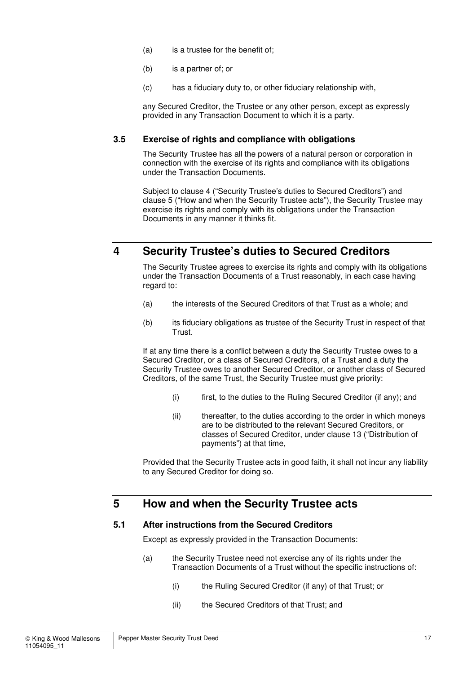- (a) is a trustee for the benefit of;
- (b) is a partner of; or
- (c) has a fiduciary duty to, or other fiduciary relationship with,

any Secured Creditor, the Trustee or any other person, except as expressly provided in any Transaction Document to which it is a party.

#### **3.5 Exercise of rights and compliance with obligations**

The Security Trustee has all the powers of a natural person or corporation in connection with the exercise of its rights and compliance with its obligations under the Transaction Documents.

Subject to clause 4 ("Security Trustee's duties to Secured Creditors") and clause 5 ("How and when the Security Trustee acts"), the Security Trustee may exercise its rights and comply with its obligations under the Transaction Documents in any manner it thinks fit.

## **4 Security Trustee's duties to Secured Creditors**

The Security Trustee agrees to exercise its rights and comply with its obligations under the Transaction Documents of a Trust reasonably, in each case having regard to:

- (a) the interests of the Secured Creditors of that Trust as a whole; and
- (b) its fiduciary obligations as trustee of the Security Trust in respect of that Trust.

If at any time there is a conflict between a duty the Security Trustee owes to a Secured Creditor, or a class of Secured Creditors, of a Trust and a duty the Security Trustee owes to another Secured Creditor, or another class of Secured Creditors, of the same Trust, the Security Trustee must give priority:

- (i) first, to the duties to the Ruling Secured Creditor (if any); and
- (ii) thereafter, to the duties according to the order in which moneys are to be distributed to the relevant Secured Creditors, or classes of Secured Creditor, under clause 13 ("Distribution of payments") at that time,

Provided that the Security Trustee acts in good faith, it shall not incur any liability to any Secured Creditor for doing so.

## **5 How and when the Security Trustee acts**

#### **5.1 After instructions from the Secured Creditors**

Except as expressly provided in the Transaction Documents:

- (a) the Security Trustee need not exercise any of its rights under the Transaction Documents of a Trust without the specific instructions of:
	- (i) the Ruling Secured Creditor (if any) of that Trust; or
	- (ii) the Secured Creditors of that Trust; and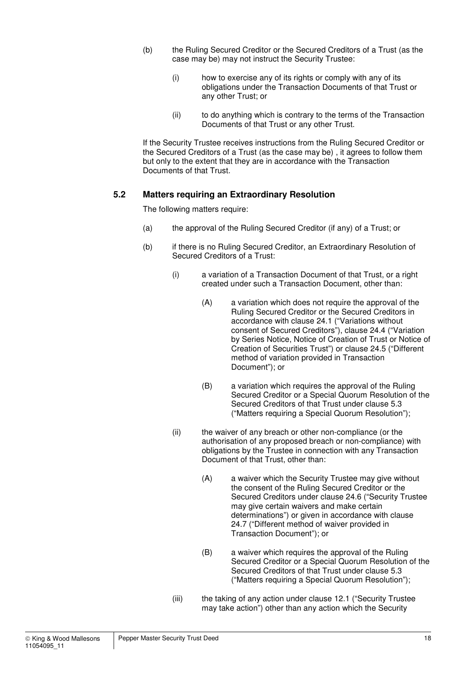- (b) the Ruling Secured Creditor or the Secured Creditors of a Trust (as the case may be) may not instruct the Security Trustee:
	- (i) how to exercise any of its rights or comply with any of its obligations under the Transaction Documents of that Trust or any other Trust; or
	- (ii) to do anything which is contrary to the terms of the Transaction Documents of that Trust or any other Trust.

If the Security Trustee receives instructions from the Ruling Secured Creditor or the Secured Creditors of a Trust (as the case may be) , it agrees to follow them but only to the extent that they are in accordance with the Transaction Documents of that Trust.

#### **5.2 Matters requiring an Extraordinary Resolution**

The following matters require:

- (a) the approval of the Ruling Secured Creditor (if any) of a Trust; or
- (b) if there is no Ruling Secured Creditor, an Extraordinary Resolution of Secured Creditors of a Trust:
	- (i) a variation of a Transaction Document of that Trust, or a right created under such a Transaction Document, other than:
		- (A) a variation which does not require the approval of the Ruling Secured Creditor or the Secured Creditors in accordance with clause 24.1 ("Variations without consent of Secured Creditors"), clause 24.4 ("Variation by Series Notice, Notice of Creation of Trust or Notice of Creation of Securities Trust") or clause 24.5 ("Different method of variation provided in Transaction Document"); or
		- (B) a variation which requires the approval of the Ruling Secured Creditor or a Special Quorum Resolution of the Secured Creditors of that Trust under clause 5.3 ("Matters requiring a Special Quorum Resolution");
	- (ii) the waiver of any breach or other non-compliance (or the authorisation of any proposed breach or non-compliance) with obligations by the Trustee in connection with any Transaction Document of that Trust, other than:
		- (A) a waiver which the Security Trustee may give without the consent of the Ruling Secured Creditor or the Secured Creditors under clause 24.6 ("Security Trustee may give certain waivers and make certain determinations") or given in accordance with clause 24.7 ("Different method of waiver provided in Transaction Document"); or
		- (B) a waiver which requires the approval of the Ruling Secured Creditor or a Special Quorum Resolution of the Secured Creditors of that Trust under clause 5.3 ("Matters requiring a Special Quorum Resolution");
	- (iii) the taking of any action under clause 12.1 ("Security Trustee may take action") other than any action which the Security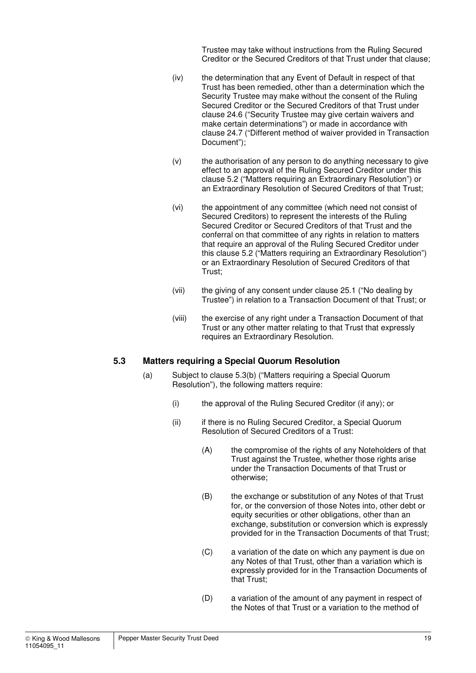Trustee may take without instructions from the Ruling Secured Creditor or the Secured Creditors of that Trust under that clause;

- (iv) the determination that any Event of Default in respect of that Trust has been remedied, other than a determination which the Security Trustee may make without the consent of the Ruling Secured Creditor or the Secured Creditors of that Trust under clause 24.6 ("Security Trustee may give certain waivers and make certain determinations") or made in accordance with clause 24.7 ("Different method of waiver provided in Transaction Document");
- (v) the authorisation of any person to do anything necessary to give effect to an approval of the Ruling Secured Creditor under this clause 5.2 ("Matters requiring an Extraordinary Resolution") or an Extraordinary Resolution of Secured Creditors of that Trust;
- (vi) the appointment of any committee (which need not consist of Secured Creditors) to represent the interests of the Ruling Secured Creditor or Secured Creditors of that Trust and the conferral on that committee of any rights in relation to matters that require an approval of the Ruling Secured Creditor under this clause 5.2 ("Matters requiring an Extraordinary Resolution") or an Extraordinary Resolution of Secured Creditors of that Trust;
- (vii) the giving of any consent under clause 25.1 ("No dealing by Trustee") in relation to a Transaction Document of that Trust; or
- (viii) the exercise of any right under a Transaction Document of that Trust or any other matter relating to that Trust that expressly requires an Extraordinary Resolution.

#### **5.3 Matters requiring a Special Quorum Resolution**

- (a) Subject to clause 5.3(b) ("Matters requiring a Special Quorum Resolution"), the following matters require:
	- (i) the approval of the Ruling Secured Creditor (if any); or
	- (ii) if there is no Ruling Secured Creditor, a Special Quorum Resolution of Secured Creditors of a Trust:
		- (A) the compromise of the rights of any Noteholders of that Trust against the Trustee, whether those rights arise under the Transaction Documents of that Trust or otherwise;
		- (B) the exchange or substitution of any Notes of that Trust for, or the conversion of those Notes into, other debt or equity securities or other obligations, other than an exchange, substitution or conversion which is expressly provided for in the Transaction Documents of that Trust;
		- (C) a variation of the date on which any payment is due on any Notes of that Trust, other than a variation which is expressly provided for in the Transaction Documents of that Trust;
		- (D) a variation of the amount of any payment in respect of the Notes of that Trust or a variation to the method of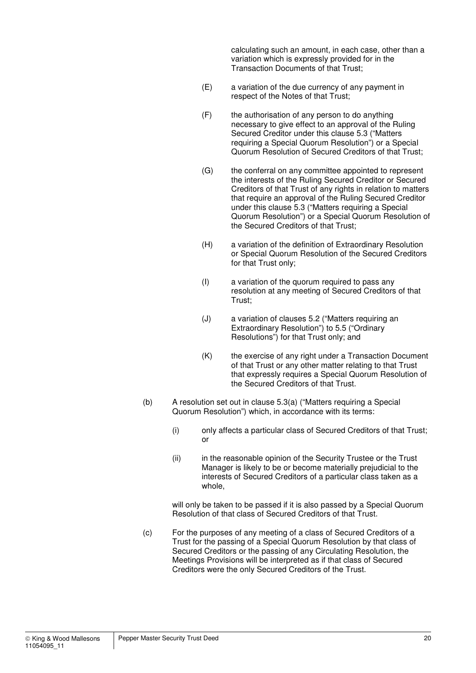calculating such an amount, in each case, other than a variation which is expressly provided for in the Transaction Documents of that Trust;

- (E) a variation of the due currency of any payment in respect of the Notes of that Trust;
- (F) the authorisation of any person to do anything necessary to give effect to an approval of the Ruling Secured Creditor under this clause 5.3 ("Matters requiring a Special Quorum Resolution") or a Special Quorum Resolution of Secured Creditors of that Trust;
- (G) the conferral on any committee appointed to represent the interests of the Ruling Secured Creditor or Secured Creditors of that Trust of any rights in relation to matters that require an approval of the Ruling Secured Creditor under this clause 5.3 ("Matters requiring a Special Quorum Resolution") or a Special Quorum Resolution of the Secured Creditors of that Trust;
- (H) a variation of the definition of Extraordinary Resolution or Special Quorum Resolution of the Secured Creditors for that Trust only;
- (I) a variation of the quorum required to pass any resolution at any meeting of Secured Creditors of that Trust;
- (J) a variation of clauses 5.2 ("Matters requiring an Extraordinary Resolution") to 5.5 ("Ordinary Resolutions") for that Trust only; and
- (K) the exercise of any right under a Transaction Document of that Trust or any other matter relating to that Trust that expressly requires a Special Quorum Resolution of the Secured Creditors of that Trust.
- (b) A resolution set out in clause 5.3(a) ("Matters requiring a Special Quorum Resolution") which, in accordance with its terms:
	- (i) only affects a particular class of Secured Creditors of that Trust; or
	- (ii) in the reasonable opinion of the Security Trustee or the Trust Manager is likely to be or become materially prejudicial to the interests of Secured Creditors of a particular class taken as a whole,

will only be taken to be passed if it is also passed by a Special Quorum Resolution of that class of Secured Creditors of that Trust.

(c) For the purposes of any meeting of a class of Secured Creditors of a Trust for the passing of a Special Quorum Resolution by that class of Secured Creditors or the passing of any Circulating Resolution, the Meetings Provisions will be interpreted as if that class of Secured Creditors were the only Secured Creditors of the Trust.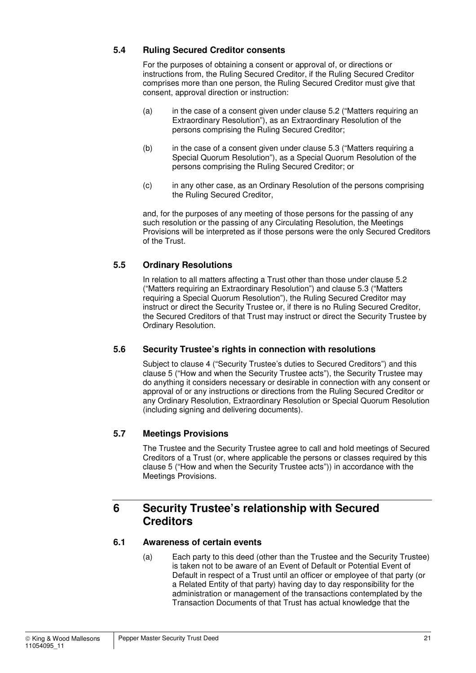## **5.4 Ruling Secured Creditor consents**

For the purposes of obtaining a consent or approval of, or directions or instructions from, the Ruling Secured Creditor, if the Ruling Secured Creditor comprises more than one person, the Ruling Secured Creditor must give that consent, approval direction or instruction:

- (a) in the case of a consent given under clause 5.2 ("Matters requiring an Extraordinary Resolution"), as an Extraordinary Resolution of the persons comprising the Ruling Secured Creditor;
- (b) in the case of a consent given under clause 5.3 ("Matters requiring a Special Quorum Resolution"), as a Special Quorum Resolution of the persons comprising the Ruling Secured Creditor; or
- (c) in any other case, as an Ordinary Resolution of the persons comprising the Ruling Secured Creditor,

and, for the purposes of any meeting of those persons for the passing of any such resolution or the passing of any Circulating Resolution, the Meetings Provisions will be interpreted as if those persons were the only Secured Creditors of the Trust.

## **5.5 Ordinary Resolutions**

In relation to all matters affecting a Trust other than those under clause 5.2 ("Matters requiring an Extraordinary Resolution") and clause 5.3 ("Matters requiring a Special Quorum Resolution"), the Ruling Secured Creditor may instruct or direct the Security Trustee or, if there is no Ruling Secured Creditor, the Secured Creditors of that Trust may instruct or direct the Security Trustee by Ordinary Resolution.

## **5.6 Security Trustee's rights in connection with resolutions**

Subject to clause 4 ("Security Trustee's duties to Secured Creditors") and this clause 5 ("How and when the Security Trustee acts"), the Security Trustee may do anything it considers necessary or desirable in connection with any consent or approval of or any instructions or directions from the Ruling Secured Creditor or any Ordinary Resolution, Extraordinary Resolution or Special Quorum Resolution (including signing and delivering documents).

## **5.7 Meetings Provisions**

The Trustee and the Security Trustee agree to call and hold meetings of Secured Creditors of a Trust (or, where applicable the persons or classes required by this clause 5 ("How and when the Security Trustee acts")) in accordance with the Meetings Provisions.

## **6 Security Trustee's relationship with Secured Creditors**

## **6.1 Awareness of certain events**

(a) Each party to this deed (other than the Trustee and the Security Trustee) is taken not to be aware of an Event of Default or Potential Event of Default in respect of a Trust until an officer or employee of that party (or a Related Entity of that party) having day to day responsibility for the administration or management of the transactions contemplated by the Transaction Documents of that Trust has actual knowledge that the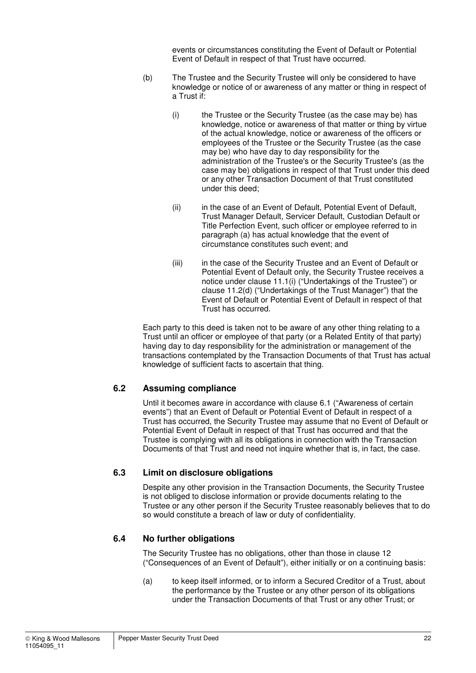events or circumstances constituting the Event of Default or Potential Event of Default in respect of that Trust have occurred.

- (b) The Trustee and the Security Trustee will only be considered to have knowledge or notice of or awareness of any matter or thing in respect of a Trust if:
	- (i) the Trustee or the Security Trustee (as the case may be) has knowledge, notice or awareness of that matter or thing by virtue of the actual knowledge, notice or awareness of the officers or employees of the Trustee or the Security Trustee (as the case may be) who have day to day responsibility for the administration of the Trustee's or the Security Trustee's (as the case may be) obligations in respect of that Trust under this deed or any other Transaction Document of that Trust constituted under this deed;
	- (ii) in the case of an Event of Default, Potential Event of Default, Trust Manager Default, Servicer Default, Custodian Default or Title Perfection Event, such officer or employee referred to in paragraph (a) has actual knowledge that the event of circumstance constitutes such event; and
	- (iii) in the case of the Security Trustee and an Event of Default or Potential Event of Default only, the Security Trustee receives a notice under clause 11.1(i) ("Undertakings of the Trustee") or clause 11.2(d) ("Undertakings of the Trust Manager") that the Event of Default or Potential Event of Default in respect of that Trust has occurred.

Each party to this deed is taken not to be aware of any other thing relating to a Trust until an officer or employee of that party (or a Related Entity of that party) having day to day responsibility for the administration or management of the transactions contemplated by the Transaction Documents of that Trust has actual knowledge of sufficient facts to ascertain that thing.

## **6.2 Assuming compliance**

Until it becomes aware in accordance with clause 6.1 ("Awareness of certain events") that an Event of Default or Potential Event of Default in respect of a Trust has occurred, the Security Trustee may assume that no Event of Default or Potential Event of Default in respect of that Trust has occurred and that the Trustee is complying with all its obligations in connection with the Transaction Documents of that Trust and need not inquire whether that is, in fact, the case.

#### **6.3 Limit on disclosure obligations**

Despite any other provision in the Transaction Documents, the Security Trustee is not obliged to disclose information or provide documents relating to the Trustee or any other person if the Security Trustee reasonably believes that to do so would constitute a breach of law or duty of confidentiality.

#### **6.4 No further obligations**

The Security Trustee has no obligations, other than those in clause 12 ("Consequences of an Event of Default"), either initially or on a continuing basis:

(a) to keep itself informed, or to inform a Secured Creditor of a Trust, about the performance by the Trustee or any other person of its obligations under the Transaction Documents of that Trust or any other Trust; or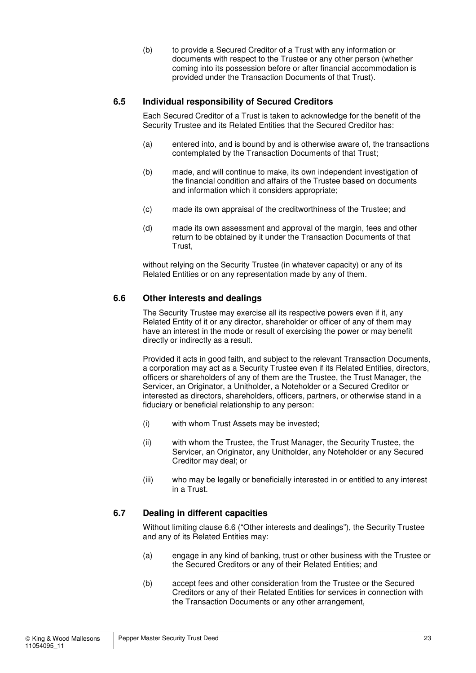(b) to provide a Secured Creditor of a Trust with any information or documents with respect to the Trustee or any other person (whether coming into its possession before or after financial accommodation is provided under the Transaction Documents of that Trust).

### **6.5 Individual responsibility of Secured Creditors**

Each Secured Creditor of a Trust is taken to acknowledge for the benefit of the Security Trustee and its Related Entities that the Secured Creditor has:

- (a) entered into, and is bound by and is otherwise aware of, the transactions contemplated by the Transaction Documents of that Trust;
- (b) made, and will continue to make, its own independent investigation of the financial condition and affairs of the Trustee based on documents and information which it considers appropriate;
- (c) made its own appraisal of the creditworthiness of the Trustee; and
- (d) made its own assessment and approval of the margin, fees and other return to be obtained by it under the Transaction Documents of that Trust,

without relying on the Security Trustee (in whatever capacity) or any of its Related Entities or on any representation made by any of them.

#### **6.6 Other interests and dealings**

The Security Trustee may exercise all its respective powers even if it, any Related Entity of it or any director, shareholder or officer of any of them may have an interest in the mode or result of exercising the power or may benefit directly or indirectly as a result.

Provided it acts in good faith, and subject to the relevant Transaction Documents, a corporation may act as a Security Trustee even if its Related Entities, directors, officers or shareholders of any of them are the Trustee, the Trust Manager, the Servicer, an Originator, a Unitholder, a Noteholder or a Secured Creditor or interested as directors, shareholders, officers, partners, or otherwise stand in a fiduciary or beneficial relationship to any person:

- (i) with whom Trust Assets may be invested;
- (ii) with whom the Trustee, the Trust Manager, the Security Trustee, the Servicer, an Originator, any Unitholder, any Noteholder or any Secured Creditor may deal; or
- (iii) who may be legally or beneficially interested in or entitled to any interest in a Trust.

## **6.7 Dealing in different capacities**

Without limiting clause 6.6 ("Other interests and dealings"), the Security Trustee and any of its Related Entities may:

- (a) engage in any kind of banking, trust or other business with the Trustee or the Secured Creditors or any of their Related Entities; and
- (b) accept fees and other consideration from the Trustee or the Secured Creditors or any of their Related Entities for services in connection with the Transaction Documents or any other arrangement,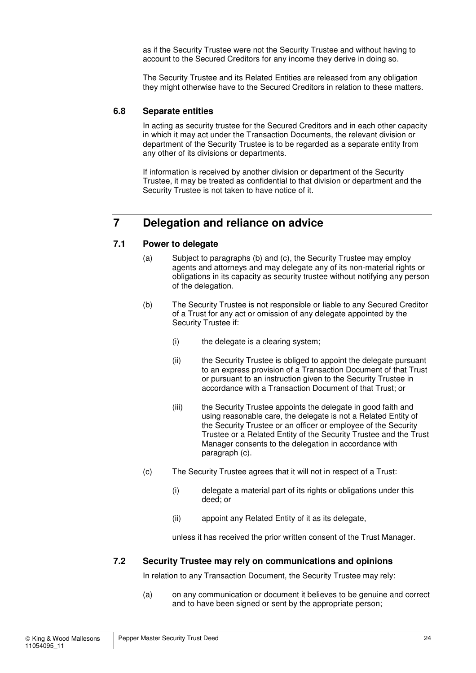as if the Security Trustee were not the Security Trustee and without having to account to the Secured Creditors for any income they derive in doing so.

The Security Trustee and its Related Entities are released from any obligation they might otherwise have to the Secured Creditors in relation to these matters.

#### **6.8 Separate entities**

In acting as security trustee for the Secured Creditors and in each other capacity in which it may act under the Transaction Documents, the relevant division or department of the Security Trustee is to be regarded as a separate entity from any other of its divisions or departments.

If information is received by another division or department of the Security Trustee, it may be treated as confidential to that division or department and the Security Trustee is not taken to have notice of it.

## **7 Delegation and reliance on advice**

#### **7.1 Power to delegate**

- (a) Subject to paragraphs (b) and (c), the Security Trustee may employ agents and attorneys and may delegate any of its non-material rights or obligations in its capacity as security trustee without notifying any person of the delegation.
- (b) The Security Trustee is not responsible or liable to any Secured Creditor of a Trust for any act or omission of any delegate appointed by the Security Trustee if:
	- (i) the delegate is a clearing system;
	- (ii) the Security Trustee is obliged to appoint the delegate pursuant to an express provision of a Transaction Document of that Trust or pursuant to an instruction given to the Security Trustee in accordance with a Transaction Document of that Trust; or
	- (iii) the Security Trustee appoints the delegate in good faith and using reasonable care, the delegate is not a Related Entity of the Security Trustee or an officer or employee of the Security Trustee or a Related Entity of the Security Trustee and the Trust Manager consents to the delegation in accordance with paragraph (c).
- (c) The Security Trustee agrees that it will not in respect of a Trust:
	- (i) delegate a material part of its rights or obligations under this deed; or
	- (ii) appoint any Related Entity of it as its delegate,

unless it has received the prior written consent of the Trust Manager.

#### **7.2 Security Trustee may rely on communications and opinions**

In relation to any Transaction Document, the Security Trustee may rely:

(a) on any communication or document it believes to be genuine and correct and to have been signed or sent by the appropriate person;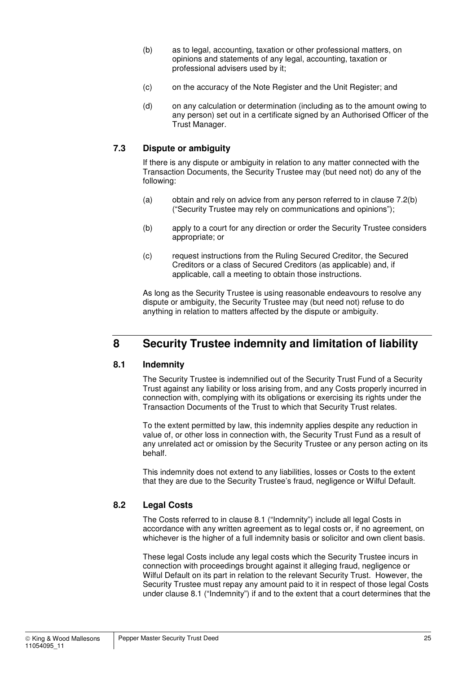- (b) as to legal, accounting, taxation or other professional matters, on opinions and statements of any legal, accounting, taxation or professional advisers used by it;
- (c) on the accuracy of the Note Register and the Unit Register; and
- (d) on any calculation or determination (including as to the amount owing to any person) set out in a certificate signed by an Authorised Officer of the Trust Manager.

## **7.3 Dispute or ambiguity**

If there is any dispute or ambiguity in relation to any matter connected with the Transaction Documents, the Security Trustee may (but need not) do any of the following:

- (a) obtain and rely on advice from any person referred to in clause 7.2(b) ("Security Trustee may rely on communications and opinions");
- (b) apply to a court for any direction or order the Security Trustee considers appropriate; or
- (c) request instructions from the Ruling Secured Creditor, the Secured Creditors or a class of Secured Creditors (as applicable) and, if applicable, call a meeting to obtain those instructions.

As long as the Security Trustee is using reasonable endeavours to resolve any dispute or ambiguity, the Security Trustee may (but need not) refuse to do anything in relation to matters affected by the dispute or ambiguity.

## **8 Security Trustee indemnity and limitation of liability**

#### **8.1 Indemnity**

The Security Trustee is indemnified out of the Security Trust Fund of a Security Trust against any liability or loss arising from, and any Costs properly incurred in connection with, complying with its obligations or exercising its rights under the Transaction Documents of the Trust to which that Security Trust relates.

To the extent permitted by law, this indemnity applies despite any reduction in value of, or other loss in connection with, the Security Trust Fund as a result of any unrelated act or omission by the Security Trustee or any person acting on its behalf.

This indemnity does not extend to any liabilities, losses or Costs to the extent that they are due to the Security Trustee's fraud, negligence or Wilful Default.

## **8.2 Legal Costs**

The Costs referred to in clause 8.1 ("Indemnity") include all legal Costs in accordance with any written agreement as to legal costs or, if no agreement, on whichever is the higher of a full indemnity basis or solicitor and own client basis.

These legal Costs include any legal costs which the Security Trustee incurs in connection with proceedings brought against it alleging fraud, negligence or Wilful Default on its part in relation to the relevant Security Trust. However, the Security Trustee must repay any amount paid to it in respect of those legal Costs under clause 8.1 ("Indemnity") if and to the extent that a court determines that the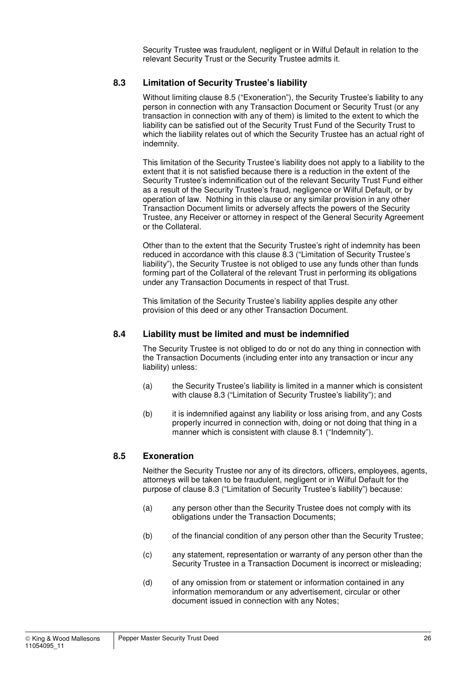Security Trustee was fraudulent, negligent or in Wilful Default in relation to the relevant Security Trust or the Security Trustee admits it.

### **8.3 Limitation of Security Trustee's liability**

Without limiting clause 8.5 ("Exoneration"), the Security Trustee's liability to any person in connection with any Transaction Document or Security Trust (or any transaction in connection with any of them) is limited to the extent to which the liability can be satisfied out of the Security Trust Fund of the Security Trust to which the liability relates out of which the Security Trustee has an actual right of indemnity.

This limitation of the Security Trustee's liability does not apply to a liability to the extent that it is not satisfied because there is a reduction in the extent of the Security Trustee's indemnification out of the relevant Security Trust Fund either as a result of the Security Trustee's fraud, negligence or Wilful Default, or by operation of law. Nothing in this clause or any similar provision in any other Transaction Document limits or adversely affects the powers of the Security Trustee, any Receiver or attorney in respect of the General Security Agreement or the Collateral.

Other than to the extent that the Security Trustee's right of indemnity has been reduced in accordance with this clause 8.3 ("Limitation of Security Trustee's liability"), the Security Trustee is not obliged to use any funds other than funds forming part of the Collateral of the relevant Trust in performing its obligations under any Transaction Documents in respect of that Trust.

This limitation of the Security Trustee's liability applies despite any other provision of this deed or any other Transaction Document.

#### **8.4 Liability must be limited and must be indemnified**

The Security Trustee is not obliged to do or not do any thing in connection with the Transaction Documents (including enter into any transaction or incur any liability) unless:

- (a) the Security Trustee's liability is limited in a manner which is consistent with clause 8.3 ("Limitation of Security Trustee's liability"); and
- (b) it is indemnified against any liability or loss arising from, and any Costs properly incurred in connection with, doing or not doing that thing in a manner which is consistent with clause 8.1 ("Indemnity").

#### **8.5 Exoneration**

Neither the Security Trustee nor any of its directors, officers, employees, agents, attorneys will be taken to be fraudulent, negligent or in Wilful Default for the purpose of clause 8.3 ("Limitation of Security Trustee's liability") because:

- (a) any person other than the Security Trustee does not comply with its obligations under the Transaction Documents;
- (b) of the financial condition of any person other than the Security Trustee;
- (c) any statement, representation or warranty of any person other than the Security Trustee in a Transaction Document is incorrect or misleading;
- (d) of any omission from or statement or information contained in any information memorandum or any advertisement, circular or other document issued in connection with any Notes;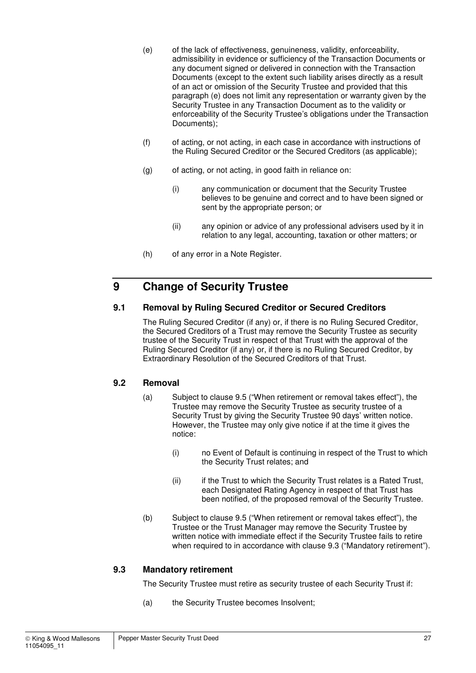- (e) of the lack of effectiveness, genuineness, validity, enforceability, admissibility in evidence or sufficiency of the Transaction Documents or any document signed or delivered in connection with the Transaction Documents (except to the extent such liability arises directly as a result of an act or omission of the Security Trustee and provided that this paragraph (e) does not limit any representation or warranty given by the Security Trustee in any Transaction Document as to the validity or enforceability of the Security Trustee's obligations under the Transaction Documents);
- (f) of acting, or not acting, in each case in accordance with instructions of the Ruling Secured Creditor or the Secured Creditors (as applicable);
- (g) of acting, or not acting, in good faith in reliance on:
	- (i) any communication or document that the Security Trustee believes to be genuine and correct and to have been signed or sent by the appropriate person; or
	- (ii) any opinion or advice of any professional advisers used by it in relation to any legal, accounting, taxation or other matters; or
- (h) of any error in a Note Register.

## **9 Change of Security Trustee**

#### **9.1 Removal by Ruling Secured Creditor or Secured Creditors**

The Ruling Secured Creditor (if any) or, if there is no Ruling Secured Creditor, the Secured Creditors of a Trust may remove the Security Trustee as security trustee of the Security Trust in respect of that Trust with the approval of the Ruling Secured Creditor (if any) or, if there is no Ruling Secured Creditor, by Extraordinary Resolution of the Secured Creditors of that Trust.

## **9.2 Removal**

- (a) Subject to clause 9.5 ("When retirement or removal takes effect"), the Trustee may remove the Security Trustee as security trustee of a Security Trust by giving the Security Trustee 90 days' written notice. However, the Trustee may only give notice if at the time it gives the notice:
	- (i) no Event of Default is continuing in respect of the Trust to which the Security Trust relates; and
	- (ii) if the Trust to which the Security Trust relates is a Rated Trust, each Designated Rating Agency in respect of that Trust has been notified, of the proposed removal of the Security Trustee.
- (b) Subject to clause 9.5 ("When retirement or removal takes effect"), the Trustee or the Trust Manager may remove the Security Trustee by written notice with immediate effect if the Security Trustee fails to retire when required to in accordance with clause 9.3 ("Mandatory retirement").

#### **9.3 Mandatory retirement**

The Security Trustee must retire as security trustee of each Security Trust if:

(a) the Security Trustee becomes Insolvent;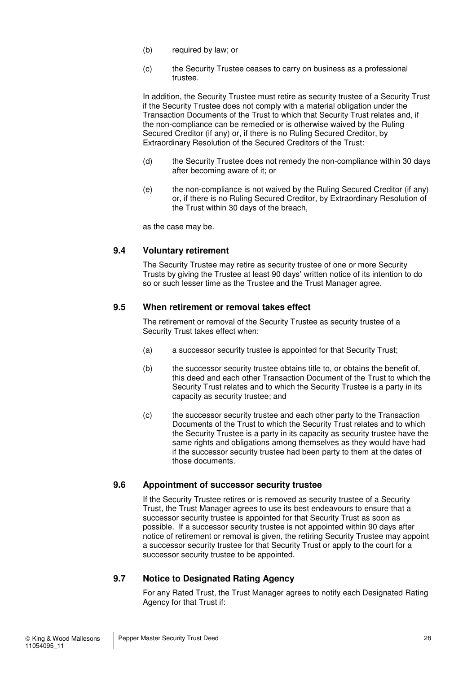- (b) required by law; or
- (c) the Security Trustee ceases to carry on business as a professional trustee.

In addition, the Security Trustee must retire as security trustee of a Security Trust if the Security Trustee does not comply with a material obligation under the Transaction Documents of the Trust to which that Security Trust relates and, if the non-compliance can be remedied or is otherwise waived by the Ruling Secured Creditor (if any) or, if there is no Ruling Secured Creditor, by Extraordinary Resolution of the Secured Creditors of the Trust:

- (d) the Security Trustee does not remedy the non-compliance within 30 days after becoming aware of it; or
- (e) the non-compliance is not waived by the Ruling Secured Creditor (if any) or, if there is no Ruling Secured Creditor, by Extraordinary Resolution of the Trust within 30 days of the breach,

as the case may be.

#### **9.4 Voluntary retirement**

The Security Trustee may retire as security trustee of one or more Security Trusts by giving the Trustee at least 90 days' written notice of its intention to do so or such lesser time as the Trustee and the Trust Manager agree.

#### **9.5 When retirement or removal takes effect**

The retirement or removal of the Security Trustee as security trustee of a Security Trust takes effect when:

- (a) a successor security trustee is appointed for that Security Trust;
- (b) the successor security trustee obtains title to, or obtains the benefit of, this deed and each other Transaction Document of the Trust to which the Security Trust relates and to which the Security Trustee is a party in its capacity as security trustee; and
- (c) the successor security trustee and each other party to the Transaction Documents of the Trust to which the Security Trust relates and to which the Security Trustee is a party in its capacity as security trustee have the same rights and obligations among themselves as they would have had if the successor security trustee had been party to them at the dates of those documents.

#### **9.6 Appointment of successor security trustee**

If the Security Trustee retires or is removed as security trustee of a Security Trust, the Trust Manager agrees to use its best endeavours to ensure that a successor security trustee is appointed for that Security Trust as soon as possible. If a successor security trustee is not appointed within 90 days after notice of retirement or removal is given, the retiring Security Trustee may appoint a successor security trustee for that Security Trust or apply to the court for a successor security trustee to be appointed.

#### **9.7 Notice to Designated Rating Agency**

For any Rated Trust, the Trust Manager agrees to notify each Designated Rating Agency for that Trust if: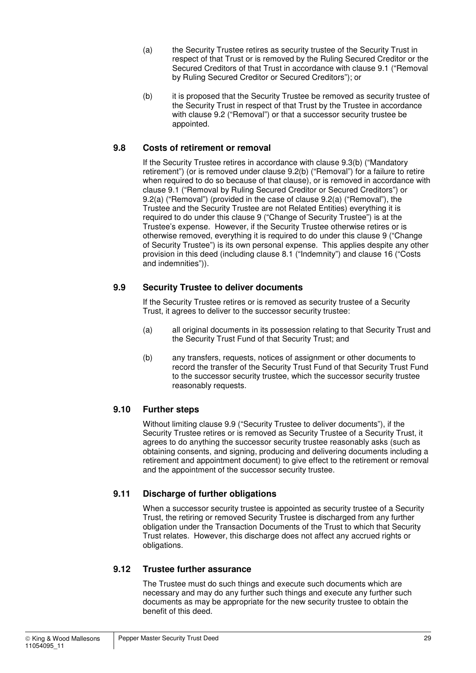- (a) the Security Trustee retires as security trustee of the Security Trust in respect of that Trust or is removed by the Ruling Secured Creditor or the Secured Creditors of that Trust in accordance with clause 9.1 ("Removal by Ruling Secured Creditor or Secured Creditors"); or
- (b) it is proposed that the Security Trustee be removed as security trustee of the Security Trust in respect of that Trust by the Trustee in accordance with clause 9.2 ("Removal") or that a successor security trustee be appointed.

## **9.8 Costs of retirement or removal**

If the Security Trustee retires in accordance with clause 9.3(b) ("Mandatory retirement") (or is removed under clause 9.2(b) ("Removal") for a failure to retire when required to do so because of that clause), or is removed in accordance with clause 9.1 ("Removal by Ruling Secured Creditor or Secured Creditors") or 9.2(a) ("Removal") (provided in the case of clause 9.2(a) ("Removal"), the Trustee and the Security Trustee are not Related Entities) everything it is required to do under this clause 9 ("Change of Security Trustee") is at the Trustee's expense. However, if the Security Trustee otherwise retires or is otherwise removed, everything it is required to do under this clause 9 ("Change of Security Trustee") is its own personal expense. This applies despite any other provision in this deed (including clause 8.1 ("Indemnity") and clause 16 ("Costs and indemnities")).

## **9.9 Security Trustee to deliver documents**

If the Security Trustee retires or is removed as security trustee of a Security Trust, it agrees to deliver to the successor security trustee:

- (a) all original documents in its possession relating to that Security Trust and the Security Trust Fund of that Security Trust; and
- (b) any transfers, requests, notices of assignment or other documents to record the transfer of the Security Trust Fund of that Security Trust Fund to the successor security trustee, which the successor security trustee reasonably requests.

## **9.10 Further steps**

Without limiting clause 9.9 ("Security Trustee to deliver documents"), if the Security Trustee retires or is removed as Security Trustee of a Security Trust, it agrees to do anything the successor security trustee reasonably asks (such as obtaining consents, and signing, producing and delivering documents including a retirement and appointment document) to give effect to the retirement or removal and the appointment of the successor security trustee.

## **9.11 Discharge of further obligations**

When a successor security trustee is appointed as security trustee of a Security Trust, the retiring or removed Security Trustee is discharged from any further obligation under the Transaction Documents of the Trust to which that Security Trust relates. However, this discharge does not affect any accrued rights or obligations.

## **9.12 Trustee further assurance**

The Trustee must do such things and execute such documents which are necessary and may do any further such things and execute any further such documents as may be appropriate for the new security trustee to obtain the benefit of this deed.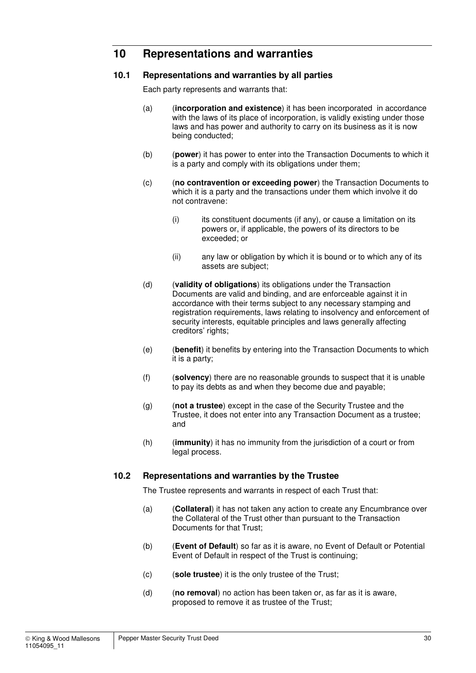## **10 Representations and warranties**

#### **10.1 Representations and warranties by all parties**

Each party represents and warrants that:

- (a) (**incorporation and existence**) it has been incorporated in accordance with the laws of its place of incorporation, is validly existing under those laws and has power and authority to carry on its business as it is now being conducted;
- (b) (**power**) it has power to enter into the Transaction Documents to which it is a party and comply with its obligations under them;
- (c) (**no contravention or exceeding power**) the Transaction Documents to which it is a party and the transactions under them which involve it do not contravene:
	- (i) its constituent documents (if any), or cause a limitation on its powers or, if applicable, the powers of its directors to be exceeded; or
	- (ii) any law or obligation by which it is bound or to which any of its assets are subject;
- (d) (**validity of obligations**) its obligations under the Transaction Documents are valid and binding, and are enforceable against it in accordance with their terms subject to any necessary stamping and registration requirements, laws relating to insolvency and enforcement of security interests, equitable principles and laws generally affecting creditors' rights;
- (e) (**benefit**) it benefits by entering into the Transaction Documents to which it is a party;
- (f) (**solvency**) there are no reasonable grounds to suspect that it is unable to pay its debts as and when they become due and payable;
- (g) (**not a trustee**) except in the case of the Security Trustee and the Trustee, it does not enter into any Transaction Document as a trustee; and
- (h) (**immunity**) it has no immunity from the jurisdiction of a court or from legal process.

#### **10.2 Representations and warranties by the Trustee**

The Trustee represents and warrants in respect of each Trust that:

- (a) (**Collateral**) it has not taken any action to create any Encumbrance over the Collateral of the Trust other than pursuant to the Transaction Documents for that Trust;
- (b) (**Event of Default**) so far as it is aware, no Event of Default or Potential Event of Default in respect of the Trust is continuing;
- (c) (**sole trustee**) it is the only trustee of the Trust;
- (d) (**no removal**) no action has been taken or, as far as it is aware, proposed to remove it as trustee of the Trust;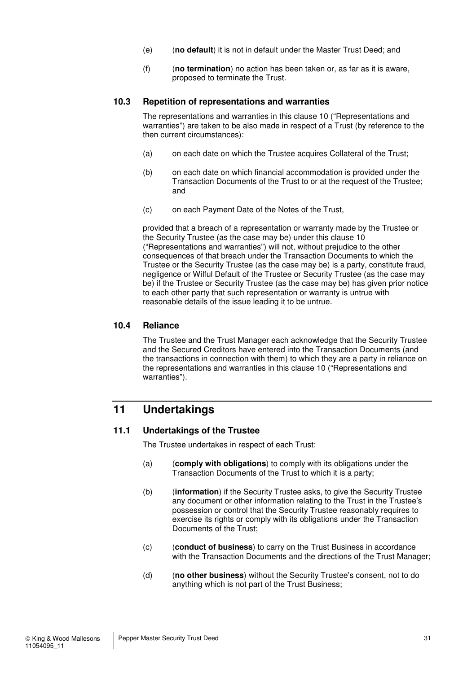- (e) (**no default**) it is not in default under the Master Trust Deed; and
- (f) (**no termination**) no action has been taken or, as far as it is aware, proposed to terminate the Trust.

#### **10.3 Repetition of representations and warranties**

The representations and warranties in this clause 10 ("Representations and warranties") are taken to be also made in respect of a Trust (by reference to the then current circumstances):

- (a) on each date on which the Trustee acquires Collateral of the Trust;
- (b) on each date on which financial accommodation is provided under the Transaction Documents of the Trust to or at the request of the Trustee; and
- (c) on each Payment Date of the Notes of the Trust,

provided that a breach of a representation or warranty made by the Trustee or the Security Trustee (as the case may be) under this clause 10 ("Representations and warranties") will not, without prejudice to the other consequences of that breach under the Transaction Documents to which the Trustee or the Security Trustee (as the case may be) is a party, constitute fraud, negligence or Wilful Default of the Trustee or Security Trustee (as the case may be) if the Trustee or Security Trustee (as the case may be) has given prior notice to each other party that such representation or warranty is untrue with reasonable details of the issue leading it to be untrue.

#### **10.4 Reliance**

The Trustee and the Trust Manager each acknowledge that the Security Trustee and the Secured Creditors have entered into the Transaction Documents (and the transactions in connection with them) to which they are a party in reliance on the representations and warranties in this clause 10 ("Representations and warranties").

## **11 Undertakings**

#### **11.1 Undertakings of the Trustee**

The Trustee undertakes in respect of each Trust:

- (a) (**comply with obligations**) to comply with its obligations under the Transaction Documents of the Trust to which it is a party;
- (b) (**information**) if the Security Trustee asks, to give the Security Trustee any document or other information relating to the Trust in the Trustee's possession or control that the Security Trustee reasonably requires to exercise its rights or comply with its obligations under the Transaction Documents of the Trust;
- (c) (**conduct of business**) to carry on the Trust Business in accordance with the Transaction Documents and the directions of the Trust Manager;
- (d) (**no other business**) without the Security Trustee's consent, not to do anything which is not part of the Trust Business;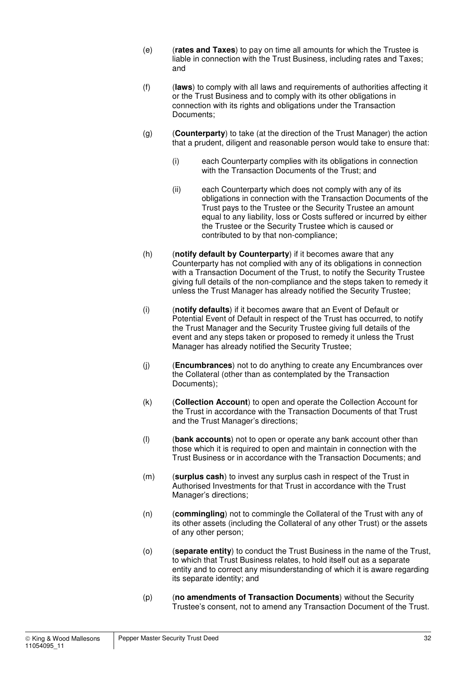- (e) (**rates and Taxes**) to pay on time all amounts for which the Trustee is liable in connection with the Trust Business, including rates and Taxes; and
- (f) (**laws**) to comply with all laws and requirements of authorities affecting it or the Trust Business and to comply with its other obligations in connection with its rights and obligations under the Transaction Documents;
- (g) (**Counterparty**) to take (at the direction of the Trust Manager) the action that a prudent, diligent and reasonable person would take to ensure that:
	- (i) each Counterparty complies with its obligations in connection with the Transaction Documents of the Trust; and
	- (ii) each Counterparty which does not comply with any of its obligations in connection with the Transaction Documents of the Trust pays to the Trustee or the Security Trustee an amount equal to any liability, loss or Costs suffered or incurred by either the Trustee or the Security Trustee which is caused or contributed to by that non-compliance;
- (h) (**notify default by Counterparty**) if it becomes aware that any Counterparty has not complied with any of its obligations in connection with a Transaction Document of the Trust, to notify the Security Trustee giving full details of the non-compliance and the steps taken to remedy it unless the Trust Manager has already notified the Security Trustee;
- (i) (**notify defaults**) if it becomes aware that an Event of Default or Potential Event of Default in respect of the Trust has occurred, to notify the Trust Manager and the Security Trustee giving full details of the event and any steps taken or proposed to remedy it unless the Trust Manager has already notified the Security Trustee;
- (j) (**Encumbrances**) not to do anything to create any Encumbrances over the Collateral (other than as contemplated by the Transaction Documents);
- (k) (**Collection Account**) to open and operate the Collection Account for the Trust in accordance with the Transaction Documents of that Trust and the Trust Manager's directions;
- (l) (**bank accounts**) not to open or operate any bank account other than those which it is required to open and maintain in connection with the Trust Business or in accordance with the Transaction Documents; and
- (m) (**surplus cash**) to invest any surplus cash in respect of the Trust in Authorised Investments for that Trust in accordance with the Trust Manager's directions;
- (n) (**commingling**) not to commingle the Collateral of the Trust with any of its other assets (including the Collateral of any other Trust) or the assets of any other person;
- (o) (**separate entity**) to conduct the Trust Business in the name of the Trust, to which that Trust Business relates, to hold itself out as a separate entity and to correct any misunderstanding of which it is aware regarding its separate identity; and
- (p) (**no amendments of Transaction Documents**) without the Security Trustee's consent, not to amend any Transaction Document of the Trust.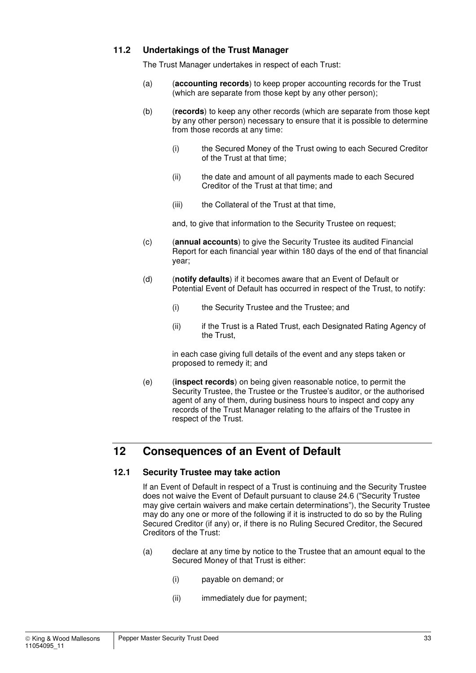#### **11.2 Undertakings of the Trust Manager**

The Trust Manager undertakes in respect of each Trust:

- (a) (**accounting records**) to keep proper accounting records for the Trust (which are separate from those kept by any other person);
- (b) (**records**) to keep any other records (which are separate from those kept by any other person) necessary to ensure that it is possible to determine from those records at any time:
	- (i) the Secured Money of the Trust owing to each Secured Creditor of the Trust at that time;
	- (ii) the date and amount of all payments made to each Secured Creditor of the Trust at that time; and
	- (iii) the Collateral of the Trust at that time,

and, to give that information to the Security Trustee on request;

- (c) (**annual accounts**) to give the Security Trustee its audited Financial Report for each financial year within 180 days of the end of that financial year;
- (d) (**notify defaults**) if it becomes aware that an Event of Default or Potential Event of Default has occurred in respect of the Trust, to notify:
	- (i) the Security Trustee and the Trustee; and
	- (ii) if the Trust is a Rated Trust, each Designated Rating Agency of the Trust,

in each case giving full details of the event and any steps taken or proposed to remedy it; and

(e) (**inspect records**) on being given reasonable notice, to permit the Security Trustee, the Trustee or the Trustee's auditor, or the authorised agent of any of them, during business hours to inspect and copy any records of the Trust Manager relating to the affairs of the Trustee in respect of the Trust.

## **12 Consequences of an Event of Default**

#### **12.1 Security Trustee may take action**

If an Event of Default in respect of a Trust is continuing and the Security Trustee does not waive the Event of Default pursuant to clause 24.6 ("Security Trustee may give certain waivers and make certain determinations"), the Security Trustee may do any one or more of the following if it is instructed to do so by the Ruling Secured Creditor (if any) or, if there is no Ruling Secured Creditor, the Secured Creditors of the Trust:

- (a) declare at any time by notice to the Trustee that an amount equal to the Secured Money of that Trust is either:
	- (i) payable on demand; or
	- (ii) immediately due for payment;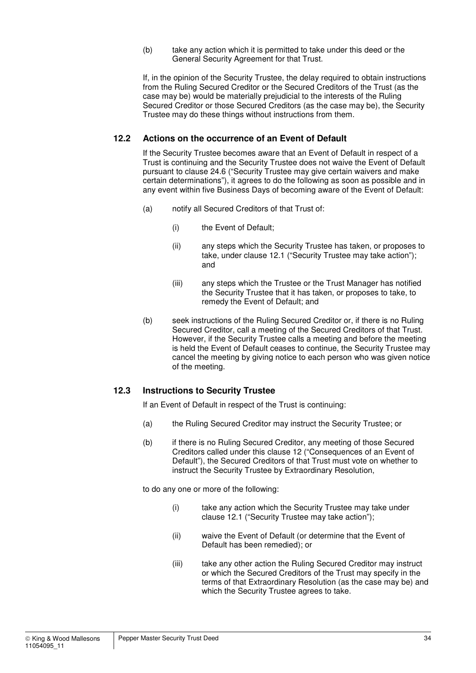(b) take any action which it is permitted to take under this deed or the General Security Agreement for that Trust.

If, in the opinion of the Security Trustee, the delay required to obtain instructions from the Ruling Secured Creditor or the Secured Creditors of the Trust (as the case may be) would be materially prejudicial to the interests of the Ruling Secured Creditor or those Secured Creditors (as the case may be), the Security Trustee may do these things without instructions from them.

#### **12.2 Actions on the occurrence of an Event of Default**

If the Security Trustee becomes aware that an Event of Default in respect of a Trust is continuing and the Security Trustee does not waive the Event of Default pursuant to clause 24.6 ("Security Trustee may give certain waivers and make certain determinations"), it agrees to do the following as soon as possible and in any event within five Business Days of becoming aware of the Event of Default:

- (a) notify all Secured Creditors of that Trust of:
	- (i) the Event of Default;
	- (ii) any steps which the Security Trustee has taken, or proposes to take, under clause 12.1 ("Security Trustee may take action"); and
	- (iii) any steps which the Trustee or the Trust Manager has notified the Security Trustee that it has taken, or proposes to take, to remedy the Event of Default; and
- (b) seek instructions of the Ruling Secured Creditor or, if there is no Ruling Secured Creditor, call a meeting of the Secured Creditors of that Trust. However, if the Security Trustee calls a meeting and before the meeting is held the Event of Default ceases to continue, the Security Trustee may cancel the meeting by giving notice to each person who was given notice of the meeting.

#### **12.3 Instructions to Security Trustee**

If an Event of Default in respect of the Trust is continuing:

- (a) the Ruling Secured Creditor may instruct the Security Trustee; or
- (b) if there is no Ruling Secured Creditor, any meeting of those Secured Creditors called under this clause 12 ("Consequences of an Event of Default"), the Secured Creditors of that Trust must vote on whether to instruct the Security Trustee by Extraordinary Resolution,

to do any one or more of the following:

- (i) take any action which the Security Trustee may take under clause 12.1 ("Security Trustee may take action");
- (ii) waive the Event of Default (or determine that the Event of Default has been remedied); or
- (iii) take any other action the Ruling Secured Creditor may instruct or which the Secured Creditors of the Trust may specify in the terms of that Extraordinary Resolution (as the case may be) and which the Security Trustee agrees to take.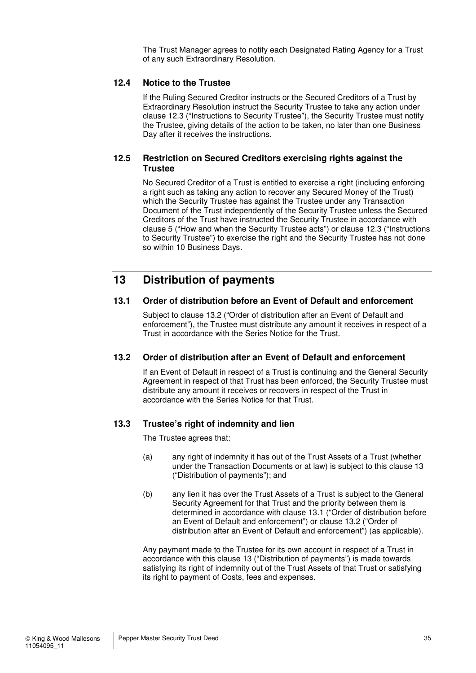The Trust Manager agrees to notify each Designated Rating Agency for a Trust of any such Extraordinary Resolution.

#### **12.4 Notice to the Trustee**

If the Ruling Secured Creditor instructs or the Secured Creditors of a Trust by Extraordinary Resolution instruct the Security Trustee to take any action under clause 12.3 ("Instructions to Security Trustee"), the Security Trustee must notify the Trustee, giving details of the action to be taken, no later than one Business Day after it receives the instructions.

#### **12.5 Restriction on Secured Creditors exercising rights against the Trustee**

No Secured Creditor of a Trust is entitled to exercise a right (including enforcing a right such as taking any action to recover any Secured Money of the Trust) which the Security Trustee has against the Trustee under any Transaction Document of the Trust independently of the Security Trustee unless the Secured Creditors of the Trust have instructed the Security Trustee in accordance with clause 5 ("How and when the Security Trustee acts") or clause 12.3 ("Instructions to Security Trustee") to exercise the right and the Security Trustee has not done so within 10 Business Days.

## **13 Distribution of payments**

#### **13.1 Order of distribution before an Event of Default and enforcement**

Subject to clause 13.2 ("Order of distribution after an Event of Default and enforcement"), the Trustee must distribute any amount it receives in respect of a Trust in accordance with the Series Notice for the Trust.

#### **13.2 Order of distribution after an Event of Default and enforcement**

If an Event of Default in respect of a Trust is continuing and the General Security Agreement in respect of that Trust has been enforced, the Security Trustee must distribute any amount it receives or recovers in respect of the Trust in accordance with the Series Notice for that Trust.

#### **13.3 Trustee's right of indemnity and lien**

The Trustee agrees that:

- (a) any right of indemnity it has out of the Trust Assets of a Trust (whether under the Transaction Documents or at law) is subject to this clause 13 ("Distribution of payments"); and
- (b) any lien it has over the Trust Assets of a Trust is subject to the General Security Agreement for that Trust and the priority between them is determined in accordance with clause 13.1 ("Order of distribution before an Event of Default and enforcement") or clause 13.2 ("Order of distribution after an Event of Default and enforcement") (as applicable).

Any payment made to the Trustee for its own account in respect of a Trust in accordance with this clause 13 ("Distribution of payments") is made towards satisfying its right of indemnity out of the Trust Assets of that Trust or satisfying its right to payment of Costs, fees and expenses.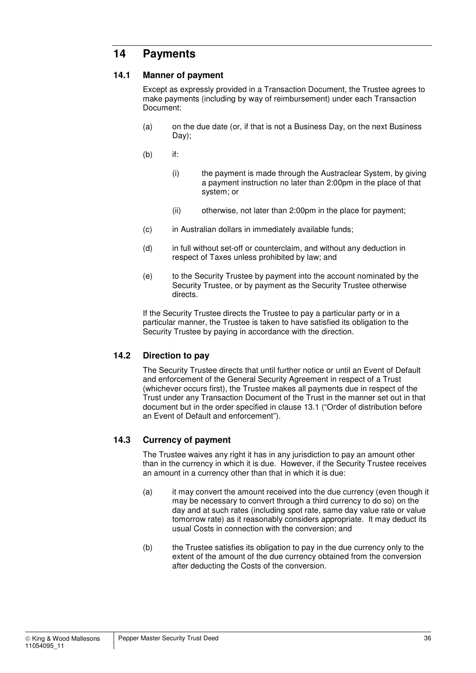## **14 Payments**

#### **14.1 Manner of payment**

Except as expressly provided in a Transaction Document, the Trustee agrees to make payments (including by way of reimbursement) under each Transaction Document:

- (a) on the due date (or, if that is not a Business Day, on the next Business Day);
- (b) if:
	- (i) the payment is made through the Austraclear System, by giving a payment instruction no later than 2:00pm in the place of that system; or
	- (ii) otherwise, not later than 2:00pm in the place for payment;
- (c) in Australian dollars in immediately available funds;
- (d) in full without set-off or counterclaim, and without any deduction in respect of Taxes unless prohibited by law; and
- (e) to the Security Trustee by payment into the account nominated by the Security Trustee, or by payment as the Security Trustee otherwise directs.

If the Security Trustee directs the Trustee to pay a particular party or in a particular manner, the Trustee is taken to have satisfied its obligation to the Security Trustee by paying in accordance with the direction.

#### **14.2 Direction to pay**

The Security Trustee directs that until further notice or until an Event of Default and enforcement of the General Security Agreement in respect of a Trust (whichever occurs first), the Trustee makes all payments due in respect of the Trust under any Transaction Document of the Trust in the manner set out in that document but in the order specified in clause 13.1 ("Order of distribution before an Event of Default and enforcement").

#### **14.3 Currency of payment**

The Trustee waives any right it has in any jurisdiction to pay an amount other than in the currency in which it is due. However, if the Security Trustee receives an amount in a currency other than that in which it is due:

- (a) it may convert the amount received into the due currency (even though it may be necessary to convert through a third currency to do so) on the day and at such rates (including spot rate, same day value rate or value tomorrow rate) as it reasonably considers appropriate. It may deduct its usual Costs in connection with the conversion; and
- (b) the Trustee satisfies its obligation to pay in the due currency only to the extent of the amount of the due currency obtained from the conversion after deducting the Costs of the conversion.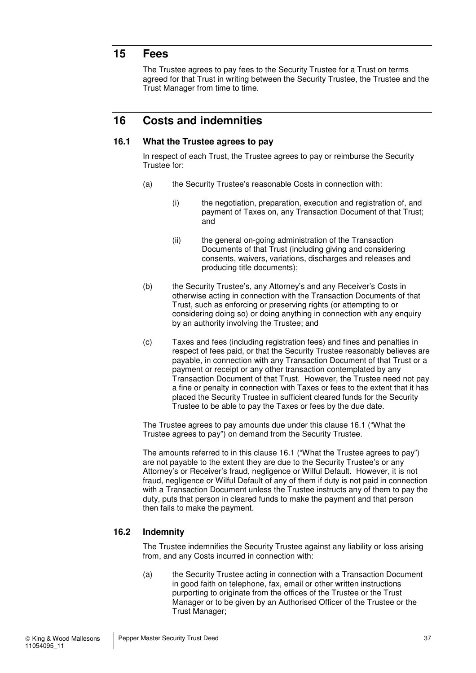## **15 Fees**

The Trustee agrees to pay fees to the Security Trustee for a Trust on terms agreed for that Trust in writing between the Security Trustee, the Trustee and the Trust Manager from time to time.

## **16 Costs and indemnities**

#### **16.1 What the Trustee agrees to pay**

In respect of each Trust, the Trustee agrees to pay or reimburse the Security Trustee for:

- (a) the Security Trustee's reasonable Costs in connection with:
	- (i) the negotiation, preparation, execution and registration of, and payment of Taxes on, any Transaction Document of that Trust; and
	- (ii) the general on-going administration of the Transaction Documents of that Trust (including giving and considering consents, waivers, variations, discharges and releases and producing title documents);
- (b) the Security Trustee's, any Attorney's and any Receiver's Costs in otherwise acting in connection with the Transaction Documents of that Trust, such as enforcing or preserving rights (or attempting to or considering doing so) or doing anything in connection with any enquiry by an authority involving the Trustee; and
- (c) Taxes and fees (including registration fees) and fines and penalties in respect of fees paid, or that the Security Trustee reasonably believes are payable, in connection with any Transaction Document of that Trust or a payment or receipt or any other transaction contemplated by any Transaction Document of that Trust. However, the Trustee need not pay a fine or penalty in connection with Taxes or fees to the extent that it has placed the Security Trustee in sufficient cleared funds for the Security Trustee to be able to pay the Taxes or fees by the due date.

The Trustee agrees to pay amounts due under this clause 16.1 ("What the Trustee agrees to pay") on demand from the Security Trustee.

The amounts referred to in this clause 16.1 ("What the Trustee agrees to pay") are not payable to the extent they are due to the Security Trustee's or any Attorney's or Receiver's fraud, negligence or Wilful Default. However, it is not fraud, negligence or Wilful Default of any of them if duty is not paid in connection with a Transaction Document unless the Trustee instructs any of them to pay the duty, puts that person in cleared funds to make the payment and that person then fails to make the payment.

#### **16.2 Indemnity**

The Trustee indemnifies the Security Trustee against any liability or loss arising from, and any Costs incurred in connection with:

(a) the Security Trustee acting in connection with a Transaction Document in good faith on telephone, fax, email or other written instructions purporting to originate from the offices of the Trustee or the Trust Manager or to be given by an Authorised Officer of the Trustee or the Trust Manager;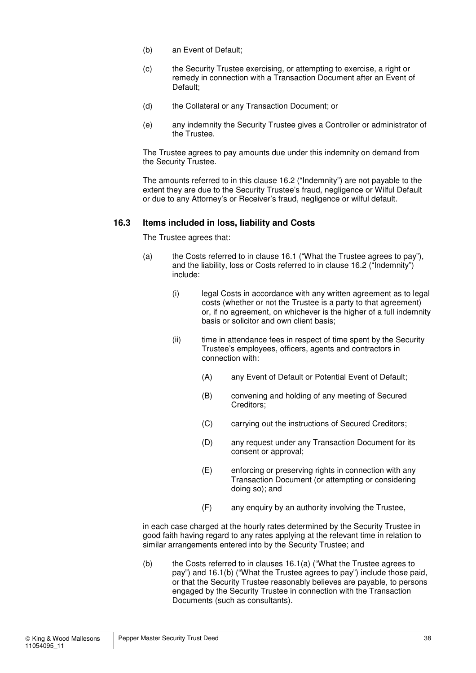- (b) an Event of Default;
- (c) the Security Trustee exercising, or attempting to exercise, a right or remedy in connection with a Transaction Document after an Event of Default;
- (d) the Collateral or any Transaction Document; or
- (e) any indemnity the Security Trustee gives a Controller or administrator of the Trustee.

The Trustee agrees to pay amounts due under this indemnity on demand from the Security Trustee.

The amounts referred to in this clause 16.2 ("Indemnity") are not payable to the extent they are due to the Security Trustee's fraud, negligence or Wilful Default or due to any Attorney's or Receiver's fraud, negligence or wilful default.

#### **16.3 Items included in loss, liability and Costs**

The Trustee agrees that:

- (a) the Costs referred to in clause 16.1 ("What the Trustee agrees to pay"), and the liability, loss or Costs referred to in clause 16.2 ("Indemnity") include:
	- (i) legal Costs in accordance with any written agreement as to legal costs (whether or not the Trustee is a party to that agreement) or, if no agreement, on whichever is the higher of a full indemnity basis or solicitor and own client basis;
	- (ii) time in attendance fees in respect of time spent by the Security Trustee's employees, officers, agents and contractors in connection with:
		- (A) any Event of Default or Potential Event of Default;
		- (B) convening and holding of any meeting of Secured Creditors;
		- (C) carrying out the instructions of Secured Creditors;
		- (D) any request under any Transaction Document for its consent or approval;
		- (E) enforcing or preserving rights in connection with any Transaction Document (or attempting or considering doing so); and
		- (F) any enquiry by an authority involving the Trustee,

in each case charged at the hourly rates determined by the Security Trustee in good faith having regard to any rates applying at the relevant time in relation to similar arrangements entered into by the Security Trustee; and

(b) the Costs referred to in clauses 16.1(a) ("What the Trustee agrees to pay") and 16.1(b) ("What the Trustee agrees to pay") include those paid, or that the Security Trustee reasonably believes are payable, to persons engaged by the Security Trustee in connection with the Transaction Documents (such as consultants).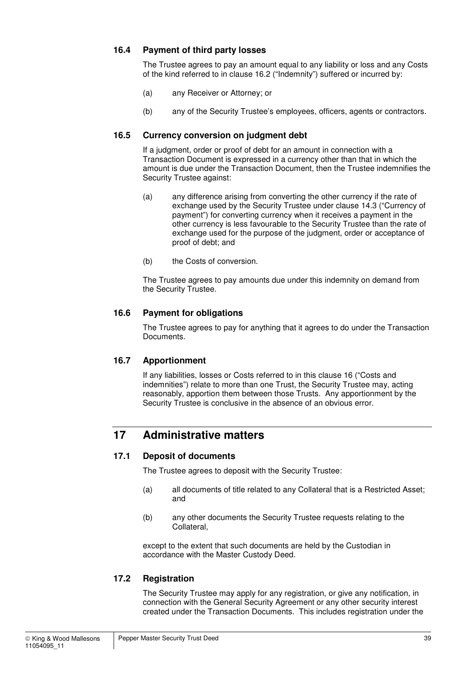#### **16.4 Payment of third party losses**

The Trustee agrees to pay an amount equal to any liability or loss and any Costs of the kind referred to in clause 16.2 ("Indemnity") suffered or incurred by:

- (a) any Receiver or Attorney; or
- (b) any of the Security Trustee's employees, officers, agents or contractors.

#### **16.5 Currency conversion on judgment debt**

If a judgment, order or proof of debt for an amount in connection with a Transaction Document is expressed in a currency other than that in which the amount is due under the Transaction Document, then the Trustee indemnifies the Security Trustee against:

- (a) any difference arising from converting the other currency if the rate of exchange used by the Security Trustee under clause 14.3 ("Currency of payment") for converting currency when it receives a payment in the other currency is less favourable to the Security Trustee than the rate of exchange used for the purpose of the judgment, order or acceptance of proof of debt; and
- (b) the Costs of conversion.

The Trustee agrees to pay amounts due under this indemnity on demand from the Security Trustee.

#### **16.6 Payment for obligations**

The Trustee agrees to pay for anything that it agrees to do under the Transaction Documents.

#### **16.7 Apportionment**

If any liabilities, losses or Costs referred to in this clause 16 ("Costs and indemnities") relate to more than one Trust, the Security Trustee may, acting reasonably, apportion them between those Trusts. Any apportionment by the Security Trustee is conclusive in the absence of an obvious error.

## **17 Administrative matters**

#### **17.1 Deposit of documents**

The Trustee agrees to deposit with the Security Trustee:

- (a) all documents of title related to any Collateral that is a Restricted Asset; and
- (b) any other documents the Security Trustee requests relating to the Collateral,

except to the extent that such documents are held by the Custodian in accordance with the Master Custody Deed.

#### **17.2 Registration**

The Security Trustee may apply for any registration, or give any notification, in connection with the General Security Agreement or any other security interest created under the Transaction Documents. This includes registration under the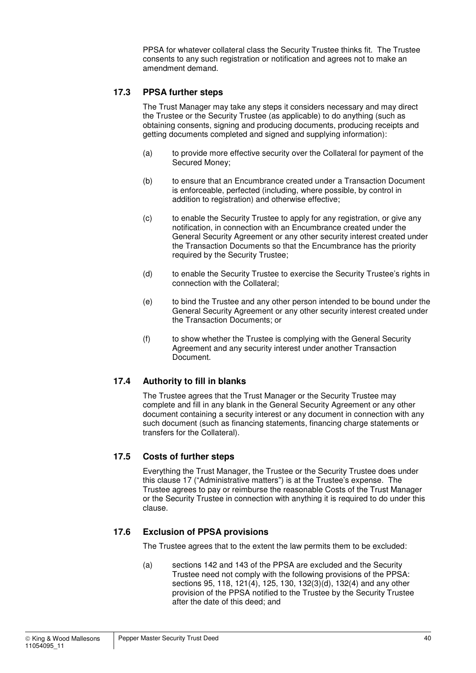PPSA for whatever collateral class the Security Trustee thinks fit. The Trustee consents to any such registration or notification and agrees not to make an amendment demand.

#### **17.3 PPSA further steps**

The Trust Manager may take any steps it considers necessary and may direct the Trustee or the Security Trustee (as applicable) to do anything (such as obtaining consents, signing and producing documents, producing receipts and getting documents completed and signed and supplying information):

- (a) to provide more effective security over the Collateral for payment of the Secured Money;
- (b) to ensure that an Encumbrance created under a Transaction Document is enforceable, perfected (including, where possible, by control in addition to registration) and otherwise effective:
- (c) to enable the Security Trustee to apply for any registration, or give any notification, in connection with an Encumbrance created under the General Security Agreement or any other security interest created under the Transaction Documents so that the Encumbrance has the priority required by the Security Trustee;
- (d) to enable the Security Trustee to exercise the Security Trustee's rights in connection with the Collateral;
- (e) to bind the Trustee and any other person intended to be bound under the General Security Agreement or any other security interest created under the Transaction Documents; or
- (f) to show whether the Trustee is complying with the General Security Agreement and any security interest under another Transaction Document.

#### **17.4 Authority to fill in blanks**

The Trustee agrees that the Trust Manager or the Security Trustee may complete and fill in any blank in the General Security Agreement or any other document containing a security interest or any document in connection with any such document (such as financing statements, financing charge statements or transfers for the Collateral).

#### **17.5 Costs of further steps**

Everything the Trust Manager, the Trustee or the Security Trustee does under this clause 17 ("Administrative matters") is at the Trustee's expense. The Trustee agrees to pay or reimburse the reasonable Costs of the Trust Manager or the Security Trustee in connection with anything it is required to do under this clause.

#### **17.6 Exclusion of PPSA provisions**

The Trustee agrees that to the extent the law permits them to be excluded:

(a) sections 142 and 143 of the PPSA are excluded and the Security Trustee need not comply with the following provisions of the PPSA: sections 95, 118, 121(4), 125, 130, 132(3)(d), 132(4) and any other provision of the PPSA notified to the Trustee by the Security Trustee after the date of this deed; and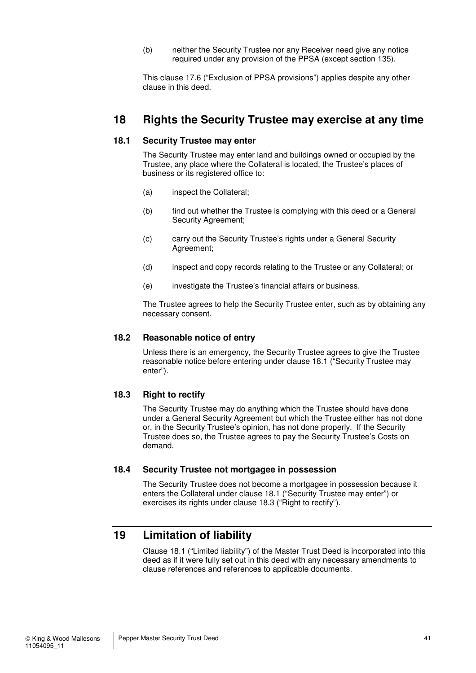(b) neither the Security Trustee nor any Receiver need give any notice required under any provision of the PPSA (except section 135).

This clause 17.6 ("Exclusion of PPSA provisions") applies despite any other clause in this deed.

## **18 Rights the Security Trustee may exercise at any time**

#### **18.1 Security Trustee may enter**

The Security Trustee may enter land and buildings owned or occupied by the Trustee, any place where the Collateral is located, the Trustee's places of business or its registered office to:

- (a) inspect the Collateral;
- (b) find out whether the Trustee is complying with this deed or a General Security Agreement;
- (c) carry out the Security Trustee's rights under a General Security Agreement;
- (d) inspect and copy records relating to the Trustee or any Collateral; or
- (e) investigate the Trustee's financial affairs or business.

The Trustee agrees to help the Security Trustee enter, such as by obtaining any necessary consent.

#### **18.2 Reasonable notice of entry**

Unless there is an emergency, the Security Trustee agrees to give the Trustee reasonable notice before entering under clause 18.1 ("Security Trustee may enter").

#### **18.3 Right to rectify**

The Security Trustee may do anything which the Trustee should have done under a General Security Agreement but which the Trustee either has not done or, in the Security Trustee's opinion, has not done properly. If the Security Trustee does so, the Trustee agrees to pay the Security Trustee's Costs on demand.

#### **18.4 Security Trustee not mortgagee in possession**

The Security Trustee does not become a mortgagee in possession because it enters the Collateral under clause 18.1 ("Security Trustee may enter") or exercises its rights under clause 18.3 ("Right to rectify").

## **19 Limitation of liability**

Clause 18.1 ("Limited liability") of the Master Trust Deed is incorporated into this deed as if it were fully set out in this deed with any necessary amendments to clause references and references to applicable documents.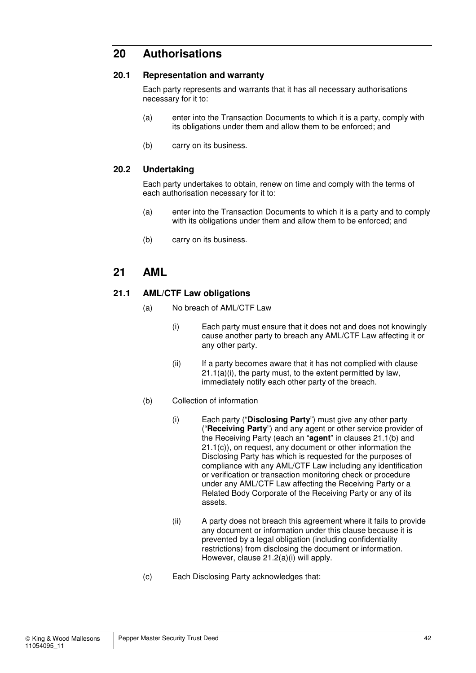## **20 Authorisations**

#### **20.1 Representation and warranty**

Each party represents and warrants that it has all necessary authorisations necessary for it to:

- (a) enter into the Transaction Documents to which it is a party, comply with its obligations under them and allow them to be enforced; and
- (b) carry on its business.

#### **20.2 Undertaking**

Each party undertakes to obtain, renew on time and comply with the terms of each authorisation necessary for it to:

- (a) enter into the Transaction Documents to which it is a party and to comply with its obligations under them and allow them to be enforced; and
- (b) carry on its business.

### **21 AML**

#### **21.1 AML/CTF Law obligations**

- (a) No breach of AML/CTF Law
	- (i) Each party must ensure that it does not and does not knowingly cause another party to breach any AML/CTF Law affecting it or any other party.
	- (ii) If a party becomes aware that it has not complied with clause  $21.1(a)(i)$ , the party must, to the extent permitted by law, immediately notify each other party of the breach.
- (b) Collection of information
	- (i) Each party ("**Disclosing Party**") must give any other party ("**Receiving Party**") and any agent or other service provider of the Receiving Party (each an "**agent**" in clauses 21.1(b) and 21.1(c)), on request, any document or other information the Disclosing Party has which is requested for the purposes of compliance with any AML/CTF Law including any identification or verification or transaction monitoring check or procedure under any AML/CTF Law affecting the Receiving Party or a Related Body Corporate of the Receiving Party or any of its assets.
	- (ii) A party does not breach this agreement where it fails to provide any document or information under this clause because it is prevented by a legal obligation (including confidentiality restrictions) from disclosing the document or information. However, clause 21.2(a)(i) will apply.
- (c) Each Disclosing Party acknowledges that: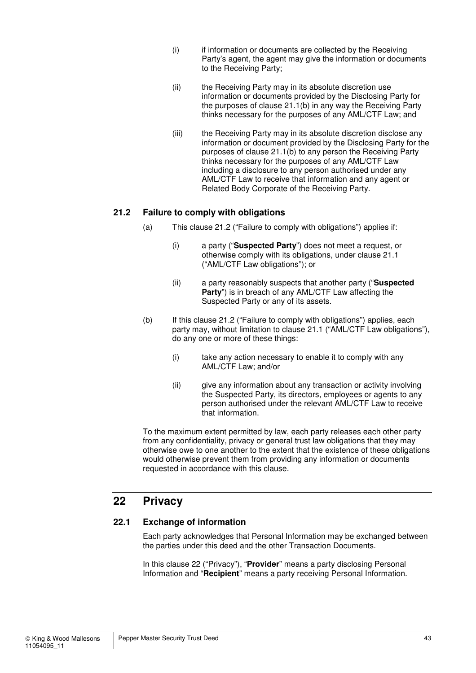- (i) if information or documents are collected by the Receiving Party's agent, the agent may give the information or documents to the Receiving Party;
- (ii) the Receiving Party may in its absolute discretion use information or documents provided by the Disclosing Party for the purposes of clause 21.1(b) in any way the Receiving Party thinks necessary for the purposes of any AML/CTF Law; and
- (iii) the Receiving Party may in its absolute discretion disclose any information or document provided by the Disclosing Party for the purposes of clause 21.1(b) to any person the Receiving Party thinks necessary for the purposes of any AML/CTF Law including a disclosure to any person authorised under any AML/CTF Law to receive that information and any agent or Related Body Corporate of the Receiving Party.

#### **21.2 Failure to comply with obligations**

- (a) This clause 21.2 ("Failure to comply with obligations") applies if:
	- (i) a party ("**Suspected Party**") does not meet a request, or otherwise comply with its obligations, under clause 21.1 ("AML/CTF Law obligations"); or
	- (ii) a party reasonably suspects that another party ("**Suspected Party**") is in breach of any AML/CTF Law affecting the Suspected Party or any of its assets.
- (b) If this clause 21.2 ("Failure to comply with obligations") applies, each party may, without limitation to clause 21.1 ("AML/CTF Law obligations"), do any one or more of these things:
	- (i) take any action necessary to enable it to comply with any AML/CTF Law; and/or
	- (ii) give any information about any transaction or activity involving the Suspected Party, its directors, employees or agents to any person authorised under the relevant AML/CTF Law to receive that information.

To the maximum extent permitted by law, each party releases each other party from any confidentiality, privacy or general trust law obligations that they may otherwise owe to one another to the extent that the existence of these obligations would otherwise prevent them from providing any information or documents requested in accordance with this clause.

## **22 Privacy**

#### **22.1 Exchange of information**

Each party acknowledges that Personal Information may be exchanged between the parties under this deed and the other Transaction Documents.

In this clause 22 ("Privacy"), "**Provider**" means a party disclosing Personal Information and "**Recipient**" means a party receiving Personal Information.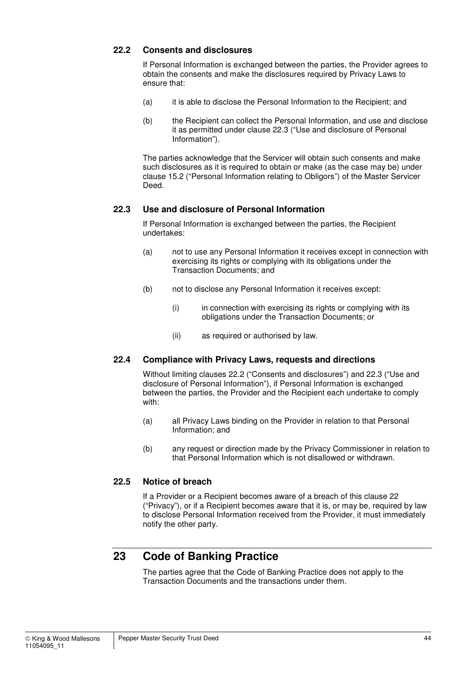#### **22.2 Consents and disclosures**

If Personal Information is exchanged between the parties, the Provider agrees to obtain the consents and make the disclosures required by Privacy Laws to ensure that:

- (a) it is able to disclose the Personal Information to the Recipient; and
- (b) the Recipient can collect the Personal Information, and use and disclose it as permitted under clause 22.3 ("Use and disclosure of Personal Information").

The parties acknowledge that the Servicer will obtain such consents and make such disclosures as it is required to obtain or make (as the case may be) under clause 15.2 ("Personal Information relating to Obligors") of the Master Servicer Deed.

#### **22.3 Use and disclosure of Personal Information**

If Personal Information is exchanged between the parties, the Recipient undertakes:

- (a) not to use any Personal Information it receives except in connection with exercising its rights or complying with its obligations under the Transaction Documents; and
- (b) not to disclose any Personal Information it receives except:
	- (i) in connection with exercising its rights or complying with its obligations under the Transaction Documents; or
	- (ii) as required or authorised by law.

#### **22.4 Compliance with Privacy Laws, requests and directions**

Without limiting clauses 22.2 ("Consents and disclosures") and 22.3 ("Use and disclosure of Personal Information"), if Personal Information is exchanged between the parties, the Provider and the Recipient each undertake to comply with:

- (a) all Privacy Laws binding on the Provider in relation to that Personal Information; and
- (b) any request or direction made by the Privacy Commissioner in relation to that Personal Information which is not disallowed or withdrawn.

#### **22.5 Notice of breach**

If a Provider or a Recipient becomes aware of a breach of this clause 22 ("Privacy"), or if a Recipient becomes aware that it is, or may be, required by law to disclose Personal Information received from the Provider, it must immediately notify the other party.

## **23 Code of Banking Practice**

The parties agree that the Code of Banking Practice does not apply to the Transaction Documents and the transactions under them.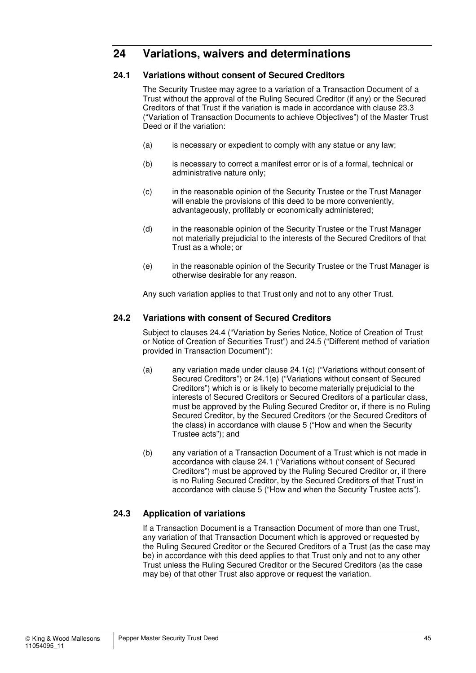## **24 Variations, waivers and determinations**

#### **24.1 Variations without consent of Secured Creditors**

The Security Trustee may agree to a variation of a Transaction Document of a Trust without the approval of the Ruling Secured Creditor (if any) or the Secured Creditors of that Trust if the variation is made in accordance with clause 23.3 ("Variation of Transaction Documents to achieve Objectives") of the Master Trust Deed or if the variation:

- (a) is necessary or expedient to comply with any statue or any law;
- (b) is necessary to correct a manifest error or is of a formal, technical or administrative nature only;
- (c) in the reasonable opinion of the Security Trustee or the Trust Manager will enable the provisions of this deed to be more conveniently, advantageously, profitably or economically administered;
- (d) in the reasonable opinion of the Security Trustee or the Trust Manager not materially prejudicial to the interests of the Secured Creditors of that Trust as a whole; or
- (e) in the reasonable opinion of the Security Trustee or the Trust Manager is otherwise desirable for any reason.

Any such variation applies to that Trust only and not to any other Trust.

#### **24.2 Variations with consent of Secured Creditors**

Subject to clauses 24.4 ("Variation by Series Notice, Notice of Creation of Trust or Notice of Creation of Securities Trust") and 24.5 ("Different method of variation provided in Transaction Document"):

- (a) any variation made under clause 24.1(c) ("Variations without consent of Secured Creditors") or 24.1(e) ("Variations without consent of Secured Creditors") which is or is likely to become materially prejudicial to the interests of Secured Creditors or Secured Creditors of a particular class, must be approved by the Ruling Secured Creditor or, if there is no Ruling Secured Creditor, by the Secured Creditors (or the Secured Creditors of the class) in accordance with clause 5 ("How and when the Security Trustee acts"); and
- (b) any variation of a Transaction Document of a Trust which is not made in accordance with clause 24.1 ("Variations without consent of Secured Creditors") must be approved by the Ruling Secured Creditor or, if there is no Ruling Secured Creditor, by the Secured Creditors of that Trust in accordance with clause 5 ("How and when the Security Trustee acts").

#### **24.3 Application of variations**

If a Transaction Document is a Transaction Document of more than one Trust, any variation of that Transaction Document which is approved or requested by the Ruling Secured Creditor or the Secured Creditors of a Trust (as the case may be) in accordance with this deed applies to that Trust only and not to any other Trust unless the Ruling Secured Creditor or the Secured Creditors (as the case may be) of that other Trust also approve or request the variation.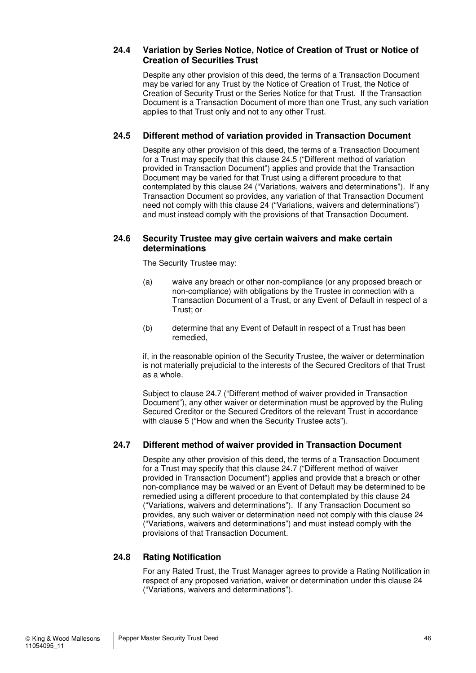#### **24.4 Variation by Series Notice, Notice of Creation of Trust or Notice of Creation of Securities Trust**

Despite any other provision of this deed, the terms of a Transaction Document may be varied for any Trust by the Notice of Creation of Trust, the Notice of Creation of Security Trust or the Series Notice for that Trust. If the Transaction Document is a Transaction Document of more than one Trust, any such variation applies to that Trust only and not to any other Trust.

#### **24.5 Different method of variation provided in Transaction Document**

Despite any other provision of this deed, the terms of a Transaction Document for a Trust may specify that this clause 24.5 ("Different method of variation provided in Transaction Document") applies and provide that the Transaction Document may be varied for that Trust using a different procedure to that contemplated by this clause 24 ("Variations, waivers and determinations"). If any Transaction Document so provides, any variation of that Transaction Document need not comply with this clause 24 ("Variations, waivers and determinations") and must instead comply with the provisions of that Transaction Document.

#### **24.6 Security Trustee may give certain waivers and make certain determinations**

The Security Trustee may:

- (a) waive any breach or other non-compliance (or any proposed breach or non-compliance) with obligations by the Trustee in connection with a Transaction Document of a Trust, or any Event of Default in respect of a Trust; or
- (b) determine that any Event of Default in respect of a Trust has been remedied,

if, in the reasonable opinion of the Security Trustee, the waiver or determination is not materially prejudicial to the interests of the Secured Creditors of that Trust as a whole.

Subject to clause 24.7 ("Different method of waiver provided in Transaction Document"), any other waiver or determination must be approved by the Ruling Secured Creditor or the Secured Creditors of the relevant Trust in accordance with clause 5 ("How and when the Security Trustee acts").

#### **24.7 Different method of waiver provided in Transaction Document**

Despite any other provision of this deed, the terms of a Transaction Document for a Trust may specify that this clause 24.7 ("Different method of waiver provided in Transaction Document") applies and provide that a breach or other non-compliance may be waived or an Event of Default may be determined to be remedied using a different procedure to that contemplated by this clause 24 ("Variations, waivers and determinations"). If any Transaction Document so provides, any such waiver or determination need not comply with this clause 24 ("Variations, waivers and determinations") and must instead comply with the provisions of that Transaction Document.

#### **24.8 Rating Notification**

For any Rated Trust, the Trust Manager agrees to provide a Rating Notification in respect of any proposed variation, waiver or determination under this clause 24 ("Variations, waivers and determinations").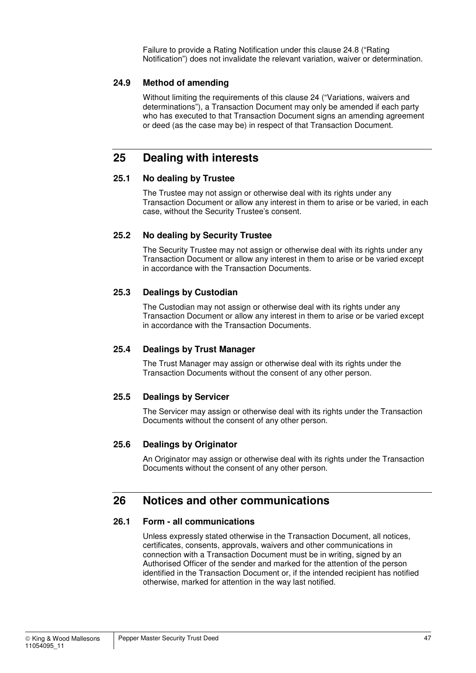Failure to provide a Rating Notification under this clause 24.8 ("Rating Notification") does not invalidate the relevant variation, waiver or determination.

#### **24.9 Method of amending**

Without limiting the requirements of this clause 24 ("Variations, waivers and determinations"), a Transaction Document may only be amended if each party who has executed to that Transaction Document signs an amending agreement or deed (as the case may be) in respect of that Transaction Document.

## **25 Dealing with interests**

#### **25.1 No dealing by Trustee**

The Trustee may not assign or otherwise deal with its rights under any Transaction Document or allow any interest in them to arise or be varied, in each case, without the Security Trustee's consent.

#### **25.2 No dealing by Security Trustee**

The Security Trustee may not assign or otherwise deal with its rights under any Transaction Document or allow any interest in them to arise or be varied except in accordance with the Transaction Documents.

#### **25.3 Dealings by Custodian**

The Custodian may not assign or otherwise deal with its rights under any Transaction Document or allow any interest in them to arise or be varied except in accordance with the Transaction Documents.

#### **25.4 Dealings by Trust Manager**

The Trust Manager may assign or otherwise deal with its rights under the Transaction Documents without the consent of any other person.

#### **25.5 Dealings by Servicer**

The Servicer may assign or otherwise deal with its rights under the Transaction Documents without the consent of any other person.

#### **25.6 Dealings by Originator**

An Originator may assign or otherwise deal with its rights under the Transaction Documents without the consent of any other person.

## **26 Notices and other communications**

#### **26.1 Form - all communications**

Unless expressly stated otherwise in the Transaction Document, all notices, certificates, consents, approvals, waivers and other communications in connection with a Transaction Document must be in writing, signed by an Authorised Officer of the sender and marked for the attention of the person identified in the Transaction Document or, if the intended recipient has notified otherwise, marked for attention in the way last notified.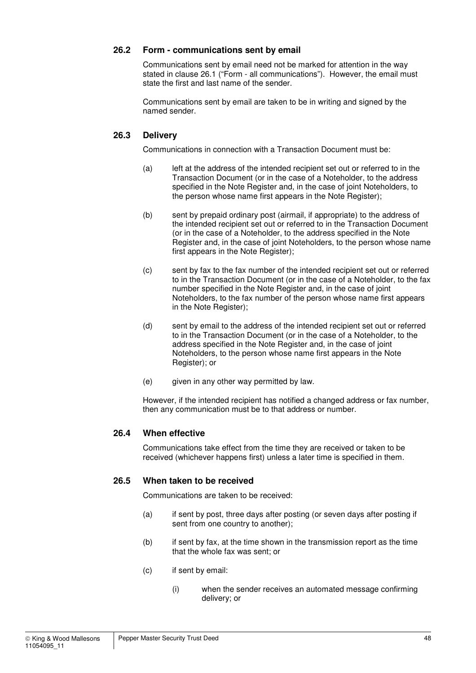#### **26.2 Form - communications sent by email**

Communications sent by email need not be marked for attention in the way stated in clause 26.1 ("Form - all communications"). However, the email must state the first and last name of the sender.

Communications sent by email are taken to be in writing and signed by the named sender.

#### **26.3 Delivery**

Communications in connection with a Transaction Document must be:

- (a) left at the address of the intended recipient set out or referred to in the Transaction Document (or in the case of a Noteholder, to the address specified in the Note Register and, in the case of joint Noteholders, to the person whose name first appears in the Note Register);
- (b) sent by prepaid ordinary post (airmail, if appropriate) to the address of the intended recipient set out or referred to in the Transaction Document (or in the case of a Noteholder, to the address specified in the Note Register and, in the case of joint Noteholders, to the person whose name first appears in the Note Register):
- (c) sent by fax to the fax number of the intended recipient set out or referred to in the Transaction Document (or in the case of a Noteholder, to the fax number specified in the Note Register and, in the case of joint Noteholders, to the fax number of the person whose name first appears in the Note Register);
- (d) sent by email to the address of the intended recipient set out or referred to in the Transaction Document (or in the case of a Noteholder, to the address specified in the Note Register and, in the case of joint Noteholders, to the person whose name first appears in the Note Register); or
- (e) given in any other way permitted by law.

However, if the intended recipient has notified a changed address or fax number, then any communication must be to that address or number.

#### **26.4 When effective**

Communications take effect from the time they are received or taken to be received (whichever happens first) unless a later time is specified in them.

#### **26.5 When taken to be received**

Communications are taken to be received:

- (a) if sent by post, three days after posting (or seven days after posting if sent from one country to another);
- (b) if sent by fax, at the time shown in the transmission report as the time that the whole fax was sent; or
- (c) if sent by email:
	- (i) when the sender receives an automated message confirming delivery; or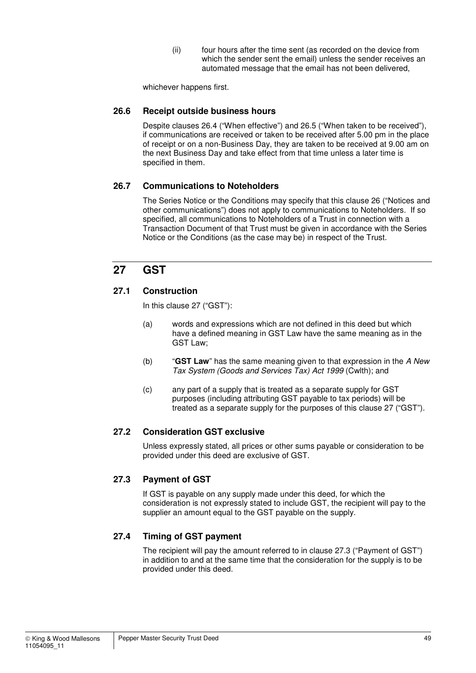(ii) four hours after the time sent (as recorded on the device from which the sender sent the email) unless the sender receives an automated message that the email has not been delivered,

whichever happens first.

#### **26.6 Receipt outside business hours**

Despite clauses 26.4 ("When effective") and 26.5 ("When taken to be received"), if communications are received or taken to be received after 5.00 pm in the place of receipt or on a non-Business Day, they are taken to be received at 9.00 am on the next Business Day and take effect from that time unless a later time is specified in them.

#### **26.7 Communications to Noteholders**

The Series Notice or the Conditions may specify that this clause 26 ("Notices and other communications") does not apply to communications to Noteholders. If so specified, all communications to Noteholders of a Trust in connection with a Transaction Document of that Trust must be given in accordance with the Series Notice or the Conditions (as the case may be) in respect of the Trust.

## **27 GST**

#### **27.1 Construction**

In this clause 27 ("GST"):

- (a) words and expressions which are not defined in this deed but which have a defined meaning in GST Law have the same meaning as in the GST Law;
- (b) "**GST Law**" has the same meaning given to that expression in the A New Tax System (Goods and Services Tax) Act 1999 (Cwlth); and
- (c) any part of a supply that is treated as a separate supply for GST purposes (including attributing GST payable to tax periods) will be treated as a separate supply for the purposes of this clause 27 ("GST").

#### **27.2 Consideration GST exclusive**

Unless expressly stated, all prices or other sums payable or consideration to be provided under this deed are exclusive of GST.

#### **27.3 Payment of GST**

If GST is payable on any supply made under this deed, for which the consideration is not expressly stated to include GST, the recipient will pay to the supplier an amount equal to the GST payable on the supply.

#### **27.4 Timing of GST payment**

The recipient will pay the amount referred to in clause 27.3 ("Payment of GST") in addition to and at the same time that the consideration for the supply is to be provided under this deed.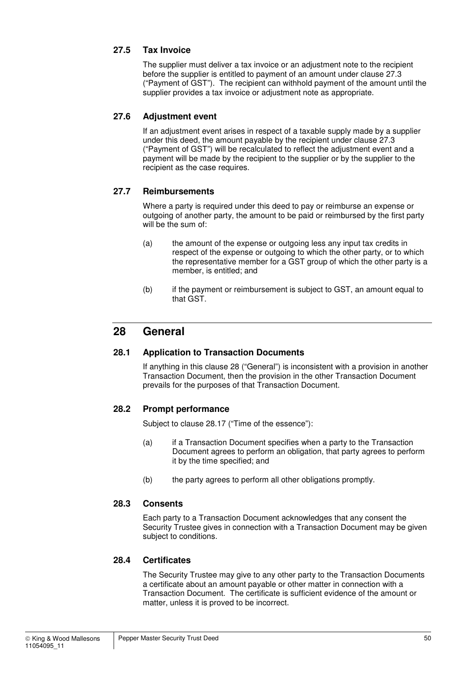#### **27.5 Tax Invoice**

The supplier must deliver a tax invoice or an adjustment note to the recipient before the supplier is entitled to payment of an amount under clause 27.3 ("Payment of GST"). The recipient can withhold payment of the amount until the supplier provides a tax invoice or adjustment note as appropriate.

#### **27.6 Adjustment event**

If an adjustment event arises in respect of a taxable supply made by a supplier under this deed, the amount payable by the recipient under clause 27.3 ("Payment of GST") will be recalculated to reflect the adjustment event and a payment will be made by the recipient to the supplier or by the supplier to the recipient as the case requires.

#### **27.7 Reimbursements**

Where a party is required under this deed to pay or reimburse an expense or outgoing of another party, the amount to be paid or reimbursed by the first party will be the sum of:

- (a) the amount of the expense or outgoing less any input tax credits in respect of the expense or outgoing to which the other party, or to which the representative member for a GST group of which the other party is a member, is entitled; and
- (b) if the payment or reimbursement is subject to GST, an amount equal to that GST.

## **28 General**

#### **28.1 Application to Transaction Documents**

If anything in this clause 28 ("General") is inconsistent with a provision in another Transaction Document, then the provision in the other Transaction Document prevails for the purposes of that Transaction Document.

#### **28.2 Prompt performance**

Subject to clause 28.17 ("Time of the essence"):

- (a) if a Transaction Document specifies when a party to the Transaction Document agrees to perform an obligation, that party agrees to perform it by the time specified; and
- (b) the party agrees to perform all other obligations promptly.

#### **28.3 Consents**

Each party to a Transaction Document acknowledges that any consent the Security Trustee gives in connection with a Transaction Document may be given subject to conditions.

#### **28.4 Certificates**

The Security Trustee may give to any other party to the Transaction Documents a certificate about an amount payable or other matter in connection with a Transaction Document. The certificate is sufficient evidence of the amount or matter, unless it is proved to be incorrect.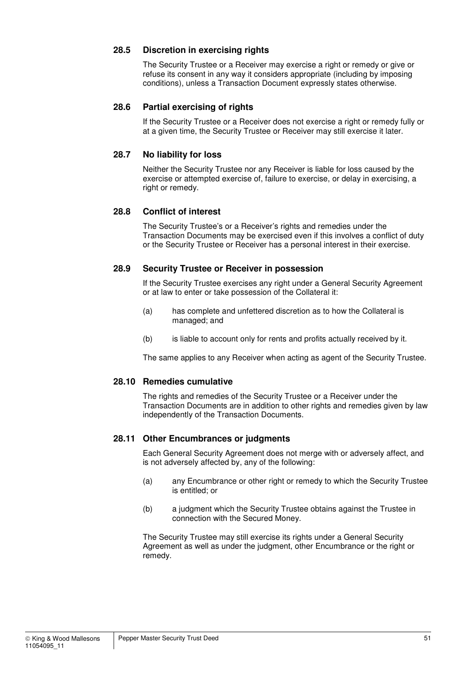#### **28.5 Discretion in exercising rights**

The Security Trustee or a Receiver may exercise a right or remedy or give or refuse its consent in any way it considers appropriate (including by imposing conditions), unless a Transaction Document expressly states otherwise.

#### **28.6 Partial exercising of rights**

If the Security Trustee or a Receiver does not exercise a right or remedy fully or at a given time, the Security Trustee or Receiver may still exercise it later.

#### **28.7 No liability for loss**

Neither the Security Trustee nor any Receiver is liable for loss caused by the exercise or attempted exercise of, failure to exercise, or delay in exercising, a right or remedy.

#### **28.8 Conflict of interest**

The Security Trustee's or a Receiver's rights and remedies under the Transaction Documents may be exercised even if this involves a conflict of duty or the Security Trustee or Receiver has a personal interest in their exercise.

#### **28.9 Security Trustee or Receiver in possession**

If the Security Trustee exercises any right under a General Security Agreement or at law to enter or take possession of the Collateral it:

- (a) has complete and unfettered discretion as to how the Collateral is managed; and
- (b) is liable to account only for rents and profits actually received by it.

The same applies to any Receiver when acting as agent of the Security Trustee.

#### **28.10 Remedies cumulative**

The rights and remedies of the Security Trustee or a Receiver under the Transaction Documents are in addition to other rights and remedies given by law independently of the Transaction Documents.

#### **28.11 Other Encumbrances or judgments**

Each General Security Agreement does not merge with or adversely affect, and is not adversely affected by, any of the following:

- (a) any Encumbrance or other right or remedy to which the Security Trustee is entitled; or
- (b) a judgment which the Security Trustee obtains against the Trustee in connection with the Secured Money.

The Security Trustee may still exercise its rights under a General Security Agreement as well as under the judgment, other Encumbrance or the right or remedy.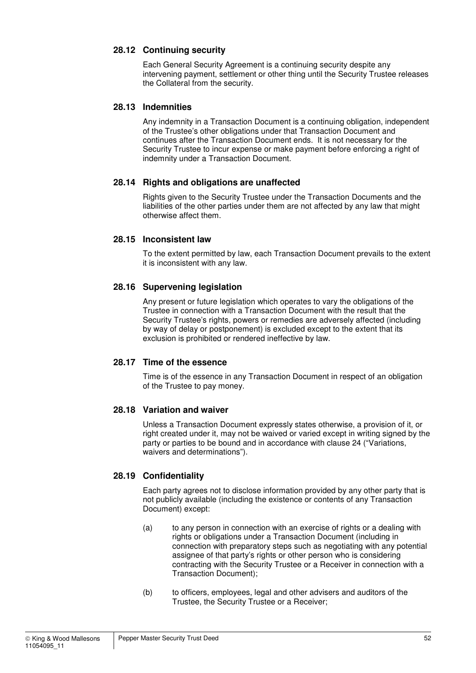#### **28.12 Continuing security**

Each General Security Agreement is a continuing security despite any intervening payment, settlement or other thing until the Security Trustee releases the Collateral from the security.

#### **28.13 Indemnities**

Any indemnity in a Transaction Document is a continuing obligation, independent of the Trustee's other obligations under that Transaction Document and continues after the Transaction Document ends. It is not necessary for the Security Trustee to incur expense or make payment before enforcing a right of indemnity under a Transaction Document.

#### **28.14 Rights and obligations are unaffected**

Rights given to the Security Trustee under the Transaction Documents and the liabilities of the other parties under them are not affected by any law that might otherwise affect them.

#### **28.15 Inconsistent law**

To the extent permitted by law, each Transaction Document prevails to the extent it is inconsistent with any law.

#### **28.16 Supervening legislation**

Any present or future legislation which operates to vary the obligations of the Trustee in connection with a Transaction Document with the result that the Security Trustee's rights, powers or remedies are adversely affected (including by way of delay or postponement) is excluded except to the extent that its exclusion is prohibited or rendered ineffective by law.

#### **28.17 Time of the essence**

Time is of the essence in any Transaction Document in respect of an obligation of the Trustee to pay money.

#### **28.18 Variation and waiver**

Unless a Transaction Document expressly states otherwise, a provision of it, or right created under it, may not be waived or varied except in writing signed by the party or parties to be bound and in accordance with clause 24 ("Variations, waivers and determinations").

#### **28.19 Confidentiality**

Each party agrees not to disclose information provided by any other party that is not publicly available (including the existence or contents of any Transaction Document) except:

- (a) to any person in connection with an exercise of rights or a dealing with rights or obligations under a Transaction Document (including in connection with preparatory steps such as negotiating with any potential assignee of that party's rights or other person who is considering contracting with the Security Trustee or a Receiver in connection with a Transaction Document);
- (b) to officers, employees, legal and other advisers and auditors of the Trustee, the Security Trustee or a Receiver;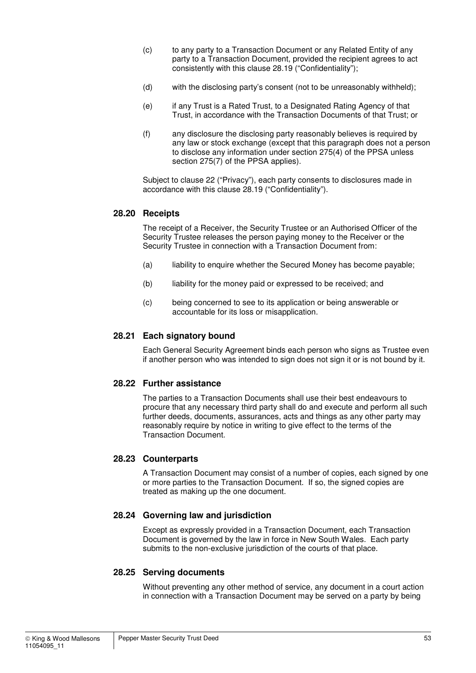- (c) to any party to a Transaction Document or any Related Entity of any party to a Transaction Document, provided the recipient agrees to act consistently with this clause 28.19 ("Confidentiality");
- (d) with the disclosing party's consent (not to be unreasonably withheld);
- (e) if any Trust is a Rated Trust, to a Designated Rating Agency of that Trust, in accordance with the Transaction Documents of that Trust; or
- (f) any disclosure the disclosing party reasonably believes is required by any law or stock exchange (except that this paragraph does not a person to disclose any information under section 275(4) of the PPSA unless section 275(7) of the PPSA applies).

Subject to clause 22 ("Privacy"), each party consents to disclosures made in accordance with this clause 28.19 ("Confidentiality").

#### **28.20 Receipts**

The receipt of a Receiver, the Security Trustee or an Authorised Officer of the Security Trustee releases the person paying money to the Receiver or the Security Trustee in connection with a Transaction Document from:

- (a) liability to enquire whether the Secured Money has become payable;
- (b) liability for the money paid or expressed to be received; and
- (c) being concerned to see to its application or being answerable or accountable for its loss or misapplication.

#### **28.21 Each signatory bound**

Each General Security Agreement binds each person who signs as Trustee even if another person who was intended to sign does not sign it or is not bound by it.

#### **28.22 Further assistance**

The parties to a Transaction Documents shall use their best endeavours to procure that any necessary third party shall do and execute and perform all such further deeds, documents, assurances, acts and things as any other party may reasonably require by notice in writing to give effect to the terms of the Transaction Document.

#### **28.23 Counterparts**

A Transaction Document may consist of a number of copies, each signed by one or more parties to the Transaction Document. If so, the signed copies are treated as making up the one document.

#### **28.24 Governing law and jurisdiction**

Except as expressly provided in a Transaction Document, each Transaction Document is governed by the law in force in New South Wales. Each party submits to the non-exclusive jurisdiction of the courts of that place.

#### **28.25 Serving documents**

Without preventing any other method of service, any document in a court action in connection with a Transaction Document may be served on a party by being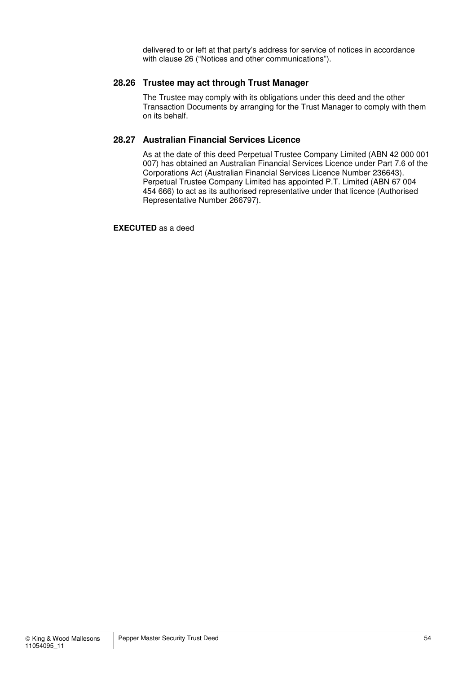delivered to or left at that party's address for service of notices in accordance with clause 26 ("Notices and other communications").

#### **28.26 Trustee may act through Trust Manager**

The Trustee may comply with its obligations under this deed and the other Transaction Documents by arranging for the Trust Manager to comply with them on its behalf.

#### **28.27 Australian Financial Services Licence**

As at the date of this deed Perpetual Trustee Company Limited (ABN 42 000 001 007) has obtained an Australian Financial Services Licence under Part 7.6 of the Corporations Act (Australian Financial Services Licence Number 236643). Perpetual Trustee Company Limited has appointed P.T. Limited (ABN 67 004 454 666) to act as its authorised representative under that licence (Authorised Representative Number 266797).

**EXECUTED** as a deed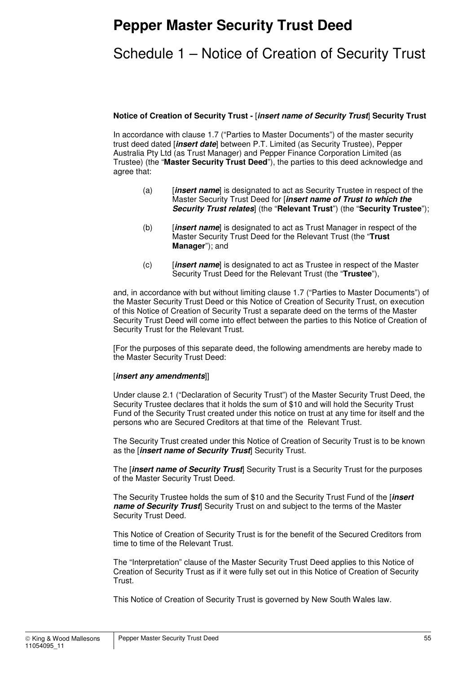## **Pepper Master Security Trust Deed**

## Schedule 1 – Notice of Creation of Security Trust

#### **Notice of Creation of Security Trust -** [**insert name of Security Trust**] **Security Trust**

In accordance with clause 1.7 ("Parties to Master Documents") of the master security trust deed dated [**insert date**] between P.T. Limited (as Security Trustee), Pepper Australia Pty Ltd (as Trust Manager) and Pepper Finance Corporation Limited (as Trustee) (the "**Master Security Trust Deed**"), the parties to this deed acknowledge and agree that:

- (a) [**insert name**] is designated to act as Security Trustee in respect of the Master Security Trust Deed for [**insert name of Trust to which the Security Trust relates**] (the "**Relevant Trust**") (the "**Security Trustee**");
- (b) [**insert name**] is designated to act as Trust Manager in respect of the Master Security Trust Deed for the Relevant Trust (the "**Trust Manager**"); and
- (c) [**insert name**] is designated to act as Trustee in respect of the Master Security Trust Deed for the Relevant Trust (the "**Trustee**"),

and, in accordance with but without limiting clause 1.7 ("Parties to Master Documents") of the Master Security Trust Deed or this Notice of Creation of Security Trust, on execution of this Notice of Creation of Security Trust a separate deed on the terms of the Master Security Trust Deed will come into effect between the parties to this Notice of Creation of Security Trust for the Relevant Trust.

[For the purposes of this separate deed, the following amendments are hereby made to the Master Security Trust Deed:

#### [**insert any amendments**]]

Under clause 2.1 ("Declaration of Security Trust") of the Master Security Trust Deed, the Security Trustee declares that it holds the sum of \$10 and will hold the Security Trust Fund of the Security Trust created under this notice on trust at any time for itself and the persons who are Secured Creditors at that time of the Relevant Trust.

The Security Trust created under this Notice of Creation of Security Trust is to be known as the [**insert name of Security Trust**] Security Trust.

The [**insert name of Security Trust**] Security Trust is a Security Trust for the purposes of the Master Security Trust Deed.

The Security Trustee holds the sum of \$10 and the Security Trust Fund of the [**insert name of Security Trust** Security Trust on and subject to the terms of the Master Security Trust Deed.

This Notice of Creation of Security Trust is for the benefit of the Secured Creditors from time to time of the Relevant Trust.

The "Interpretation" clause of the Master Security Trust Deed applies to this Notice of Creation of Security Trust as if it were fully set out in this Notice of Creation of Security Trust.

This Notice of Creation of Security Trust is governed by New South Wales law.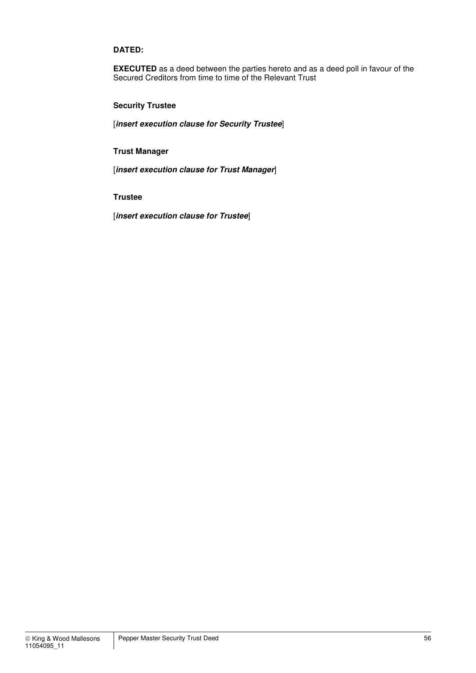#### **DATED:**

**EXECUTED** as a deed between the parties hereto and as a deed poll in favour of the Secured Creditors from time to time of the Relevant Trust

#### **Security Trustee**

[**insert execution clause for Security Trustee**]

#### **Trust Manager**

[**insert execution clause for Trust Manager**]

**Trustee** 

[**insert execution clause for Trustee**]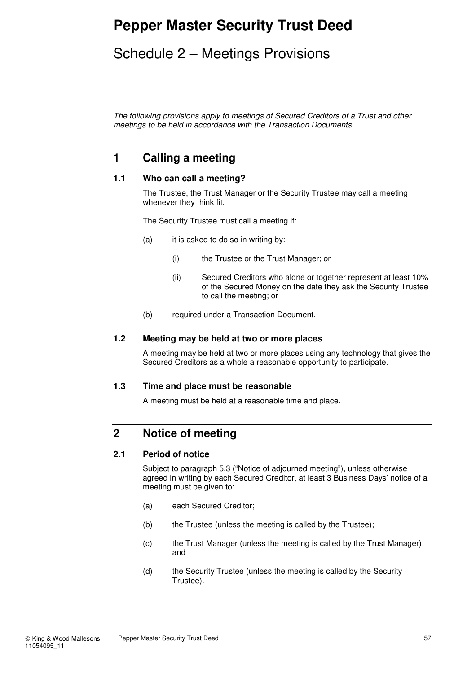## **Pepper Master Security Trust Deed**

## Schedule 2 – Meetings Provisions

The following provisions apply to meetings of Secured Creditors of a Trust and other meetings to be held in accordance with the Transaction Documents.

## **1 Calling a meeting**

#### **1.1 Who can call a meeting?**

The Trustee, the Trust Manager or the Security Trustee may call a meeting whenever they think fit.

The Security Trustee must call a meeting if:

- (a) it is asked to do so in writing by:
	- (i) the Trustee or the Trust Manager; or
	- (ii) Secured Creditors who alone or together represent at least 10% of the Secured Money on the date they ask the Security Trustee to call the meeting; or
- (b) required under a Transaction Document.

#### **1.2 Meeting may be held at two or more places**

A meeting may be held at two or more places using any technology that gives the Secured Creditors as a whole a reasonable opportunity to participate.

#### **1.3 Time and place must be reasonable**

A meeting must be held at a reasonable time and place.

## **2 Notice of meeting**

#### **2.1 Period of notice**

Subject to paragraph 5.3 ("Notice of adjourned meeting"), unless otherwise agreed in writing by each Secured Creditor, at least 3 Business Days' notice of a meeting must be given to:

- (a) each Secured Creditor;
- (b) the Trustee (unless the meeting is called by the Trustee);
- (c) the Trust Manager (unless the meeting is called by the Trust Manager); and
- (d) the Security Trustee (unless the meeting is called by the Security Trustee).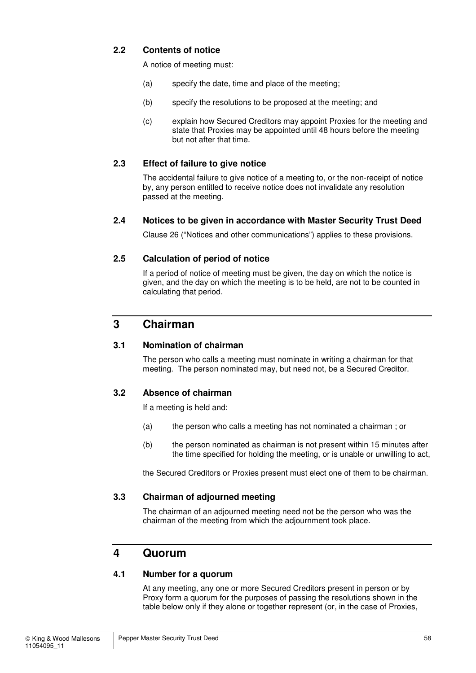#### **2.2 Contents of notice**

A notice of meeting must:

- (a) specify the date, time and place of the meeting;
- (b) specify the resolutions to be proposed at the meeting; and
- (c) explain how Secured Creditors may appoint Proxies for the meeting and state that Proxies may be appointed until 48 hours before the meeting but not after that time.

#### **2.3 Effect of failure to give notice**

The accidental failure to give notice of a meeting to, or the non-receipt of notice by, any person entitled to receive notice does not invalidate any resolution passed at the meeting.

#### **2.4 Notices to be given in accordance with Master Security Trust Deed**

Clause 26 ("Notices and other communications") applies to these provisions.

#### **2.5 Calculation of period of notice**

If a period of notice of meeting must be given, the day on which the notice is given, and the day on which the meeting is to be held, are not to be counted in calculating that period.

### **3 Chairman**

#### **3.1 Nomination of chairman**

The person who calls a meeting must nominate in writing a chairman for that meeting. The person nominated may, but need not, be a Secured Creditor.

#### **3.2 Absence of chairman**

If a meeting is held and:

- (a) the person who calls a meeting has not nominated a chairman ; or
- (b) the person nominated as chairman is not present within 15 minutes after the time specified for holding the meeting, or is unable or unwilling to act,

the Secured Creditors or Proxies present must elect one of them to be chairman.

#### **3.3 Chairman of adjourned meeting**

The chairman of an adjourned meeting need not be the person who was the chairman of the meeting from which the adjournment took place.

#### **4 Quorum**

#### **4.1 Number for a quorum**

At any meeting, any one or more Secured Creditors present in person or by Proxy form a quorum for the purposes of passing the resolutions shown in the table below only if they alone or together represent (or, in the case of Proxies,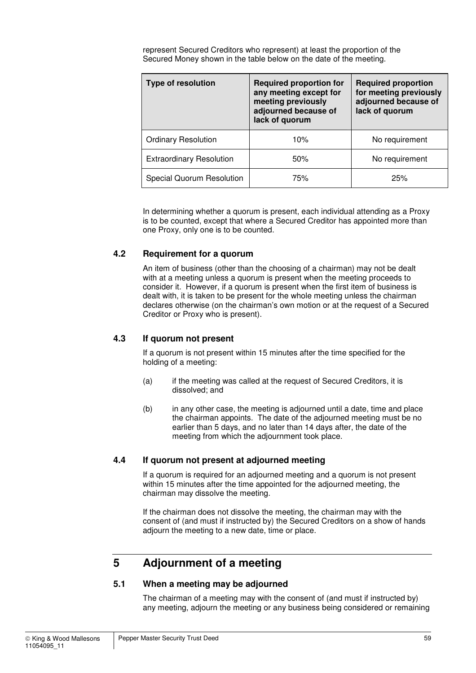represent Secured Creditors who represent) at least the proportion of the Secured Money shown in the table below on the date of the meeting.

| <b>Type of resolution</b>       | <b>Required proportion for</b><br>any meeting except for<br>meeting previously<br>adjourned because of<br>lack of quorum | <b>Required proportion</b><br>for meeting previously<br>adjourned because of<br>lack of quorum |
|---------------------------------|--------------------------------------------------------------------------------------------------------------------------|------------------------------------------------------------------------------------------------|
| <b>Ordinary Resolution</b>      | 10%                                                                                                                      | No requirement                                                                                 |
| <b>Extraordinary Resolution</b> | 50%                                                                                                                      | No requirement                                                                                 |
| Special Quorum Resolution       | 75%                                                                                                                      | 25%                                                                                            |

In determining whether a quorum is present, each individual attending as a Proxy is to be counted, except that where a Secured Creditor has appointed more than one Proxy, only one is to be counted.

#### **4.2 Requirement for a quorum**

An item of business (other than the choosing of a chairman) may not be dealt with at a meeting unless a quorum is present when the meeting proceeds to consider it. However, if a quorum is present when the first item of business is dealt with, it is taken to be present for the whole meeting unless the chairman declares otherwise (on the chairman's own motion or at the request of a Secured Creditor or Proxy who is present).

#### **4.3 If quorum not present**

If a quorum is not present within 15 minutes after the time specified for the holding of a meeting:

- (a) if the meeting was called at the request of Secured Creditors, it is dissolved; and
- (b) in any other case, the meeting is adjourned until a date, time and place the chairman appoints. The date of the adjourned meeting must be no earlier than 5 days, and no later than 14 days after, the date of the meeting from which the adjournment took place.

#### **4.4 If quorum not present at adjourned meeting**

If a quorum is required for an adjourned meeting and a quorum is not present within 15 minutes after the time appointed for the adjourned meeting, the chairman may dissolve the meeting.

If the chairman does not dissolve the meeting, the chairman may with the consent of (and must if instructed by) the Secured Creditors on a show of hands adjourn the meeting to a new date, time or place.

## **5 Adjournment of a meeting**

#### **5.1 When a meeting may be adjourned**

The chairman of a meeting may with the consent of (and must if instructed by) any meeting, adjourn the meeting or any business being considered or remaining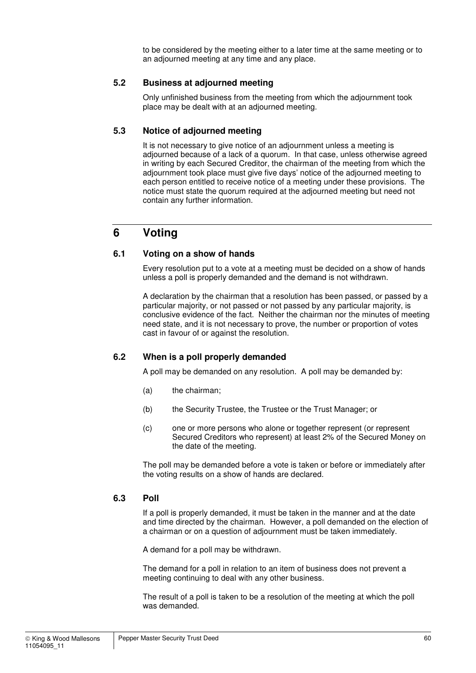to be considered by the meeting either to a later time at the same meeting or to an adjourned meeting at any time and any place.

#### **5.2 Business at adjourned meeting**

Only unfinished business from the meeting from which the adjournment took place may be dealt with at an adjourned meeting.

#### **5.3 Notice of adjourned meeting**

It is not necessary to give notice of an adjournment unless a meeting is adjourned because of a lack of a quorum. In that case, unless otherwise agreed in writing by each Secured Creditor, the chairman of the meeting from which the adjournment took place must give five days' notice of the adjourned meeting to each person entitled to receive notice of a meeting under these provisions. The notice must state the quorum required at the adjourned meeting but need not contain any further information.

## **6 Voting**

#### **6.1 Voting on a show of hands**

Every resolution put to a vote at a meeting must be decided on a show of hands unless a poll is properly demanded and the demand is not withdrawn.

A declaration by the chairman that a resolution has been passed, or passed by a particular majority, or not passed or not passed by any particular majority, is conclusive evidence of the fact. Neither the chairman nor the minutes of meeting need state, and it is not necessary to prove, the number or proportion of votes cast in favour of or against the resolution.

#### **6.2 When is a poll properly demanded**

A poll may be demanded on any resolution. A poll may be demanded by:

- (a) the chairman;
- (b) the Security Trustee, the Trustee or the Trust Manager; or
- (c) one or more persons who alone or together represent (or represent Secured Creditors who represent) at least 2% of the Secured Money on the date of the meeting.

The poll may be demanded before a vote is taken or before or immediately after the voting results on a show of hands are declared.

#### **6.3 Poll**

If a poll is properly demanded, it must be taken in the manner and at the date and time directed by the chairman. However, a poll demanded on the election of a chairman or on a question of adjournment must be taken immediately.

A demand for a poll may be withdrawn.

The demand for a poll in relation to an item of business does not prevent a meeting continuing to deal with any other business.

The result of a poll is taken to be a resolution of the meeting at which the poll was demanded.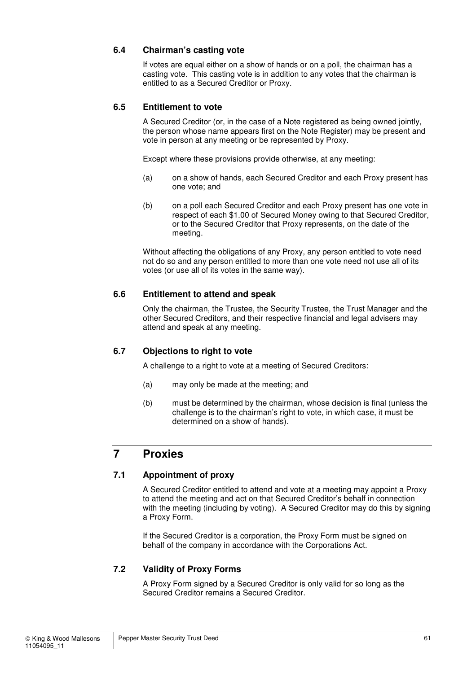#### **6.4 Chairman's casting vote**

If votes are equal either on a show of hands or on a poll, the chairman has a casting vote. This casting vote is in addition to any votes that the chairman is entitled to as a Secured Creditor or Proxy.

#### **6.5 Entitlement to vote**

A Secured Creditor (or, in the case of a Note registered as being owned jointly, the person whose name appears first on the Note Register) may be present and vote in person at any meeting or be represented by Proxy.

Except where these provisions provide otherwise, at any meeting:

- (a) on a show of hands, each Secured Creditor and each Proxy present has one vote; and
- (b) on a poll each Secured Creditor and each Proxy present has one vote in respect of each \$1.00 of Secured Money owing to that Secured Creditor, or to the Secured Creditor that Proxy represents, on the date of the meeting.

Without affecting the obligations of any Proxy, any person entitled to vote need not do so and any person entitled to more than one vote need not use all of its votes (or use all of its votes in the same way).

#### **6.6 Entitlement to attend and speak**

Only the chairman, the Trustee, the Security Trustee, the Trust Manager and the other Secured Creditors, and their respective financial and legal advisers may attend and speak at any meeting.

#### **6.7 Objections to right to vote**

A challenge to a right to vote at a meeting of Secured Creditors:

- (a) may only be made at the meeting; and
- (b) must be determined by the chairman, whose decision is final (unless the challenge is to the chairman's right to vote, in which case, it must be determined on a show of hands).

## **7 Proxies**

#### **7.1 Appointment of proxy**

A Secured Creditor entitled to attend and vote at a meeting may appoint a Proxy to attend the meeting and act on that Secured Creditor's behalf in connection with the meeting (including by voting). A Secured Creditor may do this by signing a Proxy Form.

If the Secured Creditor is a corporation, the Proxy Form must be signed on behalf of the company in accordance with the Corporations Act.

#### **7.2 Validity of Proxy Forms**

A Proxy Form signed by a Secured Creditor is only valid for so long as the Secured Creditor remains a Secured Creditor.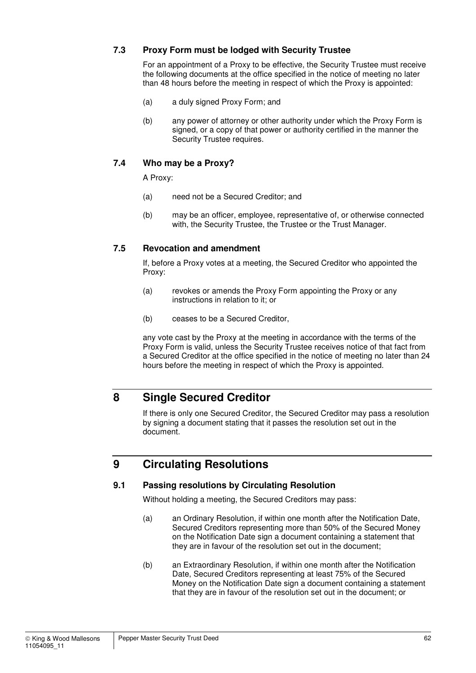#### **7.3 Proxy Form must be lodged with Security Trustee**

For an appointment of a Proxy to be effective, the Security Trustee must receive the following documents at the office specified in the notice of meeting no later than 48 hours before the meeting in respect of which the Proxy is appointed:

- (a) a duly signed Proxy Form; and
- (b) any power of attorney or other authority under which the Proxy Form is signed, or a copy of that power or authority certified in the manner the Security Trustee requires.

#### **7.4 Who may be a Proxy?**

A Proxy:

- (a) need not be a Secured Creditor; and
- (b) may be an officer, employee, representative of, or otherwise connected with, the Security Trustee, the Trustee or the Trust Manager.

#### **7.5 Revocation and amendment**

If, before a Proxy votes at a meeting, the Secured Creditor who appointed the Proxy:

- (a) revokes or amends the Proxy Form appointing the Proxy or any instructions in relation to it; or
- (b) ceases to be a Secured Creditor,

any vote cast by the Proxy at the meeting in accordance with the terms of the Proxy Form is valid, unless the Security Trustee receives notice of that fact from a Secured Creditor at the office specified in the notice of meeting no later than 24 hours before the meeting in respect of which the Proxy is appointed.

## **8 Single Secured Creditor**

If there is only one Secured Creditor, the Secured Creditor may pass a resolution by signing a document stating that it passes the resolution set out in the document.

## **9 Circulating Resolutions**

#### **9.1 Passing resolutions by Circulating Resolution**

Without holding a meeting, the Secured Creditors may pass:

- (a) an Ordinary Resolution, if within one month after the Notification Date, Secured Creditors representing more than 50% of the Secured Money on the Notification Date sign a document containing a statement that they are in favour of the resolution set out in the document;
- (b) an Extraordinary Resolution, if within one month after the Notification Date, Secured Creditors representing at least 75% of the Secured Money on the Notification Date sign a document containing a statement that they are in favour of the resolution set out in the document; or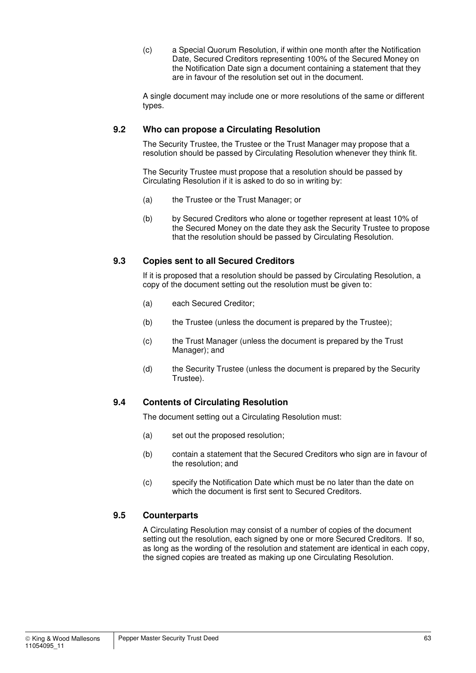(c) a Special Quorum Resolution, if within one month after the Notification Date, Secured Creditors representing 100% of the Secured Money on the Notification Date sign a document containing a statement that they are in favour of the resolution set out in the document.

A single document may include one or more resolutions of the same or different types.

#### **9.2 Who can propose a Circulating Resolution**

The Security Trustee, the Trustee or the Trust Manager may propose that a resolution should be passed by Circulating Resolution whenever they think fit.

The Security Trustee must propose that a resolution should be passed by Circulating Resolution if it is asked to do so in writing by:

- (a) the Trustee or the Trust Manager; or
- (b) by Secured Creditors who alone or together represent at least 10% of the Secured Money on the date they ask the Security Trustee to propose that the resolution should be passed by Circulating Resolution.

#### **9.3 Copies sent to all Secured Creditors**

If it is proposed that a resolution should be passed by Circulating Resolution, a copy of the document setting out the resolution must be given to:

- (a) each Secured Creditor;
- (b) the Trustee (unless the document is prepared by the Trustee);
- (c) the Trust Manager (unless the document is prepared by the Trust Manager); and
- (d) the Security Trustee (unless the document is prepared by the Security Trustee).

#### **9.4 Contents of Circulating Resolution**

The document setting out a Circulating Resolution must:

- (a) set out the proposed resolution;
- (b) contain a statement that the Secured Creditors who sign are in favour of the resolution; and
- (c) specify the Notification Date which must be no later than the date on which the document is first sent to Secured Creditors.

#### **9.5 Counterparts**

A Circulating Resolution may consist of a number of copies of the document setting out the resolution, each signed by one or more Secured Creditors. If so, as long as the wording of the resolution and statement are identical in each copy, the signed copies are treated as making up one Circulating Resolution.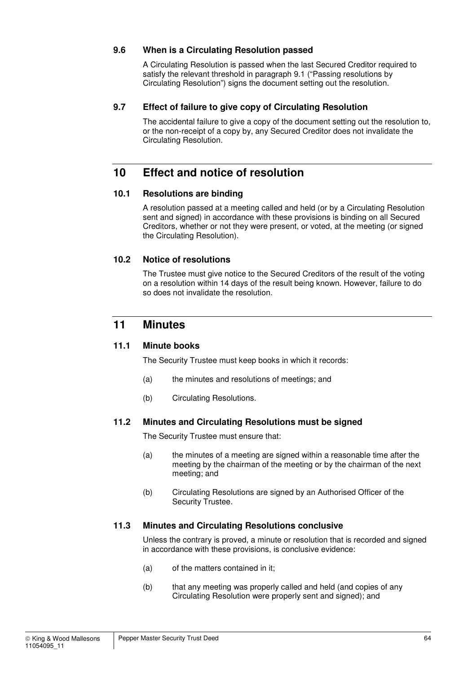#### **9.6 When is a Circulating Resolution passed**

A Circulating Resolution is passed when the last Secured Creditor required to satisfy the relevant threshold in paragraph 9.1 ("Passing resolutions by Circulating Resolution") signs the document setting out the resolution.

#### **9.7 Effect of failure to give copy of Circulating Resolution**

The accidental failure to give a copy of the document setting out the resolution to, or the non-receipt of a copy by, any Secured Creditor does not invalidate the Circulating Resolution.

## **10 Effect and notice of resolution**

#### **10.1 Resolutions are binding**

A resolution passed at a meeting called and held (or by a Circulating Resolution sent and signed) in accordance with these provisions is binding on all Secured Creditors, whether or not they were present, or voted, at the meeting (or signed the Circulating Resolution).

#### **10.2 Notice of resolutions**

The Trustee must give notice to the Secured Creditors of the result of the voting on a resolution within 14 days of the result being known. However, failure to do so does not invalidate the resolution.

### **11 Minutes**

#### **11.1 Minute books**

The Security Trustee must keep books in which it records:

- (a) the minutes and resolutions of meetings; and
- (b) Circulating Resolutions.

#### **11.2 Minutes and Circulating Resolutions must be signed**

The Security Trustee must ensure that:

- (a) the minutes of a meeting are signed within a reasonable time after the meeting by the chairman of the meeting or by the chairman of the next meeting; and
- (b) Circulating Resolutions are signed by an Authorised Officer of the Security Trustee.

#### **11.3 Minutes and Circulating Resolutions conclusive**

Unless the contrary is proved, a minute or resolution that is recorded and signed in accordance with these provisions, is conclusive evidence:

- (a) of the matters contained in it;
- (b) that any meeting was properly called and held (and copies of any Circulating Resolution were properly sent and signed); and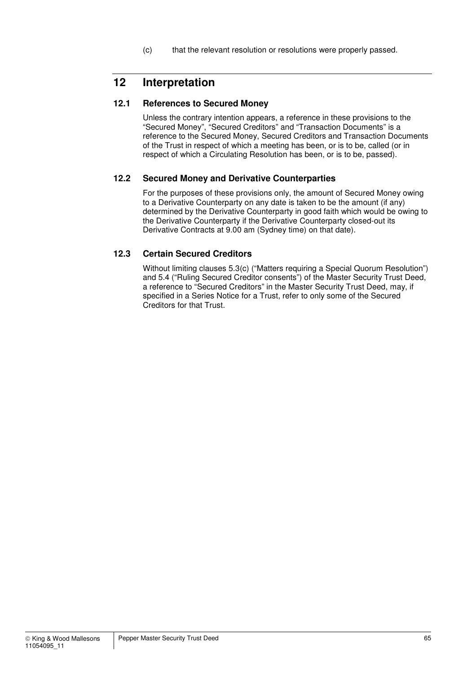(c) that the relevant resolution or resolutions were properly passed.

## **12 Interpretation**

#### **12.1 References to Secured Money**

Unless the contrary intention appears, a reference in these provisions to the "Secured Money", "Secured Creditors" and "Transaction Documents" is a reference to the Secured Money, Secured Creditors and Transaction Documents of the Trust in respect of which a meeting has been, or is to be, called (or in respect of which a Circulating Resolution has been, or is to be, passed).

#### **12.2 Secured Money and Derivative Counterparties**

For the purposes of these provisions only, the amount of Secured Money owing to a Derivative Counterparty on any date is taken to be the amount (if any) determined by the Derivative Counterparty in good faith which would be owing to the Derivative Counterparty if the Derivative Counterparty closed-out its Derivative Contracts at 9.00 am (Sydney time) on that date).

#### **12.3 Certain Secured Creditors**

Without limiting clauses 5.3(c) ("Matters requiring a Special Quorum Resolution") and 5.4 ("Ruling Secured Creditor consents") of the Master Security Trust Deed, a reference to "Secured Creditors" in the Master Security Trust Deed, may, if specified in a Series Notice for a Trust, refer to only some of the Secured Creditors for that Trust.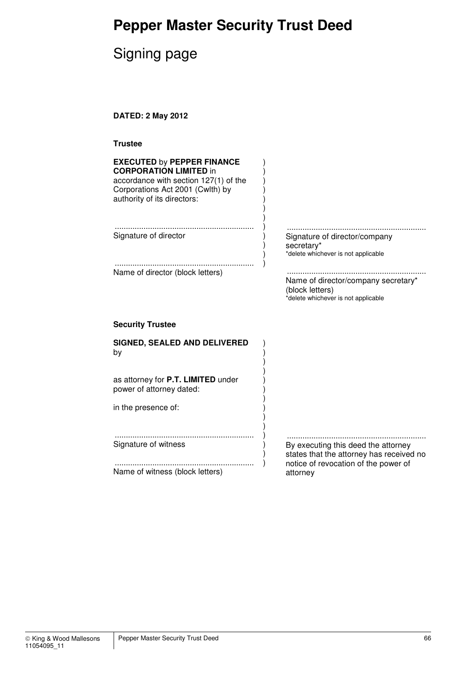# **Pepper Master Security Trust Deed**

# Signing page

**DATED: 2 May 2012** 

| iste<br>ru<br>I |
|-----------------|
|-----------------|

| <b>EXECUTED by PEPPER FINANCE</b><br><b>CORPORATION LIMITED in</b><br>accordance with section 127(1) of the<br>Corporations Act 2001 (Cwlth) by<br>authority of its directors: |                                                                                                                         |
|--------------------------------------------------------------------------------------------------------------------------------------------------------------------------------|-------------------------------------------------------------------------------------------------------------------------|
| Signature of director                                                                                                                                                          | Signature of director/company<br>secretary*<br>*delete whichever is not applicable                                      |
| Name of director (block letters)                                                                                                                                               | Name of director/company secretary*<br>(block letters)<br>*delete whichever is not applicable                           |
|                                                                                                                                                                                |                                                                                                                         |
| <b>Security Trustee</b>                                                                                                                                                        |                                                                                                                         |
| <b>SIGNED, SEALED AND DELIVERED</b><br>by                                                                                                                                      |                                                                                                                         |
| as attorney for P.T. LIMITED under<br>power of attorney dated:                                                                                                                 |                                                                                                                         |
| in the presence of:                                                                                                                                                            |                                                                                                                         |
| Signature of witness                                                                                                                                                           | By executing this deed the attorney<br>states that the attorney has received no<br>notice of revocation of the power of |